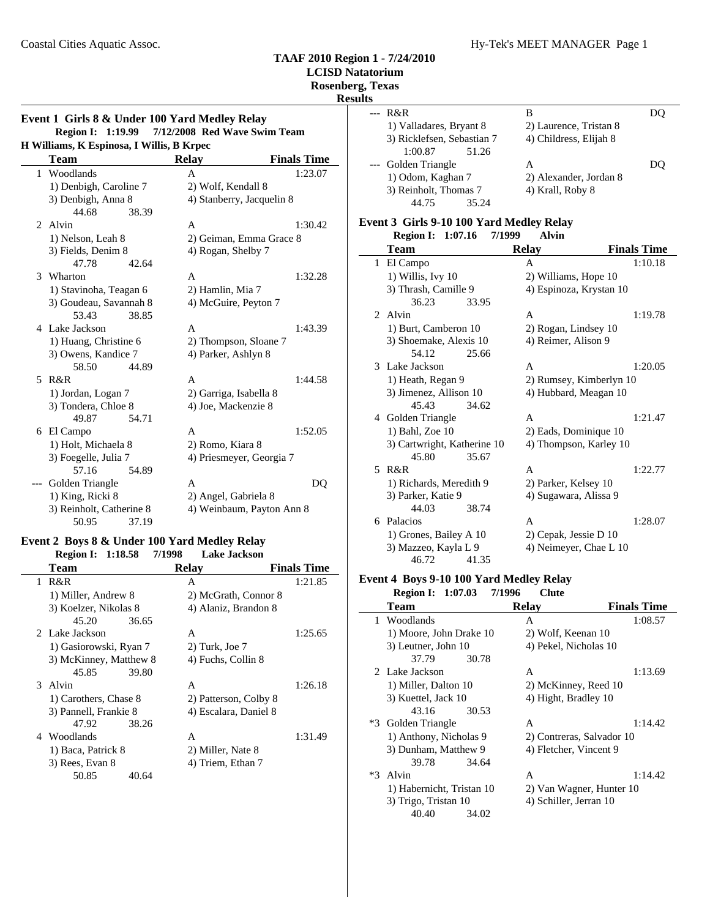#### **TAAF 2010 Region 1 - 7/24/2010**

#### **LCISD Natatorium**

**Rosenberg, Texas**

#### **Results**

 $\frac{1}{\sqrt{2}}$ 

| Event 1 Girls 8 & Under 100 Yard Medley Relay |  |                                                |  |
|-----------------------------------------------|--|------------------------------------------------|--|
|                                               |  | Region I: 1:19.99 7/12/2008 Red Wave Swim Team |  |
| H Williams, K Espinosa, I Willis, B Krpec     |  |                                                |  |

|                | <b>Team</b>              | <b>Relay</b>              | <b>Finals Time</b> |
|----------------|--------------------------|---------------------------|--------------------|
| $\mathbf{1}$   | Woodlands                | A                         | 1:23.07            |
|                | 1) Denbigh, Caroline 7   | 2) Wolf, Kendall 8        |                    |
|                | 3) Denbigh, Anna 8       | 4) Stanberry, Jacquelin 8 |                    |
|                | 44.68<br>38.39           |                           |                    |
| $\mathfrak{D}$ | Alvin                    | A                         | 1:30.42            |
|                | 1) Nelson, Leah 8        | 2) Geiman, Emma Grace 8   |                    |
|                | 3) Fields, Denim 8       | 4) Rogan, Shelby 7        |                    |
|                | 47.78<br>42.64           |                           |                    |
| $\mathcal{E}$  | Wharton                  | A                         | 1:32.28            |
|                | 1) Stavinoha, Teagan 6   | 2) Hamlin, Mia 7          |                    |
|                | 3) Goudeau, Savannah 8   | 4) McGuire, Peyton 7      |                    |
|                | 53.43<br>38.85           |                           |                    |
|                | 4 Lake Jackson           | A                         | 1:43.39            |
|                | 1) Huang, Christine 6    | 2) Thompson, Sloane 7     |                    |
|                | 3) Owens, Kandice 7      | 4) Parker, Ashlyn 8       |                    |
|                | 44.89<br>58.50           |                           |                    |
|                | 5 R&R                    | A                         | 1:44.58            |
|                | 1) Jordan, Logan 7       | 2) Garriga, Isabella 8    |                    |
|                | 3) Tondera, Chloe 8      | 4) Joe, Mackenzie 8       |                    |
|                | 49.87<br>54.71           |                           |                    |
|                | 6 El Campo               | A                         | 1:52.05            |
|                | 1) Holt, Michaela 8      | 2) Romo, Kiara 8          |                    |
|                | 3) Foegelle, Julia 7     | 4) Priesmeyer, Georgia 7  |                    |
|                | 57.16<br>54.89           |                           |                    |
|                | Golden Triangle          | A                         | DO                 |
|                | 1) King, Ricki 8         | 2) Angel, Gabriela 8      |                    |
|                | 3) Reinholt, Catherine 8 | 4) Weinbaum, Payton Ann 8 |                    |
|                | 50.95<br>37.19           |                           |                    |

#### **Event 2 Boys 8 & Under 100 Yard Medley Relay**

| <b>Region I: 1:18.58</b> | 7/1998<br><b>Lake Jackson</b> |                    |
|--------------------------|-------------------------------|--------------------|
| Team                     | Relay                         | <b>Finals Time</b> |
| R&R<br>$\mathbf{1}$      | A                             | 1:21.85            |
| 1) Miller, Andrew 8      | 2) McGrath, Connor 8          |                    |
| 3) Koelzer, Nikolas 8    | 4) Alaniz, Brandon 8          |                    |
| 45.20<br>36.65           |                               |                    |
| 2 Lake Jackson           | A                             | 1:25.65            |
| 1) Gasiorowski, Ryan 7   | $2)$ Turk, Joe $7$            |                    |
| 3) McKinney, Matthew 8   | 4) Fuchs, Collin 8            |                    |
| 45.85<br>39.80           |                               |                    |
| 3 Alvin                  | A                             | 1:26.18            |
| 1) Carothers, Chase 8    | 2) Patterson, Colby 8         |                    |
| 3) Pannell, Frankie 8    | 4) Escalara, Daniel 8         |                    |
| 47.92<br>38.26           |                               |                    |
| Woodlands<br>4           | A                             | 1:31.49            |
| 1) Baca, Patrick 8       | 2) Miller, Nate 8             |                    |
| 3) Rees, Evan 8          | 4) Triem, Ethan 7             |                    |
| 50.85<br>40.64           |                               |                    |

| ---   | R&R                        |       | в                      |  |
|-------|----------------------------|-------|------------------------|--|
|       | 1) Valladares, Bryant 8    |       | 2) Laurence, Tristan 8 |  |
|       | 3) Ricklefsen, Sebastian 7 |       | 4) Childress, Elijah 8 |  |
|       | 1:00.87                    | 51.26 |                        |  |
| $---$ | Golden Triangle            |       | А                      |  |
|       | 1) Odom, Kaghan 7          |       | 2) Alexander, Jordan 8 |  |
|       | 3) Reinholt, Thomas 7      |       | 4) Krall, Roby 8       |  |
|       | 44.75                      | 35.24 |                        |  |
|       |                            |       |                        |  |

#### **Event 3 Girls 9-10 100 Yard Medley Relay**

|             | Region I: 1:07.16           | 7/1999 | <b>Alvin</b>            |                    |
|-------------|-----------------------------|--------|-------------------------|--------------------|
|             | Team                        |        | Relay                   | <b>Finals Time</b> |
| 1           | El Campo                    |        | A                       | 1:10.18            |
|             | 1) Willis, Ivy 10           |        | 2) Williams, Hope 10    |                    |
|             | 3) Thrash, Camille 9        |        | 4) Espinoza, Krystan 10 |                    |
|             | 36.23                       | 33.95  |                         |                    |
| $2^{\circ}$ | Alvin                       |        | A                       | 1:19.78            |
|             | 1) Burt, Camberon 10        |        | 2) Rogan, Lindsey 10    |                    |
|             | 3) Shoemake, Alexis 10      |        | 4) Reimer, Alison 9     |                    |
|             | 54.12                       | 25.66  |                         |                    |
|             | 3 Lake Jackson              |        | A                       | 1:20.05            |
|             | 1) Heath, Regan 9           |        | 2) Rumsey, Kimberlyn 10 |                    |
|             | 3) Jimenez, Allison 10      |        | 4) Hubbard, Meagan 10   |                    |
|             | 45.43                       | 34.62  |                         |                    |
|             | 4 Golden Triangle           |        | A                       | 1:21.47            |
|             | 1) Bahl, Zoe 10             |        | 2) Eads, Dominique 10   |                    |
|             | 3) Cartwright, Katherine 10 |        | 4) Thompson, Karley 10  |                    |
|             | 45.80                       | 35.67  |                         |                    |
|             | 5 R&R                       |        | A                       | 1:22.77            |
|             | 1) Richards, Meredith 9     |        | 2) Parker, Kelsey 10    |                    |
|             | 3) Parker, Katie 9          |        | 4) Sugawara, Alissa 9   |                    |
|             | 44.03                       | 38.74  |                         |                    |
| 6           | Palacios                    |        | A                       | 1:28.07            |
|             | 1) Grones, Bailey A 10      |        | 2) Cepak, Jessie D 10   |                    |
|             | 3) Mazzeo, Kayla L 9        |        | 4) Neimeyer, Chae L 10  |                    |
|             | 46.72                       | 41.35  |                         |                    |

#### **Event 4 Boys 9-10 100 Yard Medley Relay**

|      | <b>Region I: 1:07.03</b>  | 7/1996<br><b>Clute</b>    |                    |
|------|---------------------------|---------------------------|--------------------|
|      | <b>Team</b>               | <b>Relay</b>              | <b>Finals Time</b> |
|      | 1 Woodlands               | A                         | 1:08.57            |
|      | 1) Moore, John Drake 10   | 2) Wolf, Keenan 10        |                    |
|      | 3) Leutner, John 10       | 4) Pekel, Nicholas 10     |                    |
|      | 37.79<br>30.78            |                           |                    |
|      | 2 Lake Jackson            | A                         | 1:13.69            |
|      | 1) Miller, Dalton 10      | 2) McKinney, Reed 10      |                    |
|      | 3) Kuettel, Jack 10       | 4) Hight, Bradley 10      |                    |
|      | 43.16<br>30.53            |                           |                    |
| $*3$ | Golden Triangle           | A                         | 1:14.42            |
|      | 1) Anthony, Nicholas 9    | 2) Contreras, Salvador 10 |                    |
|      | 3) Dunham, Matthew 9      | 4) Fletcher, Vincent 9    |                    |
|      | 39.78<br>34.64            |                           |                    |
| $*3$ | Alvin                     | A                         | 1:14.42            |
|      | 1) Habernicht, Tristan 10 | 2) Van Wagner, Hunter 10  |                    |
|      | 3) Trigo, Tristan 10      | 4) Schiller, Jerran 10    |                    |
|      | 40.40<br>34.02            |                           |                    |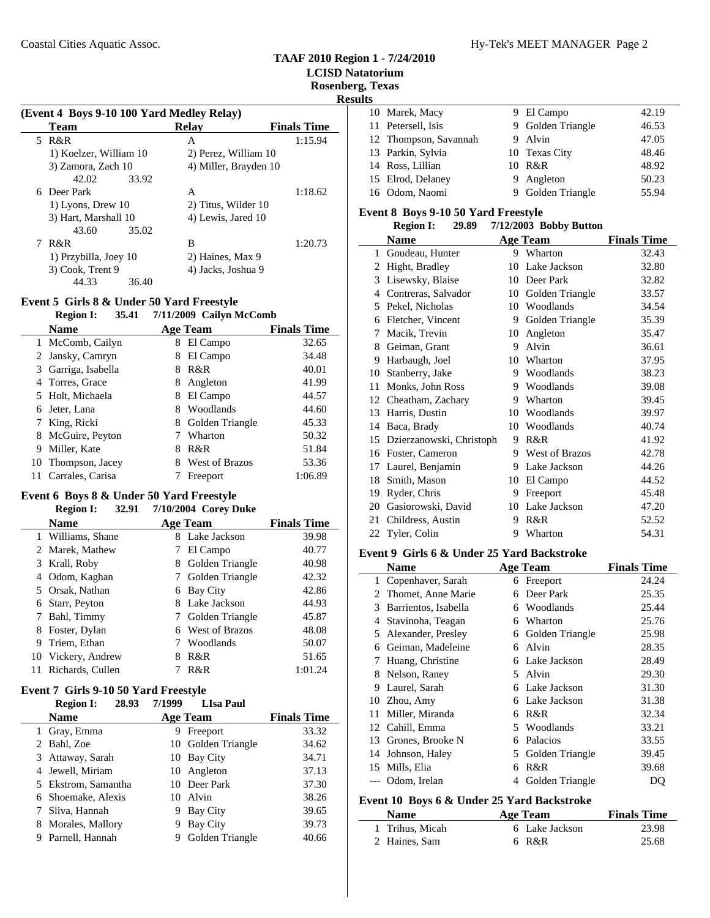#### Coastal Cities Aquatic Assoc. Hy-Tek's MEET MANAGER Page 2

#### **TAAF 2010 Region 1 - 7/24/2010 LCISD Natatorium Rosenberg, Texas**

**Results**

|    | (Event 4 Boys 9-10 100 Yard Medley Relay) |       |                       |                    |  |  |
|----|-------------------------------------------|-------|-----------------------|--------------------|--|--|
|    | Team                                      |       | <b>Relav</b>          | <b>Finals Time</b> |  |  |
| 5. | R&R                                       |       | A                     | 1:15.94            |  |  |
|    | 1) Koelzer, William 10                    |       | 2) Perez, William 10  |                    |  |  |
|    | 3) Zamora, Zach 10                        |       | 4) Miller, Brayden 10 |                    |  |  |
|    | 42.02                                     | 33.92 |                       |                    |  |  |
|    | 6 Deer Park                               |       | A                     | 1:18.62            |  |  |
|    | $1)$ Lyons, Drew $10$                     |       | 2) Titus, Wilder 10   |                    |  |  |
|    | 3) Hart, Marshall 10                      |       | 4) Lewis, Jared 10    |                    |  |  |
|    | 43.60                                     | 35.02 |                       |                    |  |  |
| 7  | R&R                                       |       | B                     | 1:20.73            |  |  |
|    | 1) Przybilla, Joey 10                     |       | 2) Haines, Max 9      |                    |  |  |
|    | 3) Cook, Trent 9                          |       | 4) Jacks, Joshua 9    |                    |  |  |
|    | 44.33                                     | 36.40 |                       |                    |  |  |

#### **Event 5 Girls 8 & Under 50 Yard Freestyle**

#### **Region I:** 35.41 7/11/2009 Cailyn McComb

|   | <b>Name</b>         |   | Age Team              | <b>Finals Time</b> |
|---|---------------------|---|-----------------------|--------------------|
|   | 1 McComb, Cailyn    | 8 | El Campo              | 32.65              |
|   | 2 Jansky, Camryn    | 8 | El Campo              | 34.48              |
|   | 3 Garriga, Isabella | 8 | R&R                   | 40.01              |
|   | 4 Torres, Grace     | 8 | Angleton              | 41.99              |
|   | 5 Holt, Michaela    | 8 | El Campo              | 44.57              |
| 6 | Jeter, Lana         | 8 | Woodlands             | 44.60              |
|   | King, Ricki         | 8 | Golden Triangle       | 45.33              |
| 8 | McGuire, Peyton     |   | Wharton               | 50.32              |
| 9 | Miller, Kate        | 8 | R&R                   | 51.84              |
|   | 10 Thompson, Jacey  | 8 | <b>West of Brazos</b> | 53.36              |
|   | Carrales, Carisa    |   | Freeport              | 1:06.89            |

#### **Event 6 Boys 8 & Under 50 Yard Freestyle**

#### **Region I:** 32.91 7/10/2004 Corey Duke

|   | <b>Name</b>         |        | <b>Age Team</b>  | <b>Finals Time</b> |
|---|---------------------|--------|------------------|--------------------|
|   | 1 Williams, Shane   |        | 8 Lake Jackson   | 39.98              |
|   | 2 Marek, Mathew     |        | El Campo         | 40.77              |
|   | 3 Krall, Roby       | 8      | Golden Triangle  | 40.98              |
|   | 4 Odom, Kaghan      |        | Golden Triangle  | 42.32              |
|   | 5 Orsak, Nathan     | 6      | <b>Bay City</b>  | 42.86              |
|   | 6 Starr, Peyton     | 8      | Lake Jackson     | 44.93              |
|   | Bahl, Timmy         | $\tau$ | Golden Triangle  | 45.87              |
|   | 8 Foster, Dylan     |        | 6 West of Brazos | 48.08              |
| 9 | Triem, Ethan        |        | Woodlands        | 50.07              |
|   | 10 Vickery, Andrew  | 8      | R&R              | 51.65              |
|   | 11 Richards, Cullen |        | R&R              | 1:01.24            |

#### **Event 7 Girls 9-10 50 Yard Freestyle**

#### **Region I: 28.93 LIsa Paul 7/1999**

|   | <b>Name</b>         |   | <b>Age Team</b>    | <b>Finals Time</b> |
|---|---------------------|---|--------------------|--------------------|
|   | 1 Gray, Emma        | 9 | Freeport           | 33.32              |
|   | 2 Bahl, Zoe         |   | 10 Golden Triangle | 34.62              |
|   | 3 Attaway, Sarah    |   | 10 Bay City        | 34.71              |
|   | 4 Jewell, Miriam    |   | 10 Angleton        | 37.13              |
|   | 5 Ekstrom, Samantha |   | 10 Deer Park       | 37.30              |
|   | 6 Shoemake, Alexis  |   | 10 Alvin           | 38.26              |
|   | 7 Sliva, Hannah     | 9 | <b>Bay City</b>    | 39.65              |
| 8 | Morales, Mallory    | 9 | <b>Bay City</b>    | 39.73              |
|   | Parnell, Hannah     |   | Golden Triangle    | 40.66              |

| 10 Marek, Macy        |  | 42.19                                                                                                    |
|-----------------------|--|----------------------------------------------------------------------------------------------------------|
| 11 Petersell, Isis    |  | 46.53                                                                                                    |
| 12 Thompson, Savannah |  | 47.05                                                                                                    |
| 13 Parkin, Sylvia     |  | 48.46                                                                                                    |
| 14 Ross, Lillian      |  | 48.92                                                                                                    |
| 15 Elrod, Delaney     |  | 50.23                                                                                                    |
| 16 Odom, Naomi        |  | 55.94                                                                                                    |
|                       |  | 9 El Campo<br>9 Golden Triangle<br>9 Alvin<br>10 Texas City<br>10 R&R<br>9 Angleton<br>9 Golden Triangle |

#### **Event 8 Boys 9-10 50 Yard Freestyle**

|    | <b>Region I:</b><br>29.89 |    | 7/12/2003 Bobby Button |                    |
|----|---------------------------|----|------------------------|--------------------|
|    | Name                      |    | <b>Age Team</b>        | <b>Finals Time</b> |
| 1  | Goudeau, Hunter           |    | 9 Wharton              | 32.43              |
| 2  | Hight, Bradley            | 10 | Lake Jackson           | 32.80              |
| 3  | Lisewsky, Blaise          | 10 | Deer Park              | 32.82              |
| 4  | Contreras, Salvador       | 10 | Golden Triangle        | 33.57              |
| 5  | Pekel, Nicholas           | 10 | Woodlands              | 34.54              |
| 6  | Fletcher, Vincent         | 9  | Golden Triangle        | 35.39              |
| 7  | Macik, Trevin             | 10 | Angleton               | 35.47              |
| 8  | Geiman, Grant             | 9  | Alvin                  | 36.61              |
| 9  | Harbaugh, Joel            | 10 | Wharton                | 37.95              |
| 10 | Stanberry, Jake           | 9  | Woodlands              | 38.23              |
| 11 | Monks, John Ross          | 9  | Woodlands              | 39.08              |
| 12 | Cheatham, Zachary         | 9  | Wharton                | 39.45              |
| 13 | Harris, Dustin            | 10 | Woodlands              | 39.97              |
| 14 | Baca, Brady               | 10 | Woodlands              | 40.74              |
| 15 | Dzierzanowski, Christoph  | 9  | R&R                    | 41.92              |
| 16 | Foster, Cameron           | 9  | <b>West of Brazos</b>  | 42.78              |
| 17 | Laurel, Benjamin          | 9  | Lake Jackson           | 44.26              |
| 18 | Smith, Mason              | 10 | El Campo               | 44.52              |
| 19 | Ryder, Chris              | 9  | Freeport               | 45.48              |
| 20 | Gasiorowski, David        | 10 | Lake Jackson           | 47.20              |
| 21 | Childress, Austin         | 9  | R&R                    | 52.52              |
|    | 22 Tyler, Colin           | 9  | Wharton                | 54.31              |

#### **Event 9 Girls 6 & Under 25 Yard Backstroke**

|              | Name                                                |    | <b>Age Team</b>   | <b>Finals Time</b> |
|--------------|-----------------------------------------------------|----|-------------------|--------------------|
| $\mathbf{1}$ | Copenhaver, Sarah                                   | 6  | Freeport          | 24.24              |
|              | 2 Thomet, Anne Marie                                | 6  | Deer Park         | 25.35              |
| 3            | Barrientos, Isabella                                | 6  | Woodlands         | 25.44              |
| 4            | Stavinoha, Teagan                                   | 6  | Wharton           | 25.76              |
| 5            | Alexander, Presley                                  |    | 6 Golden Triangle | 25.98              |
| 6            | Geiman, Madeleine                                   | 6  | Alvin             | 28.35              |
| 7            | Huang, Christine                                    |    | 6 Lake Jackson    | 28.49              |
| 8            | Nelson, Raney                                       |    | 5 Alvin           | 29.30              |
| 9            | Laurel, Sarah                                       |    | 6 Lake Jackson    | 31.30              |
|              | 10 Zhou, Amy                                        | 6  | Lake Jackson      | 31.38              |
| 11.          | Miller, Miranda                                     | 6  | R&R               | 32.34              |
|              | 12 Cahill, Emma                                     | 5. | Woodlands         | 33.21              |
| 13           | Grones, Brooke N                                    | 6  | Palacios          | 33.55              |
|              | 14 Johnson, Haley                                   |    | 5 Golden Triangle | 39.45              |
|              | 15 Mills, Elia                                      | 6  | R&R               | 39.68              |
|              | Odom, Irelan                                        | 4  | Golden Triangle   | DQ                 |
|              | $\sim$ 40 $\sim$ $\sim$ $\sim$ $\sim$ $\sim$ $\sim$ | .  | $\sim$ $\sim$     |                    |

### **Event 10 Boys 6 & Under 25 Yard Backstroke**

| <b>Name</b>     | Age Team       | <b>Finals Time</b> |
|-----------------|----------------|--------------------|
| 1 Trihus, Micah | 6 Lake Jackson | 23.98              |
| 2 Haines, Sam   | 6 R&R          | 25.68              |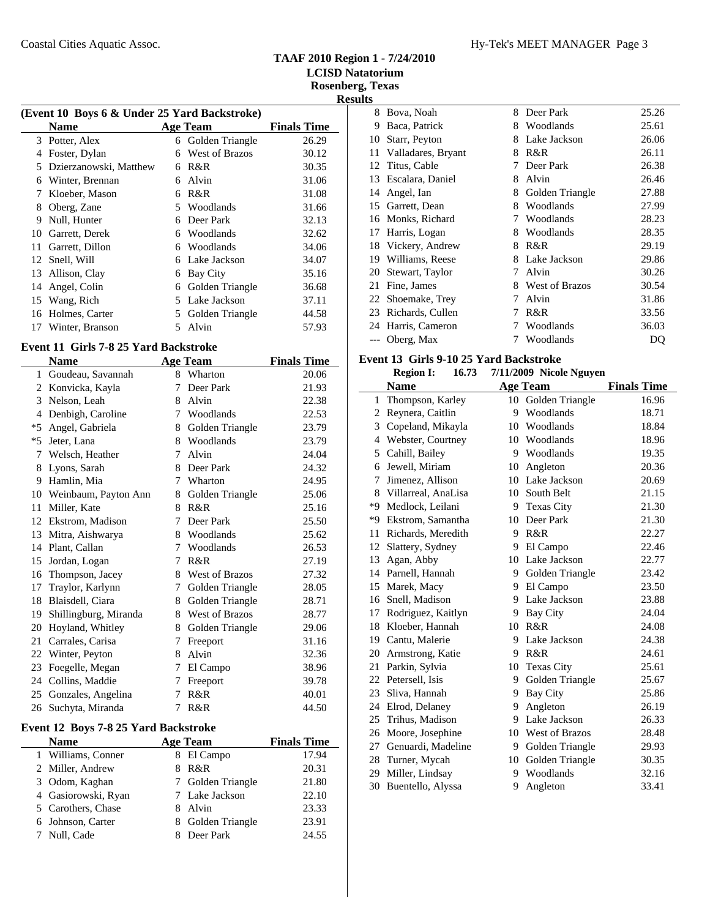$\overline{\phantom{0}}$ 

|    |                        | (Event 10 Boys 6 & Under 25 Yard Backstroke) |                 |                    |  |  |  |
|----|------------------------|----------------------------------------------|-----------------|--------------------|--|--|--|
|    | <b>Name</b>            |                                              | <b>Age Team</b> | <b>Finals Time</b> |  |  |  |
|    | 3 Potter, Alex         | 6                                            | Golden Triangle | 26.29              |  |  |  |
| 4  | Foster, Dylan          | 6                                            | West of Brazos  | 30.12              |  |  |  |
| 5  | Dzierzanowski, Matthew | 6                                            | R&R             | 30.35              |  |  |  |
| 6  | Winter, Brennan        | 6                                            | Alvin           | 31.06              |  |  |  |
| 7  | Kloeber, Mason         | 6                                            | R&R             | 31.08              |  |  |  |
| 8  | Oberg, Zane            | 5.                                           | Woodlands       | 31.66              |  |  |  |
| 9  | Null, Hunter           | 6                                            | Deer Park       | 32.13              |  |  |  |
| 10 | Garrett, Derek         | 6                                            | Woodlands       | 32.62              |  |  |  |
| 11 | Garrett, Dillon        | 6                                            | Woodlands       | 34.06              |  |  |  |
| 12 | Snell, Will            | 6                                            | Lake Jackson    | 34.07              |  |  |  |
| 13 | Allison, Clay          | 6                                            | Bay City        | 35.16              |  |  |  |
| 14 | Angel, Colin           | 6                                            | Golden Triangle | 36.68              |  |  |  |
| 15 | Wang, Rich             | 5                                            | Lake Jackson    | 37.11              |  |  |  |
| 16 | Holmes, Carter         | 5                                            | Golden Triangle | 44.58              |  |  |  |
| 17 | Winter, Branson        | 5                                            | Alvin           | 57.93              |  |  |  |

#### **Event 11 Girls 7-8 25 Yard Backstroke**

| <b>Name</b> |                       |   | <b>Age Team</b>       | <b>Finals Time</b> |
|-------------|-----------------------|---|-----------------------|--------------------|
| 1           | Goudeau, Savannah     | 8 | Wharton               | 20.06              |
| 2           | Konvicka, Kayla       | 7 | Deer Park             | 21.93              |
| 3           | Nelson, Leah          | 8 | Alvin                 | 22.38              |
| 4           | Denbigh, Caroline     | 7 | Woodlands             | 22.53              |
| $*5$        | Angel, Gabriela       | 8 | Golden Triangle       | 23.79              |
| $*5$        | Jeter, Lana           | 8 | Woodlands             | 23.79              |
| 7           | Welsch, Heather       | 7 | Alvin                 | 24.04              |
| 8           | Lyons, Sarah          | 8 | Deer Park             | 24.32              |
| 9           | Hamlin, Mia           | 7 | Wharton               | 24.95              |
| 10          | Weinbaum, Payton Ann  | 8 | Golden Triangle       | 25.06              |
| 11          | Miller, Kate          | 8 | R&R                   | 25.16              |
| 12          | Ekstrom, Madison      | 7 | Deer Park             | 25.50              |
| 13          | Mitra, Aishwarya      | 8 | Woodlands             | 25.62              |
| 14          | Plant, Callan         | 7 | Woodlands             | 26.53              |
| 15          | Jordan, Logan         | 7 | R&R                   | 27.19              |
| 16          | Thompson, Jacey       | 8 | West of Brazos        | 27.32              |
| 17          | Traylor, Karlynn      | 7 | Golden Triangle       | 28.05              |
| 18          | Blaisdell, Ciara      | 8 | Golden Triangle       | 28.71              |
| 19          | Shillingburg, Miranda | 8 | <b>West of Brazos</b> | 28.77              |
| 20          | Hoyland, Whitley      | 8 | Golden Triangle       | 29.06              |
| 21          | Carrales, Carisa      | 7 | Freeport              | 31.16              |
| 22          | Winter, Peyton        | 8 | Alvin                 | 32.36              |
| 23          | Foegelle, Megan       | 7 | El Campo              | 38.96              |
| 24          | Collins, Maddie       | 7 | Freeport              | 39.78              |
| 25          | Gonzales, Angelina    | 7 | R&R                   | 40.01              |
| 26          | Suchyta, Miranda      | 7 | R&R                   | 44.50              |

#### **Event 12 Boys 7-8 25 Yard Backstroke**

| <b>Name</b>         | <b>Age Team</b>   | <b>Finals Time</b> |
|---------------------|-------------------|--------------------|
| 1 Williams, Conner  | 8 El Campo        | 17.94              |
| 2 Miller, Andrew    | R&R               | 20.31              |
| 3 Odom, Kaghan      | 7 Golden Triangle | 21.80              |
| 4 Gasiorowski, Ryan | 7 Lake Jackson    | 22.10              |
| 5 Carothers, Chase  | Alvin             | 23.33              |
| 6 Johnson, Carter   | 8 Golden Triangle | 23.91              |
| 7 Null, Cade        | 8 Deer Park       | 24.55              |

| <b>Results</b> |                       |   |                       |       |
|----------------|-----------------------|---|-----------------------|-------|
| 8              | Bova, Noah            | 8 | Deer Park             | 25.26 |
| 9              | Baca, Patrick         | 8 | Woodlands             | 25.61 |
| 10             | Starr, Peyton         | 8 | Lake Jackson          | 26.06 |
|                | 11 Valladares, Bryant | 8 | R&R                   | 26.11 |
|                | 12 Titus, Cable       | 7 | Deer Park             | 26.38 |
|                | 13 Escalara, Daniel   | 8 | Alvin                 | 26.46 |
|                | 14 Angel, Ian         | 8 | Golden Triangle       | 27.88 |
|                | 15 Garrett, Dean      | 8 | Woodlands             | 27.99 |
|                | 16 Monks, Richard     | 7 | Woodlands             | 28.23 |
| 17             | Harris, Logan         | 8 | Woodlands             | 28.35 |
|                | 18 Vickery, Andrew    | 8 | R&R                   | 29.19 |
|                | 19 Williams, Reese    | 8 | Lake Jackson          | 29.86 |
| 20             | Stewart, Taylor       | 7 | Alvin                 | 30.26 |
| 21             | Fine, James           | 8 | <b>West of Brazos</b> | 30.54 |
| 22             | Shoemake, Trey        | 7 | Alvin                 | 31.86 |
| 23             | Richards, Cullen      | 7 | R&R                   | 33.56 |
|                | 24 Harris, Cameron    | 7 | Woodlands             | 36.03 |
|                | Oberg, Max            |   | Woodlands             | DO    |

### **Event 13 Girls 9-10 25 Yard Backstroke**<br>**Region I:** 16.73 7/11/2009 Nicole Ne

|                | <b>Region I:</b><br>16.73 |    | 7/11/2009 Nicole Nguyen |                    |
|----------------|---------------------------|----|-------------------------|--------------------|
|                | <b>Name</b>               |    | <b>Age Team</b>         | <b>Finals Time</b> |
| $\mathbf{1}$   | Thompson, Karley          | 10 | Golden Triangle         | 16.96              |
| 2              | Reynera, Caitlin          | 9  | Woodlands               | 18.71              |
| 3              | Copeland, Mikayla         | 10 | Woodlands               | 18.84              |
| $\overline{4}$ | Webster, Courtney         | 10 | Woodlands               | 18.96              |
| 5              | Cahill, Bailey            | 9  | Woodlands               | 19.35              |
| 6              | Jewell, Miriam            | 10 | Angleton                | 20.36              |
| 7              | Jimenez, Allison          | 10 | Lake Jackson            | 20.69              |
| 8              | Villarreal, AnaLisa       | 10 | South Belt              | 21.15              |
| *9             | Medlock. Leilani          | 9  | <b>Texas City</b>       | 21.30              |
| *9             | Ekstrom, Samantha         | 10 | Deer Park               | 21.30              |
| 11             | Richards, Meredith        | 9  | R&R                     | 22.27              |
| 12             | Slattery, Sydney          | 9  | El Campo                | 22.46              |
| 13             | Agan, Abby                | 10 | Lake Jackson            | 22.77              |
| 14             | Parnell, Hannah           | 9  | Golden Triangle         | 23.42              |
| 15             | Marek, Macy               | 9  | El Campo                | 23.50              |
| 16             | Snell, Madison            | 9  | Lake Jackson            | 23.88              |
| 17             | Rodriguez, Kaitlyn        | 9  | <b>Bay City</b>         | 24.04              |
| 18             | Kloeber, Hannah           | 10 | R&R                     | 24.08              |
| 19             | Cantu, Malerie            | 9  | Lake Jackson            | 24.38              |
| 20             | Armstrong, Katie          | 9  | R&R                     | 24.61              |
| 21             | Parkin, Sylvia            | 10 | <b>Texas City</b>       | 25.61              |
| 22             | Petersell, Isis           | 9  | Golden Triangle         | 25.67              |
| 23             | Sliva, Hannah             | 9  | <b>Bay City</b>         | 25.86              |
| 24             | Elrod, Delaney            | 9  | Angleton                | 26.19              |
| 25             | Trihus, Madison           | 9  | Lake Jackson            | 26.33              |
| 26             | Moore, Josephine          | 10 | <b>West of Brazos</b>   | 28.48              |
| 27             | Genuardi, Madeline        | 9  | Golden Triangle         | 29.93              |
| 28             | Turner, Mycah             | 10 | Golden Triangle         | 30.35              |
| 29             | Miller, Lindsay           | 9  | Woodlands               | 32.16              |
| 30             | Buentello, Alyssa         | 9  | Angleton                | 33.41              |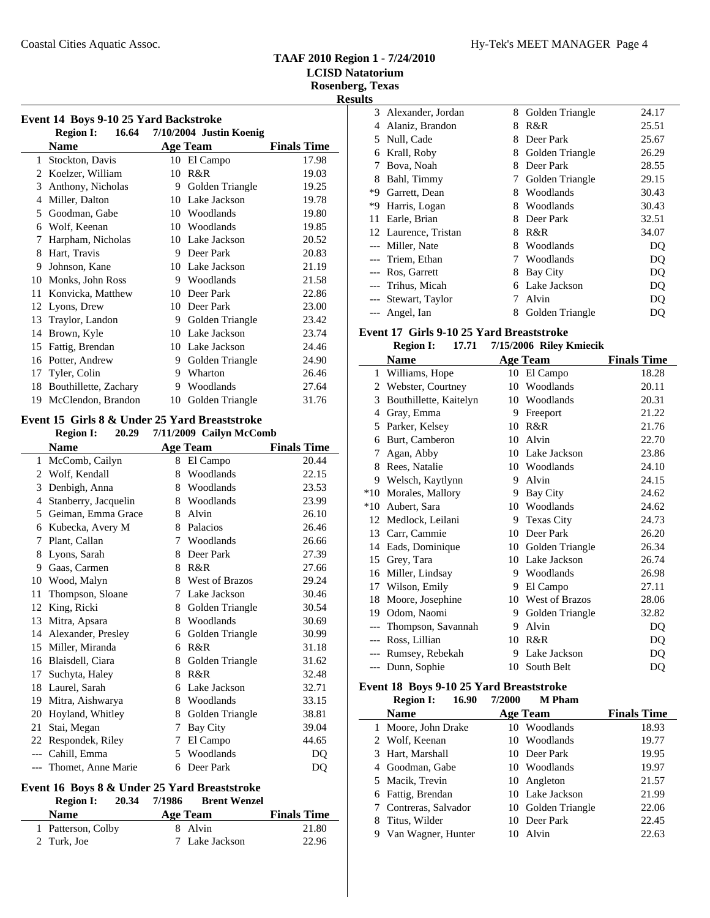**Result** 

| Event 14 Boys 9-10 25 Yard Backstroke |                   |                                         |                    |  |  |
|---------------------------------------|-------------------|-----------------------------------------|--------------------|--|--|
|                                       |                   | Region I: 16.64 7/10/2004 Justin Koenig |                    |  |  |
|                                       | <b>Name</b>       | Age Team                                | <b>Finals Time</b> |  |  |
|                                       |                   |                                         |                    |  |  |
|                                       | 1 Stockton, Davis | 10 El Campo                             | 17.98              |  |  |

|     | 2 Koelzer, William    | Ю  | R&R             | 19.03 |
|-----|-----------------------|----|-----------------|-------|
| 3.  | Anthony, Nicholas     | 9  | Golden Triangle | 19.25 |
| 4   | Miller, Dalton        |    | 10 Lake Jackson | 19.78 |
| 5   | Goodman, Gabe         |    | 10 Woodlands    | 19.80 |
| 6   | Wolf, Keenan          |    | 10 Woodlands    | 19.85 |
| 7   | Harpham, Nicholas     |    | 10 Lake Jackson | 20.52 |
| 8   | Hart, Travis          | 9  | Deer Park       | 20.83 |
| 9   | Johnson, Kane         |    | 10 Lake Jackson | 21.19 |
|     | 10 Monks, John Ross   | 9  | Woodlands       | 21.58 |
|     | 11 Konvicka, Matthew  |    | 10 Deer Park    | 22.86 |
|     | 12 Lyons, Drew        |    | 10 Deer Park    | 23.00 |
|     | 13 Traylor, Landon    | 9  | Golden Triangle | 23.42 |
|     | 14 Brown, Kyle        |    | 10 Lake Jackson | 23.74 |
| 15  | Fattig, Brendan       |    | 10 Lake Jackson | 24.46 |
|     | 16 Potter, Andrew     | 9  | Golden Triangle | 24.90 |
|     | 17 Tyler, Colin       | 9  | Wharton         | 26.46 |
| 18  | Bouthillette, Zachary | 9  | Woodlands       | 27.64 |
| 19. | McClendon, Brandon    | 10 | Golden Triangle | 31.76 |

#### **Event 15 Girls 8 & Under 25 Yard Breaststroke Region I:** 20.29 7/11/2009 Cailyn McComb

|                | <b>Name</b>          |    | <b>Age Team</b>       | <b>Finals Time</b> |
|----------------|----------------------|----|-----------------------|--------------------|
| $\mathbf{1}$   | McComb, Cailyn       |    | 8 El Campo            | 20.44              |
| $\mathfrak{D}$ | Wolf, Kendall        | 8  | Woodlands             | 22.15              |
| 3              | Denbigh, Anna        | 8  | Woodlands             | 23.53              |
| 4              | Stanberry, Jacquelin | 8  | Woodlands             | 23.99              |
| 5              | Geiman, Emma Grace   | 8  | Alvin                 | 26.10              |
| 6              | Kubecka, Avery M     | 8  | Palacios              | 26.46              |
| 7              | Plant, Callan        | 7  | Woodlands             | 26.66              |
| 8              | Lyons, Sarah         | 8  | Deer Park             | 27.39              |
| 9              | Gaas, Carmen         | 8  | R&R                   | 27.66              |
| 10             | Wood, Malyn          | 8  | <b>West of Brazos</b> | 29.24              |
| 11             | Thompson, Sloane     | 7  | Lake Jackson          | 30.46              |
| 12             | King, Ricki          | 8  | Golden Triangle       | 30.54              |
| 13             | Mitra, Apsara        | 8  | Woodlands             | 30.69              |
| 14             | Alexander, Presley   | 6  | Golden Triangle       | 30.99              |
| 15             | Miller, Miranda      | 6  | R & R                 | 31.18              |
| 16             | Blaisdell, Ciara     | 8  | Golden Triangle       | 31.62              |
| 17             | Suchyta, Haley       | 8  | R & R                 | 32.48              |
| 18             | Laurel, Sarah        | 6  | Lake Jackson          | 32.71              |
| 19             | Mitra, Aishwarya     | 8  | Woodlands             | 33.15              |
| 20             | Hoyland, Whitley     | 8  | Golden Triangle       | 38.81              |
| 21             | Stai, Megan          | 7  | <b>Bay City</b>       | 39.04              |
|                | 22 Respondek, Riley  | 7  | El Campo              | 44.65              |
|                | --- Cahill, Emma     | 5. | Woodlands             | DQ                 |
|                | Thomet, Anne Marie   | 6  | Deer Park             | DQ                 |
|                |                      |    |                       |                    |

#### **Event 16 Boys 8 & Under 25 Yard Breaststroke Region I: 20.34 7/1986 Brent Wenzel**

| <b>Name</b>        | Age Team       | <b>Finals Time</b> |
|--------------------|----------------|--------------------|
| 1 Patterson, Colby | 8 Alvin        | 21.80              |
| 2 Turk. Joe        | 7 Lake Jackson | 22.96              |

| ts    |                      |   |                 |       |
|-------|----------------------|---|-----------------|-------|
|       | 3 Alexander, Jordan  | 8 | Golden Triangle | 24.17 |
| 4     | Alaniz, Brandon      | 8 | R&R             | 25.51 |
| 5     | Null, Cade           | 8 | Deer Park       | 25.67 |
| 6     | Krall, Roby          | 8 | Golden Triangle | 26.29 |
| 7     | Bova, Noah           | 8 | Deer Park       | 28.55 |
| 8     | Bahl, Timmy          | 7 | Golden Triangle | 29.15 |
| *9    | Garrett, Dean        | 8 | Woodlands       | 30.43 |
| *9    | Harris, Logan        | 8 | Woodlands       | 30.43 |
| 11    | Earle, Brian         | 8 | Deer Park       | 32.51 |
|       | 12 Laurence, Tristan | 8 | R&R             | 34.07 |
| $---$ | Miller, Nate         | 8 | Woodlands       | DQ    |
|       | --- Triem, Ethan     | 7 | Woodlands       | DQ    |
| $---$ | Ros, Garrett         | 8 | Bay City        | DQ    |
|       | Trihus, Micah        | 6 | Lake Jackson    | DQ    |
|       | --- Stewart, Taylor  | 7 | Alvin           | DQ    |
|       | --- Angel, Ian       | 8 | Golden Triangle | DQ    |

#### **Event 17 Girls 9-10 25 Yard Breaststroke**

|       | 17.71<br><b>Region I:</b> |                 | 7/15/2006 Riley Kmiecik |                    |
|-------|---------------------------|-----------------|-------------------------|--------------------|
|       | <b>Name</b>               | <b>Age Team</b> |                         | <b>Finals Time</b> |
| 1     | Williams, Hope            | 10 El Campo     |                         | 18.28              |
| 2     | Webster, Courtney         | 10              | Woodlands               | 20.11              |
| 3     | Bouthillette, Kaitelyn    | 10              | Woodlands               | 20.31              |
| 4     | Gray, Emma                | 9               | Freeport                | 21.22              |
| 5     | Parker, Kelsey            | R&R<br>10       |                         | 21.76              |
| 6     | Burt, Camberon            | Alvin<br>10     |                         | 22.70              |
| 7     | Agan, Abby                | 10              | Lake Jackson            | 23.86              |
| 8     | Rees, Natalie             | 10 Woodlands    |                         | 24.10              |
| 9     | Welsch, Kaytlynn          | Alvin<br>9      |                         | 24.15              |
| $*10$ | Morales, Mallory          | 9               | Bay City                | 24.62              |
| $*10$ | Aubert, Sara              | 10              | Woodlands               | 24.62              |
|       | 12 Medlock, Leilani       | 9               | <b>Texas City</b>       | 24.73              |
| 13    | Carr, Cammie              | 10              | Deer Park               | 26.20              |
| 14    | Eads, Dominique           | 10              | Golden Triangle         | 26.34              |
| 15    | Grey, Tara                |                 | 10 Lake Jackson         | 26.74              |
| 16    | Miller, Lindsay           | 9               | Woodlands               | 26.98              |
| 17    | Wilson, Emily             | 9               | El Campo                | 27.11              |
| 18    | Moore, Josephine          | 10              | <b>West of Brazos</b>   | 28.06              |
| 19    | Odom, Naomi               | 9               | Golden Triangle         | 32.82              |
|       | Thompson, Savannah        | Alvin<br>9      |                         | DQ                 |
| $---$ | Ross, Lillian             | R&R<br>10       |                         | DQ                 |
|       | Rumsey, Rebekah           | 9               | Lake Jackson            | DQ                 |
|       | --- Dunn, Sophie          | 10              | South Belt              | DQ                 |

#### **Event 18 Boys 9-10 25 Yard Breaststroke**

|   | 16.90<br><b>Region I:</b> | 7/2000<br><b>M</b> Pham |                    |
|---|---------------------------|-------------------------|--------------------|
|   | <b>Name</b>               | <b>Age Team</b>         | <b>Finals Time</b> |
| 1 | Moore, John Drake         | 10 Woodlands            | 18.93              |
|   | 2 Wolf, Keenan            | 10 Woodlands            | 19.77              |
|   | 3 Hart, Marshall          | 10 Deer Park            | 19.95              |
|   | 4 Goodman, Gabe           | 10 Woodlands            | 19.97              |
|   | 5 Macik, Trevin           | 10 Angleton             | 21.57              |
|   | 6 Fattig, Brendan         | 10 Lake Jackson         | 21.99              |
|   | 7 Contreras, Salvador     | 10 Golden Triangle      | 22.06              |
|   | Titus, Wilder             | Deer Park<br>10         | 22.45              |
| 9 | Van Wagner, Hunter        | Alvin<br>10             | 22.63              |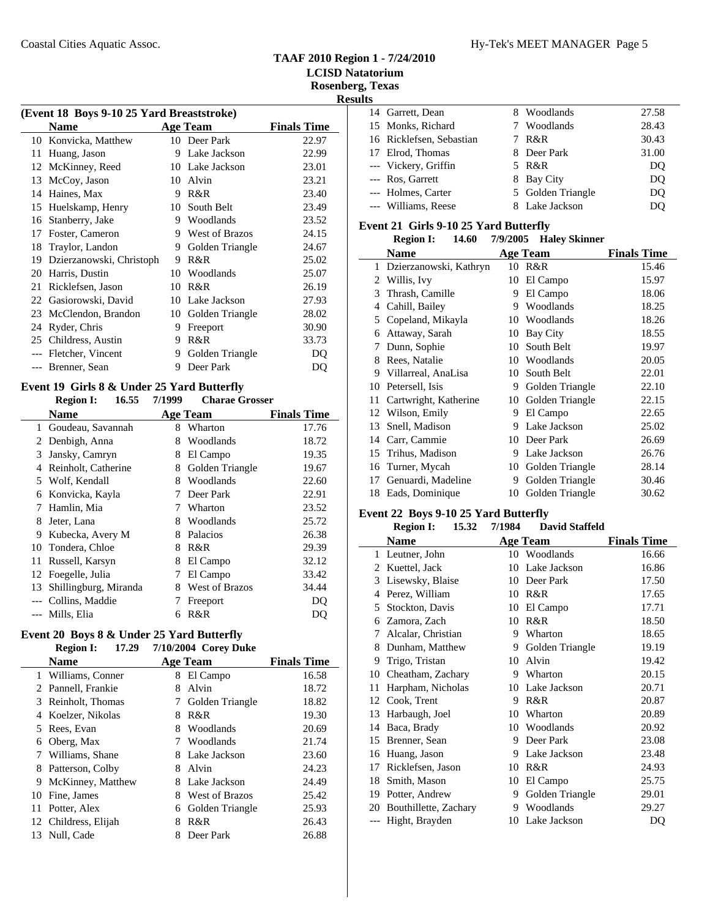# **Results**

| (Event 18 Boys 9-10 25 Yard Breaststroke) |                          |    |                       |                    |
|-------------------------------------------|--------------------------|----|-----------------------|--------------------|
|                                           | <b>Name</b>              |    | <b>Age Team</b>       | <b>Finals Time</b> |
| 10                                        | Konvicka, Matthew        |    | 10 Deer Park          | 22.97              |
| 11                                        | Huang, Jason             | 9  | Lake Jackson          | 22.99              |
| 12                                        | McKinney, Reed           | 10 | Lake Jackson          | 23.01              |
| 13                                        | McCoy, Jason             | 10 | Alvin                 | 23.21              |
| 14                                        | Haines, Max              | 9  | R&R                   | 23.40              |
| 15                                        | Huelskamp, Henry         | 10 | South Belt            | 23.49              |
| 16                                        | Stanberry, Jake          | 9  | Woodlands             | 23.52              |
| 17                                        | Foster, Cameron          | 9  | <b>West of Brazos</b> | 24.15              |
| 18                                        | Traylor, Landon          | 9  | Golden Triangle       | 24.67              |
| 19                                        | Dzierzanowski, Christoph | 9  | R&R                   | 25.02              |
| 20                                        | Harris, Dustin           | 10 | Woodlands             | 25.07              |
| 21                                        | Ricklefsen, Jason        | 10 | R&R                   | 26.19              |
| 22                                        | Gasiorowski, David       | 10 | Lake Jackson          | 27.93              |
| 23                                        | McClendon, Brandon       | 10 | Golden Triangle       | 28.02              |
| 24                                        | Ryder, Chris             | 9  | Freeport              | 30.90              |
| 25                                        | Childress, Austin        | 9  | R&R                   | 33.73              |
| $---$                                     | Fletcher, Vincent        | 9  | Golden Triangle       | DQ                 |
|                                           | Brenner, Sean            | 9  | Deer Park             | DO                 |

#### **Event 19 Girls 8 & Under 25 Yard Butterfly**

|    | <b>Region I:</b><br>16.55 | 7/1999 | <b>Charae Grosser</b> |                    |
|----|---------------------------|--------|-----------------------|--------------------|
|    | <b>Name</b>               |        | Age Team              | <b>Finals Time</b> |
| 1  | Goudeau, Savannah         | 8      | Wharton               | 17.76              |
| 2  | Denbigh, Anna             | 8      | Woodlands             | 18.72              |
| 3  | Jansky, Camryn            | 8      | El Campo              | 19.35              |
| 4  | Reinholt, Catherine       | 8      | Golden Triangle       | 19.67              |
|    | 5 Wolf, Kendall           | 8      | Woodlands             | 22.60              |
| 6  | Konvicka, Kayla           | 7      | Deer Park             | 22.91              |
| 7  | Hamlin, Mia               | 7      | Wharton               | 23.52              |
| 8  | Jeter, Lana               | 8      | Woodlands             | 25.72              |
| 9  | Kubecka, Avery M          | 8      | Palacios              | 26.38              |
|    | 10 Tondera, Chloe         | 8      | R&R                   | 29.39              |
| 11 | Russell, Karsyn           | 8      | El Campo              | 32.12              |
| 12 | Foegelle, Julia           | 7      | El Campo              | 33.42              |
| 13 | Shillingburg, Miranda     | 8      | <b>West of Brazos</b> | 34.44              |
|    | Collins, Maddie           | 7      | Freeport              | DO                 |
|    | --- Mills, Elia           | 6      | R&R                   | DQ                 |

#### **Event 20 Boys 8 & Under 25 Yard Butterfly Region I:** 17.29 7/10/2004 Corey Duke

|   | <b>Name</b>          |   | <b>Age Team</b>       | <b>Finals Time</b> |
|---|----------------------|---|-----------------------|--------------------|
|   | 1 Williams, Conner   | 8 | El Campo              | 16.58              |
|   | 2 Pannell, Frankie   | 8 | Alvin                 | 18.72              |
|   | 3 Reinholt, Thomas   |   | Golden Triangle       | 18.82              |
| 4 | Koelzer, Nikolas     | 8 | R&R                   | 19.30              |
|   | 5 Rees, Evan         | 8 | Woodlands             | 20.69              |
| 6 | Oberg, Max           |   | Woodlands             | 21.74              |
|   | Williams, Shane      | 8 | Lake Jackson          | 23.60              |
| 8 | Patterson, Colby     | 8 | Alvin                 | 24.23              |
| 9 | McKinney, Matthew    | 8 | Lake Jackson          | 24.49              |
|   | 10 Fine, James       | 8 | <b>West of Brazos</b> | 25.42              |
|   | 11 Potter, Alex      | 6 | Golden Triangle       | 25.93              |
|   | 12 Childress, Elijah | 8 | R&R                   | 26.43              |
|   | 13 Null, Cade        | 8 | Deer Park             | 26.88              |

| 14 Garrett, Dean         | 8 Woodlands       | 27.58          |
|--------------------------|-------------------|----------------|
| 15 Monks, Richard        | 7 Woodlands       | 28.43          |
| 16 Ricklefsen, Sebastian | 7 R&R             | 30.43          |
| 17 Elrod, Thomas         | 8 Deer Park       | 31.00          |
| --- Vickery, Griffin     | 5 R&R             | D <sub>O</sub> |
| --- Ros, Garrett         | 8 Bay City        | DQ             |
| --- Holmes, Carter       | 5 Golden Triangle | DQ             |
| --- Williams, Reese      | 8 Lake Jackson    | DO             |

#### **Event 21 Girls 9-10 25 Yard Butterfly**

| <b>Region I:</b> | 14.60 | 7/9/2005 Haley Skinner |
|------------------|-------|------------------------|

|    | <b>Name</b>            |    | <b>Age Team</b> | <b>Finals Time</b> |
|----|------------------------|----|-----------------|--------------------|
| 1  | Dzierzanowski, Kathryn | 10 | R&R             | 15.46              |
| 2  | Willis, Ivy            | 10 | El Campo        | 15.97              |
| 3  | Thrash, Camille        | 9  | El Campo        | 18.06              |
| 4  | Cahill, Bailey         | 9  | Woodlands       | 18.25              |
| 5  | Copeland, Mikayla      | 10 | Woodlands       | 18.26              |
| 6  | Attaway, Sarah         | 10 | <b>Bay City</b> | 18.55              |
| 7  | Dunn, Sophie           | 10 | South Belt      | 19.97              |
| 8  | Rees, Natalie          | 10 | Woodlands       | 20.05              |
| 9  | Villarreal, AnaLisa    | 10 | South Belt      | 22.01              |
| 10 | Petersell, Isis        | 9  | Golden Triangle | 22.10              |
| 11 | Cartwright, Katherine  | 10 | Golden Triangle | 22.15              |
|    | 12 Wilson, Emily       | 9  | El Campo        | 22.65              |
| 13 | Snell, Madison         | 9  | Lake Jackson    | 25.02              |
| 14 | Carr, Cammie           | 10 | Deer Park       | 26.69              |
|    | 15 Trihus, Madison     | 9  | Lake Jackson    | 26.76              |
| 16 | Turner, Mycah          | 10 | Golden Triangle | 28.14              |
| 17 | Genuardi, Madeline     | 9  | Golden Triangle | 30.46              |
| 18 | Eads, Dominique        | 10 | Golden Triangle | 30.62              |

#### **Event 22 Boys 9-10 25 Yard Butterfly**

|    | <b>Region I:</b><br>15.32 | 7/1984 | <b>David Staffeld</b> |                    |
|----|---------------------------|--------|-----------------------|--------------------|
|    | Name                      |        | Age Team              | <b>Finals Time</b> |
| 1  | Leutner, John             | 10     | Woodlands             | 16.66              |
| 2  | Kuettel, Jack             | 10     | Lake Jackson          | 16.86              |
| 3  | Lisewsky, Blaise          | 10     | Deer Park             | 17.50              |
| 4  | Perez, William            | 10     | R&R                   | 17.65              |
| 5  | Stockton, Davis           | 10     | El Campo              | 17.71              |
| 6  | Zamora, Zach              | 10     | R&R                   | 18.50              |
| 7  | Alcalar, Christian        | 9      | Wharton               | 18.65              |
| 8  | Dunham, Matthew           | 9      | Golden Triangle       | 19.19              |
| 9  | Trigo, Tristan            | 10     | Alvin                 | 19.42              |
| 10 | Cheatham, Zachary         | 9      | Wharton               | 20.15              |
| 11 | Harpham, Nicholas         | 10     | Lake Jackson          | 20.71              |
| 12 | Cook, Trent               | 9      | R&R                   | 20.87              |
| 13 | Harbaugh, Joel            | 10     | Wharton               | 20.89              |
| 14 | Baca, Brady               | 10     | Woodlands             | 20.92              |
| 15 | Brenner, Sean             | 9      | Deer Park             | 23.08              |
| 16 | Huang, Jason              | 9      | Lake Jackson          | 23.48              |
| 17 | Ricklefsen, Jason         | 10     | R&R                   | 24.93              |
| 18 | Smith, Mason              | 10     | El Campo              | 25.75              |
| 19 | Potter, Andrew            | 9      | Golden Triangle       | 29.01              |
| 20 | Bouthillette, Zachary     | 9      | Woodlands             | 29.27              |
|    | Hight, Brayden            | 10     | Lake Jackson          | DQ                 |
|    |                           |        |                       |                    |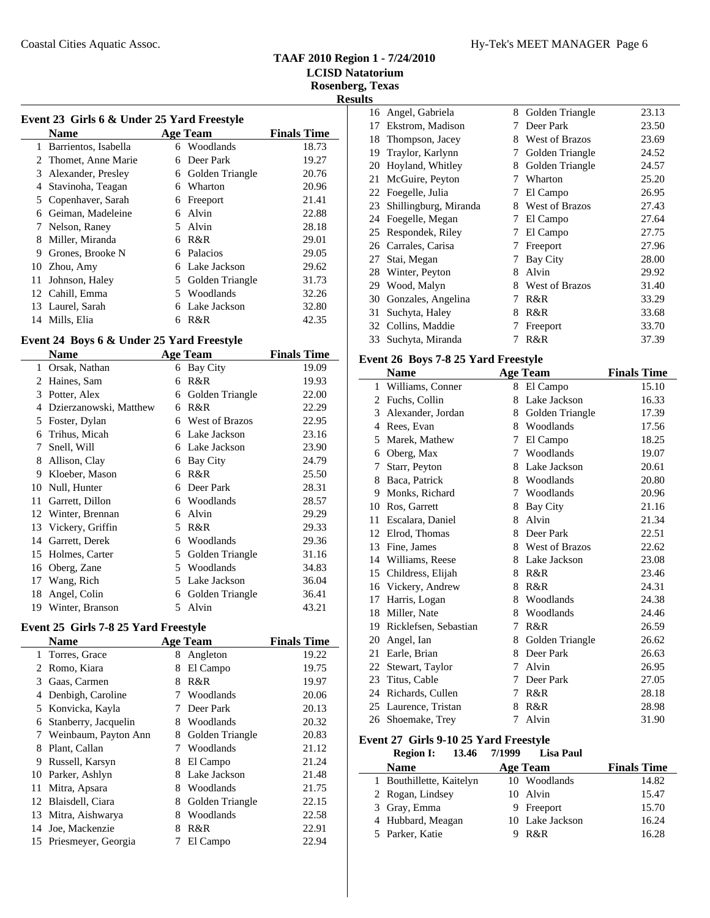#### Coastal Cities Aquatic Assoc. The Coastal Cities Aquatic Assoc. The Coastal Cities Aquatic Assoc.

#### **TAAF 2010 Region 1 - 7/24/2010 LCISD Natatorium Rosenberg, Texas Results**

| Event 23 Girls 6 & Under 25 Yard Freestyle |                      |    |                 |                    |
|--------------------------------------------|----------------------|----|-----------------|--------------------|
|                                            | <b>Name</b>          |    | <b>Age Team</b> | <b>Finals Time</b> |
| 1                                          | Barrientos, Isabella | 6  | Woodlands       | 18.73              |
| 2                                          | Thomet, Anne Marie   | 6  | Deer Park       | 19.27              |
| 3                                          | Alexander, Presley   | 6  | Golden Triangle | 20.76              |
| 4                                          | Stavinoha, Teagan    | 6  | Wharton         | 20.96              |
| 5                                          | Copenhaver, Sarah    | 6  | Freeport        | 21.41              |
| 6                                          | Geiman, Madeleine    | 6  | Alvin           | 22.88              |
| 7                                          | Nelson, Raney        | 5. | Alvin           | 28.18              |
| 8                                          | Miller, Miranda      | 6  | R&R             | 29.01              |
| 9                                          | Grones, Brooke N     | 6  | Palacios        | 29.05              |
| 10                                         | Zhou, Amy            | 6  | Lake Jackson    | 29.62              |
| 11                                         | Johnson, Haley       | 5. | Golden Triangle | 31.73              |
| 12                                         | Cahill, Emma         | 5  | Woodlands       | 32.26              |
|                                            | 13 Laurel, Sarah     | 6  | Lake Jackson    | 32.80              |
| 14                                         | Mills, Elia          | 6  | R&R             | 42.35              |

#### **Event 24 Boys 6 & Under 25 Yard Freestyle**

|    | Name                   |   | <b>Age Team</b>       | <b>Finals Time</b> |
|----|------------------------|---|-----------------------|--------------------|
| 1  | Orsak, Nathan          | 6 | Bay City              | 19.09              |
| 2  | Haines, Sam            | 6 | R&R                   | 19.93              |
| 3  | Potter, Alex           | 6 | Golden Triangle       | 22.00              |
| 4  | Dzierzanowski, Matthew | 6 | R&R                   | 22.29              |
| 5  | Foster, Dylan          | 6 | <b>West of Brazos</b> | 22.95              |
| 6  | Trihus, Micah          | 6 | Lake Jackson          | 23.16              |
| 7  | Snell, Will            | 6 | Lake Jackson          | 23.90              |
| 8  | Allison, Clay          | 6 | Bay City              | 24.79              |
| 9  | Kloeber, Mason         | 6 | R&R                   | 25.50              |
| 10 | Null, Hunter           | 6 | Deer Park             | 28.31              |
| 11 | Garrett, Dillon        | 6 | Woodlands             | 28.57              |
| 12 | Winter, Brennan        | 6 | Alvin                 | 29.29              |
| 13 | Vickery, Griffin       | 5 | R&R                   | 29.33              |
| 14 | Garrett, Derek         | 6 | Woodlands             | 29.36              |
| 15 | Holmes, Carter         | 5 | Golden Triangle       | 31.16              |
| 16 | Oberg, Zane            | 5 | Woodlands             | 34.83              |
| 17 | Wang, Rich             | 5 | Lake Jackson          | 36.04              |
| 18 | Angel, Colin           | 6 | Golden Triangle       | 36.41              |
| 19 | Winter, Branson        | 5 | Alvin                 | 43.21              |

#### **Event 25 Girls 7-8 25 Yard Freestyle**

|              | <b>Name</b>            |   | <b>Age Team</b> | <b>Finals Time</b> |
|--------------|------------------------|---|-----------------|--------------------|
| $\mathbf{1}$ | Torres, Grace          | 8 | Angleton        | 19.22              |
|              | 2 Romo, Kiara          | 8 | El Campo        | 19.75              |
| 3            | Gaas, Carmen           | 8 | R&R             | 19.97              |
| 4            | Denbigh, Caroline      |   | Woodlands       | 20.06              |
|              | 5 Konvicka, Kayla      |   | Deer Park       | 20.13              |
| 6            | Stanberry, Jacquelin   | 8 | Woodlands       | 20.32              |
| 7            | Weinbaum, Payton Ann   | 8 | Golden Triangle | 20.83              |
| 8            | Plant, Callan          |   | Woodlands       | 21.12              |
| 9            | Russell, Karsyn        | 8 | El Campo        | 21.24              |
|              | 10 Parker, Ashlyn      | 8 | Lake Jackson    | 21.48              |
| 11           | Mitra, Apsara          | 8 | Woodlands       | 21.75              |
|              | 12 Blaisdell, Ciara    | 8 | Golden Triangle | 22.15              |
|              | 13 Mitra, Aishwarya    | 8 | Woodlands       | 22.58              |
| 14           | Joe, Mackenzie         | 8 | R&R             | 22.91              |
|              | 15 Priesmeyer, Georgia |   | El Campo        | 22.94              |

| ıэ |                       |   |                       |       |
|----|-----------------------|---|-----------------------|-------|
|    | 16 Angel, Gabriela    | 8 | Golden Triangle       | 23.13 |
| 17 | Ekstrom, Madison      | 7 | Deer Park             | 23.50 |
| 18 | Thompson, Jacey       | 8 | <b>West of Brazos</b> | 23.69 |
| 19 | Traylor, Karlynn      | 7 | Golden Triangle       | 24.52 |
| 20 | Hoyland, Whitley      | 8 | Golden Triangle       | 24.57 |
| 21 | McGuire, Peyton       | 7 | Wharton               | 25.20 |
| 22 | Foegelle, Julia       | 7 | El Campo              | 26.95 |
| 23 | Shillingburg, Miranda | 8 | <b>West of Brazos</b> | 27.43 |
| 24 | Foegelle, Megan       | 7 | El Campo              | 27.64 |
| 25 | Respondek, Riley      | 7 | El Campo              | 27.75 |
| 26 | Carrales, Carisa      | 7 | Freeport              | 27.96 |
| 27 | Stai, Megan           | 7 | <b>Bay City</b>       | 28.00 |
| 28 | Winter, Peyton        | 8 | Alvin                 | 29.92 |
| 29 | Wood, Malyn           | 8 | <b>West of Brazos</b> | 31.40 |
| 30 | Gonzales, Angelina    | 7 | R&R                   | 33.29 |
| 31 | Suchyta, Haley        | 8 | R&R                   | 33.68 |
| 32 | Collins, Maddie       | 7 | Freeport              | 33.70 |
| 33 | Suchyta, Miranda      | 7 | R&R                   | 37.39 |

#### **Event 26 Boys 7-8 25 Yard Freestyle**

|    | <b>Name</b>           |    | <b>Age Team</b>  | <b>Finals Time</b> |
|----|-----------------------|----|------------------|--------------------|
| 1  | Williams, Conner      | 8. | El Campo         | 15.10              |
| 2  | Fuchs, Collin         | 8  | Lake Jackson     | 16.33              |
| 3  | Alexander, Jordan     | 8  | Golden Triangle  | 17.39              |
| 4  | Rees, Evan            | 8  | Woodlands        | 17.56              |
| 5  | Marek, Mathew         | 7  | El Campo         | 18.25              |
| 6  | Oberg, Max            | 7  | Woodlands        | 19.07              |
| 7  | Starr, Peyton         | 8  | Lake Jackson     | 20.61              |
| 8  | Baca, Patrick         | 8  | Woodlands        | 20.80              |
| 9  | Monks, Richard        | 7  | Woodlands        | 20.96              |
| 10 | Ros, Garrett          | 8  | Bay City         | 21.16              |
| 11 | Escalara, Daniel      | 8  | Alvin            | 21.34              |
| 12 | Elrod, Thomas         | 8  | Deer Park        | 22.51              |
| 13 | Fine, James           |    | 8 West of Brazos | 22.62              |
| 14 | Williams, Reese       | 8  | Lake Jackson     | 23.08              |
| 15 | Childress, Elijah     | 8  | R&R              | 23.46              |
| 16 | Vickery, Andrew       | 8  | R&R              | 24.31              |
| 17 | Harris, Logan         | 8  | Woodlands        | 24.38              |
| 18 | Miller, Nate          | 8  | Woodlands        | 24.46              |
| 19 | Ricklefsen, Sebastian | 7  | R&R              | 26.59              |
| 20 | Angel, Ian            | 8  | Golden Triangle  | 26.62              |
| 21 | Earle, Brian          | 8  | Deer Park        | 26.63              |
| 22 | Stewart, Taylor       | 7  | Alvin            | 26.95              |
| 23 | Titus, Cable          | 7  | Deer Park        | 27.05              |
| 24 | Richards, Cullen      | 7  | R&R              | 28.18              |
| 25 | Laurence, Tristan     | 8  | R&R              | 28.98              |
|    | 26 Shoemake, Trey     | 7  | Alvin            | 31.90              |

#### **Event 27 Girls 9-10 25 Yard Freestyle**

 $\overline{\phantom{0}}$ 

| <b>Region I:</b><br>13.46 | 7/1999 | Lisa Paul       |                    |
|---------------------------|--------|-----------------|--------------------|
| <b>Name</b>               |        | <b>Age Team</b> | <b>Finals Time</b> |
| 1 Bouthillette, Kaitelyn  |        | 10 Woodlands    | 14.82              |
| 2 Rogan, Lindsey          |        | 10 Alvin        | 15.47              |
| 3 Gray, Emma              |        | 9 Freeport      | 15.70              |
| 4 Hubbard, Meagan         |        | 10 Lake Jackson | 16.24              |
| 5 Parker, Katie           |        | $R\&R$          | 16.28              |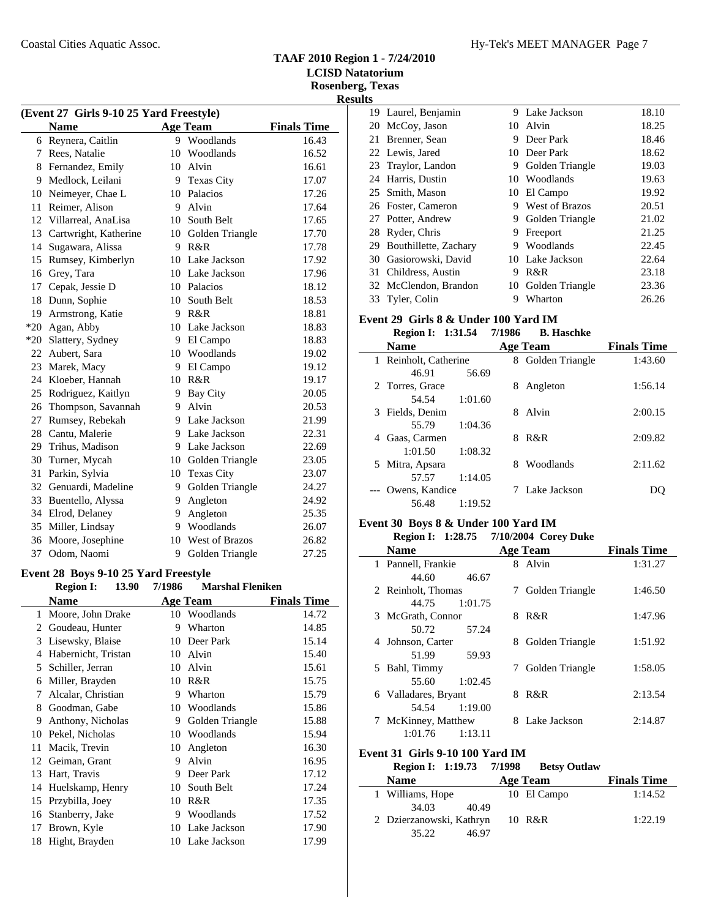$\overline{\phantom{0}}$ 

 $\sim$ 

| (Event 27 Girls 9-10 25 Yard Freestyle) |                        |    |                    |                    |  |
|-----------------------------------------|------------------------|----|--------------------|--------------------|--|
|                                         | <b>Name</b>            |    | <b>Age Team</b>    | <b>Finals Time</b> |  |
|                                         | 6 Reynera, Caitlin     |    | 9 Woodlands        | 16.43              |  |
|                                         | 7 Rees, Natalie        |    | 10 Woodlands       | 16.52              |  |
| 8                                       | Fernandez, Emily       |    | 10 Alvin           | 16.61              |  |
| 9                                       | Medlock, Leilani       | 9  | <b>Texas City</b>  | 17.07              |  |
| 10                                      | Neimeyer, Chae L       | 10 | Palacios           | 17.26              |  |
| 11                                      | Reimer, Alison         | 9  | Alvin              | 17.64              |  |
|                                         | 12 Villarreal, AnaLisa |    | 10 South Belt      | 17.65              |  |
| 13                                      | Cartwright, Katherine  |    | 10 Golden Triangle | 17.70              |  |
| 14                                      | Sugawara, Alissa       | 9  | R&R                | 17.78              |  |
| 15                                      | Rumsey, Kimberlyn      |    | 10 Lake Jackson    | 17.92              |  |
| 16                                      | Grey, Tara             |    | 10 Lake Jackson    | 17.96              |  |
| 17                                      | Cepak, Jessie D        |    | 10 Palacios        | 18.12              |  |
| 18                                      | Dunn, Sophie           |    | 10 South Belt      | 18.53              |  |
| 19                                      | Armstrong, Katie       | 9  | R&R                | 18.81              |  |
| $*20$                                   | Agan, Abby             | 10 | Lake Jackson       | 18.83              |  |
| $*20$                                   | Slattery, Sydney       |    | 9 El Campo         | 18.83              |  |
|                                         | 22 Aubert, Sara        |    | 10 Woodlands       | 19.02              |  |
|                                         | 23 Marek, Macy         |    | 9 El Campo         | 19.12              |  |
| 24                                      | Kloeber, Hannah        | 10 | R&R                | 19.17              |  |
| 25                                      | Rodriguez, Kaitlyn     | 9  | Bay City           | 20.05              |  |
| 26                                      | Thompson, Savannah     | 9. | Alvin              | 20.53              |  |
| 27                                      | Rumsey, Rebekah        |    | 9 Lake Jackson     | 21.99              |  |
| 28                                      | Cantu, Malerie         |    | 9 Lake Jackson     | 22.31              |  |
| 29                                      | Trihus, Madison        | 9  | Lake Jackson       | 22.69              |  |
| 30                                      | Turner, Mycah          |    | 10 Golden Triangle | 23.05              |  |
| 31                                      | Parkin, Sylvia         |    | 10 Texas City      | 23.07              |  |
|                                         | 32 Genuardi, Madeline  | 9  | Golden Triangle    | 24.27              |  |
| 33                                      | Buentello, Alyssa      | 9  | Angleton           | 24.92              |  |
| 34                                      | Elrod, Delaney         | 9  | Angleton           | 25.35              |  |
| 35                                      | Miller, Lindsay        | 9  | Woodlands          | 26.07              |  |
| 36                                      | Moore, Josephine       |    | 10 West of Brazos  | 26.82              |  |
| 37                                      | Odom, Naomi            | 9  | Golden Triangle    | 27.25              |  |

#### **Event 28 Boys 9-10 25 Yard Freestyle**

|    | 13.90<br><b>Region I:</b> | 7/1986 | <b>Marshal Fleniken</b> |                    |
|----|---------------------------|--------|-------------------------|--------------------|
|    | <b>Name</b>               |        | Age Team                | <b>Finals Time</b> |
| 1  | Moore, John Drake         | 10     | Woodlands               | 14.72              |
| 2  | Goudeau, Hunter           | 9      | Wharton                 | 14.85              |
| 3  | Lisewsky, Blaise          | 10     | Deer Park               | 15.14              |
| 4  | Habernicht, Tristan       | 10     | Alvin                   | 15.40              |
| 5  | Schiller, Jerran          | 10     | Alvin                   | 15.61              |
| 6  | Miller, Brayden           | 10     | R&R                     | 15.75              |
| 7  | Alcalar, Christian        | 9      | Wharton                 | 15.79              |
| 8  | Goodman, Gabe             | 10     | Woodlands               | 15.86              |
| 9  | Anthony, Nicholas         | 9      | Golden Triangle         | 15.88              |
| 10 | Pekel, Nicholas           | 10     | Woodlands               | 15.94              |
| 11 | Macik, Trevin             | 10     | Angleton                | 16.30              |
| 12 | Geiman, Grant             | 9      | Alvin                   | 16.95              |
| 13 | Hart, Travis              | 9      | Deer Park               | 17.12              |
| 14 | Huelskamp, Henry          | 10     | South Belt              | 17.24              |
| 15 | Przybilla, Joey           | 10     | R&R                     | 17.35              |
| 16 | Stanberry, Jake           | 9      | Woodlands               | 17.52              |
| 17 | Brown, Kyle               | 10     | Lake Jackson            | 17.90              |
| 18 | Hight, Brayden            | 10     | Lake Jackson            | 17.99              |

| <b>Results</b> |                          |    |                    |       |
|----------------|--------------------------|----|--------------------|-------|
|                | 19 Laurel, Benjamin      |    | 9 Lake Jackson     | 18.10 |
|                | 20 McCoy, Jason          |    | 10 Alvin           | 18.25 |
|                | 21 Brenner, Sean         | 9  | Deer Park          | 18.46 |
|                | 22 Lewis, Jared          |    | 10 Deer Park       | 18.62 |
|                | 23 Traylor, Landon       | 9. | Golden Triangle    | 19.03 |
|                | 24 Harris, Dustin        |    | 10 Woodlands       | 19.63 |
|                | 25 Smith, Mason          |    | 10 El Campo        | 19.92 |
|                | 26 Foster, Cameron       | 9. | West of Brazos     | 20.51 |
|                | 27 Potter, Andrew        | 9  | Golden Triangle    | 21.02 |
|                | 28 Ryder, Chris          | 9  | Freeport           | 21.25 |
|                | 29 Bouthillette, Zachary | 9  | Woodlands          | 22.45 |
|                | 30 Gasiorowski, David    |    | 10 Lake Jackson    | 22.64 |
|                | 31 Childress, Austin     | 9  | R&R                | 23.18 |
|                | 32 McClendon, Brandon    |    | 10 Golden Triangle | 23.36 |
|                | 33 Tyler, Colin          | 9  | Wharton            | 26.26 |

#### **Event 29 Girls 8 & Under 100 Yard IM**

### **Region I: 1:31.54 7/1986 B. Haschke**<br>**Nome** *Age* Team

|   | <b>Name</b>           |         |    | <b>Age Team</b> | <b>Finals Time</b> |
|---|-----------------------|---------|----|-----------------|--------------------|
|   | 1 Reinholt, Catherine |         | 8. | Golden Triangle | 1:43.60            |
|   | 46.91                 | 56.69   |    |                 |                    |
|   | 2 Torres, Grace       |         | 8  | Angleton        | 1:56.14            |
|   | 54.54                 | 1:01.60 |    |                 |                    |
|   | 3 Fields, Denim       |         | 8  | Alvin           | 2:00.15            |
|   | 55.79                 | 1:04.36 |    |                 |                    |
| 4 | Gaas, Carmen          |         | 8  | R&R             | 2:09.82            |
|   | 1:01.50               | 1:08.32 |    |                 |                    |
|   | 5 Mitra, Apsara       |         | 8  | Woodlands       | 2:11.62            |
|   | 57.57                 | 1:14.05 |    |                 |                    |
|   | Owens, Kandice        |         |    | 7 Lake Jackson  | DO                 |
|   | 56.48                 | 1:19.52 |    |                 |                    |

#### **Event 30 Boys 8 & Under 100 Yard IM**

### **Region I: 1:28.75 7/10/2004 Corey Duke**

|    | <b>Name</b>          |         |    | <b>Age Team</b> | <b>Finals Time</b> |
|----|----------------------|---------|----|-----------------|--------------------|
|    | 1 Pannell, Frankie   |         |    | 8 Alvin         | 1:31.27            |
|    | 44.60                | 46.67   |    |                 |                    |
|    | 2 Reinholt, Thomas   |         | 7  | Golden Triangle | 1:46.50            |
|    | 44.75                | 1:01.75 |    |                 |                    |
|    | 3 McGrath, Connor    |         | 8  | R&R             | 1:47.96            |
|    | 50.72                | 57.24   |    |                 |                    |
|    | Johnson, Carter      |         | 8. | Golden Triangle | 1:51.92            |
|    | 51.99                | 59.93   |    |                 |                    |
| 5. | Bahl, Timmy          |         | 7  | Golden Triangle | 1:58.05            |
|    | 55.60                | 1:02.45 |    |                 |                    |
|    | 6 Valladares, Bryant |         | 8  | R&R             | 2:13.54            |
|    | 54.54                | 1:19.00 |    |                 |                    |
| 7  | McKinney, Matthew    |         |    | 8 Lake Jackson  | 2:14.87            |
|    | 1:01.76              | 1:13.11 |    |                 |                    |

#### **Event 31 Girls 9-10 100 Yard IM**

#### **Region I: 1:19.73 7/1998 Betsy Outlaw**

| <b>Name</b>              | Age Team    | <b>Finals Time</b> |
|--------------------------|-------------|--------------------|
| 1 Williams, Hope         | 10 El Campo | 1:14.52            |
| 34.03<br>40.49           |             |                    |
| 2 Dzierzanowski, Kathryn | 10 R&R      | 1:22.19            |
| 35.22<br>46.97           |             |                    |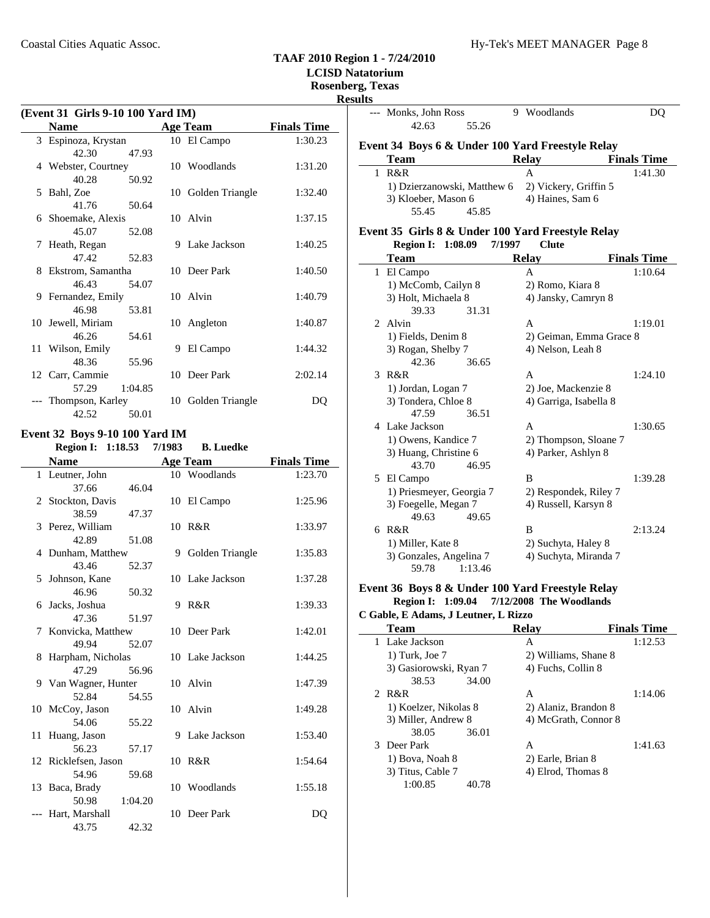#### **TAAF 2010 Region 1 - 7/24/2010 LCISD Natatorium**

**Rosenberg,** 

**Results**

| (Event 31 Girls 9-10 100 Yard IM) |                     |   |                    |                    |  |
|-----------------------------------|---------------------|---|--------------------|--------------------|--|
|                                   | <b>Name</b>         |   | <b>Age Team</b>    | <b>Finals Time</b> |  |
|                                   | 3 Espinoza, Krystan |   | 10 El Campo        | 1:30.23            |  |
|                                   | 42.30<br>47.93      |   |                    |                    |  |
|                                   | 4 Webster, Courtney |   | 10 Woodlands       | 1:31.20            |  |
|                                   | 40.28<br>50.92      |   |                    |                    |  |
|                                   | 5 Bahl, Zoe         |   | 10 Golden Triangle | 1:32.40            |  |
|                                   | 41.76<br>50.64      |   |                    |                    |  |
|                                   | 6 Shoemake, Alexis  |   | 10 Alvin           | 1:37.15            |  |
|                                   | 52.08<br>45.07      |   |                    |                    |  |
|                                   | 7 Heath, Regan      |   | 9 Lake Jackson     | 1:40.25            |  |
|                                   | 47.42<br>52.83      |   |                    |                    |  |
|                                   | 8 Ekstrom, Samantha |   | 10 Deer Park       | 1:40.50            |  |
|                                   | 46.43<br>54.07      |   |                    |                    |  |
|                                   | 9 Fernandez, Emily  |   | 10 Alvin           | 1:40.79            |  |
|                                   | 46.98<br>53.81      |   |                    |                    |  |
|                                   | 10 Jewell, Miriam   |   | 10 Angleton        | 1:40.87            |  |
|                                   | 46.26<br>54.61      |   |                    |                    |  |
|                                   | 11 Wilson, Emily    | 9 | El Campo           | 1:44.32            |  |
|                                   | 48.36<br>55.96      |   |                    |                    |  |
|                                   | 12 Carr, Cammie     |   | 10 Deer Park       | 2:02.14            |  |
|                                   | 57.29<br>1:04.85    |   |                    |                    |  |
|                                   | Thompson, Karley    |   | 10 Golden Triangle | DQ                 |  |
|                                   | 42.52<br>50.01      |   |                    |                    |  |

#### **Event 32 Boys 9-10 100 Yard IM**

**Region I: 1:18.53 7/1983 B. Luedke** 

| <b>Name</b>          |         | <b>Age Team</b>   | <b>Finals Time</b> |
|----------------------|---------|-------------------|--------------------|
| 1 Leutner, John      |         | 10 Woodlands      | 1:23.70            |
| 37.66                | 46.04   |                   |                    |
| 2 Stockton, Davis    |         | 10 El Campo       | 1:25.96            |
| 38.59                | 47.37   |                   |                    |
| 3 Perez, William     |         | 10 R&R            | 1:33.97            |
| 42.89                | 51.08   |                   |                    |
| 4 Dunham, Matthew    |         | 9 Golden Triangle | 1:35.83            |
| 43.46                | 52.37   |                   |                    |
| 5 Johnson, Kane      |         | 10 Lake Jackson   | 1:37.28            |
| 46.96                | 50.32   |                   |                    |
| 6 Jacks, Joshua      |         | 9 R&R             | 1:39.33            |
| 47.36                | 51.97   |                   |                    |
| 7 Konvicka, Matthew  |         | 10 Deer Park      | 1:42.01            |
| 49.94                | 52.07   |                   |                    |
| 8 Harpham, Nicholas  |         | 10 Lake Jackson   | 1:44.25            |
| 47.29                | 56.96   |                   |                    |
| 9 Van Wagner, Hunter |         | 10 Alvin          | 1:47.39            |
| 52.84                | 54.55   |                   |                    |
| 10 McCoy, Jason      |         | 10 Alvin          | 1:49.28            |
| 54.06                | 55.22   |                   |                    |
| 11 Huang, Jason      |         | 9 Lake Jackson    | 1:53.40            |
| 56.23                | 57.17   |                   |                    |
| 12 Ricklefsen, Jason |         | 10 R&R            | 1:54.64            |
| 54.96                | 59.68   |                   |                    |
| 13 Baca, Brady       |         | 10 Woodlands      | 1:55.18            |
| 50.98                | 1:04.20 |                   |                    |
| --- Hart, Marshall   |         | 10 Deer Park      | DO                 |
| 43.75                | 42.32   |                   |                    |

| rg, Texas<br>ults |                                                   |                         |                    |
|-------------------|---------------------------------------------------|-------------------------|--------------------|
|                   | --- Monks, John Ross                              | Woodlands<br>9          | DQ                 |
|                   | 55.26<br>42.63                                    |                         |                    |
|                   | Event 34 Boys 6 & Under 100 Yard Freestyle Relay  |                         |                    |
|                   | <b>Team</b>                                       | <b>Relay</b>            | <b>Finals Time</b> |
|                   | $1$ R&R                                           | A                       | 1:41.30            |
|                   | 1) Dzierzanowski, Matthew 6                       | 2) Vickery, Griffin 5   |                    |
|                   | 3) Kloeber, Mason 6                               | 4) Haines, Sam 6        |                    |
|                   | 55.45<br>45.85                                    |                         |                    |
|                   | Event 35 Girls 8 & Under 100 Yard Freestyle Relay |                         |                    |
|                   | 1:08.09<br>7/1997<br><b>Region I:</b>             | <b>Clute</b>            |                    |
|                   | <b>Team</b>                                       | <b>Relay</b>            | <b>Finals Time</b> |
|                   | 1 El Campo                                        | A                       | 1:10.64            |
|                   | 1) McComb, Cailyn 8                               | 2) Romo, Kiara 8        |                    |
|                   | 3) Holt, Michaela 8                               | 4) Jansky, Camryn 8     |                    |
|                   | 39.33<br>31.31                                    |                         |                    |
|                   | 2 Alvin                                           | A                       | 1:19.01            |
|                   | 1) Fields, Denim 8                                | 2) Geiman, Emma Grace 8 |                    |
|                   | 3) Rogan, Shelby 7                                | 4) Nelson, Leah 8       |                    |
|                   | 42.36<br>36.65                                    |                         |                    |
|                   | 3 R&R                                             | A                       | 1:24.10            |
|                   | 1) Jordan, Logan 7                                | 2) Joe, Mackenzie 8     |                    |
|                   | 3) Tondera, Chloe 8                               | 4) Garriga, Isabella 8  |                    |
|                   | 47.59<br>36.51                                    |                         |                    |
|                   | 4 Lake Jackson                                    | A                       | 1:30.65            |
|                   | 1) Owens, Kandice 7                               | 2) Thompson, Sloane 7   |                    |
|                   | 3) Huang, Christine 6<br>43.70<br>46.95           | 4) Parker, Ashlyn 8     |                    |
|                   | 5 El Campo                                        | B                       | 1:39.28            |
|                   | 1) Priesmeyer, Georgia 7                          | 2) Respondek, Riley 7   |                    |
|                   | 3) Foegelle, Megan 7                              | 4) Russell, Karsyn 8    |                    |
|                   | 49.65<br>49.63                                    |                         |                    |
|                   | 6 R&R                                             | B                       | 2:13.24            |
|                   | 1) Miller, Kate 8                                 | 2) Suchyta, Haley 8     |                    |
|                   | 3) Gonzales, Angelina 7                           | 4) Suchyta, Miranda 7   |                    |
|                   | 59.78<br>1:13.46                                  |                         |                    |
|                   | Event 36 Boys 8 & Under 100 Yard Freestyle Relay  |                         |                    |
|                   | <b>Region I:</b><br>1:09.04                       | 7/12/2008 The Woodlands |                    |
|                   | C Gable, E Adams, J Leutner, L Rizzo              |                         |                    |
|                   |                                                   |                         |                    |

| <b>Team</b>            | <b>Relav</b>         | <b>Finals Time</b> |
|------------------------|----------------------|--------------------|
| 1 Lake Jackson         | A                    | 1:12.53            |
| $1)$ Turk, Joe $7$     | 2) Williams, Shane 8 |                    |
| 3) Gasiorowski, Ryan 7 | 4) Fuchs, Collin 8   |                    |
| 38.53<br>34.00         |                      |                    |
| 2 R $&$ R              | A                    | 1:14.06            |
| 1) Koelzer, Nikolas 8  | 2) Alaniz, Brandon 8 |                    |
| 3) Miller, Andrew 8    | 4) McGrath, Connor 8 |                    |
| 38.05<br>36.01         |                      |                    |
| 3 Deer Park            | A                    | 1:41.63            |
| 1) Bova, Noah 8        | 2) Earle, Brian 8    |                    |
| 3) Titus, Cable 7      | 4) Elrod, Thomas 8   |                    |
| 1:00.85<br>40.78       |                      |                    |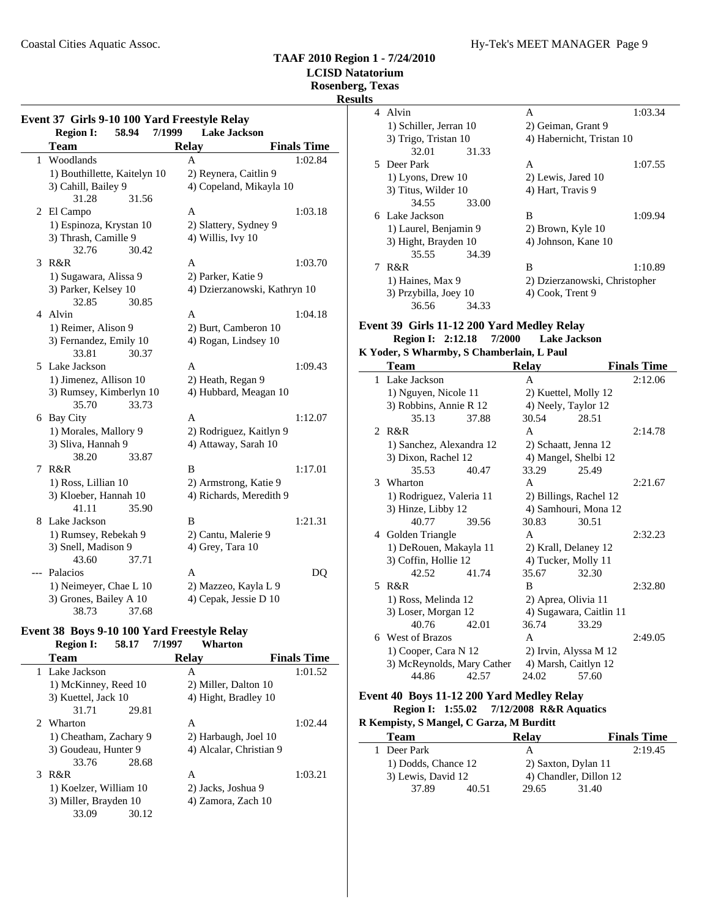#### **TAAF 2010 Region 1 - 7/24/2010 LCISD Natatorium**

**Rosenberg, Texas**

#### **Results**

#### **Event 37 Girls 9-10 100 Yard Freestyle Relay Region I:** 58.94 7/1999 Lake Jackson **Team Relay Finals Time** 1 Woodlands A 1:02.84 1) Bouthillette, Kaitelyn 10 2) Reynera, Caitlin 9 3) Cahill, Bailey 9 4) Copeland, Mikayla 10 31.28 31.56 2 El Campo A 1:03.18 1) Espinoza, Krystan 10 2) Slattery, Sydney 9 3) Thrash, Camille 9 4) Willis, Ivy 10 32.76 30.42 3 1:03.70 R&R A 1) Sugawara, Alissa 9 2) Parker, Katie 9 3) Parker, Kelsey 10 4) Dzierzanowski, Kathryn 10 32.85 30.85 4 Alvin **A** 1:04.18 1) Reimer, Alison 9 2) Burt, Camberon 10 3) Fernandez, Emily 10 4) Rogan, Lindsey 10 33.81 30.37 5 1:09.43 Lake Jackson A 1) Jimenez, Allison 10 2) Heath, Regan 9 3) Rumsey, Kimberlyn 10 4) Hubbard, Meagan 10 35.70 33.73 6 Bay City **A** 1:12.07 1) Morales, Mallory 9 2) Rodriguez, Kaitlyn 9 3) Sliva, Hannah 9 4) Attaway, Sarah 10 38.20 33.87 7 R&R B 1:17.01 1) Ross, Lillian 10 2) Armstrong, Katie 9 3) Kloeber, Hannah 10 4) Richards, Meredith 9 41.11 35.90 8 Lake Jackson B 1:21.31 1) Rumsey, Rebekah 9 2) Cantu, Malerie 9 3) Snell, Madison 9 4) Grey, Tara 10 43.60 37.71 --- Palacios A DO 1) Neimeyer, Chae L 10 2) Mazzeo, Kayla L 9 3) Grones, Bailey A 10 4) Cepak, Jessie D 10

#### **Event 38 Boys 9-10 100 Yard Freestyle Relay Region I: 58.17 Wharton 7/1997**

38.73 37.68

| Team                   | <b>Relay</b>            | <b>Finals Time</b> |
|------------------------|-------------------------|--------------------|
| 1 Lake Jackson         | A                       | 1:01.52            |
| 1) McKinney, Reed 10   | 2) Miller, Dalton 10    |                    |
| 3) Kuettel, Jack 10    | 4) Hight, Bradley 10    |                    |
| 31.71<br>29.81         |                         |                    |
| Wharton<br>2.          | A                       | 1:02.44            |
| 1) Cheatham, Zachary 9 | 2) Harbaugh, Joel 10    |                    |
| 3) Goudeau, Hunter 9   | 4) Alcalar, Christian 9 |                    |
| 28.68<br>33.76         |                         |                    |
| R&R<br>3               | A                       | 1:03.21            |
| 1) Koelzer, William 10 | 2) Jacks, Joshua 9      |                    |
| 3) Miller, Brayden 10  | 4) Zamora, Zach 10      |                    |
| 33.09<br>30.12         |                         |                    |
|                        |                         |                    |

|    | 4 Alvin                |       | A                             | 1:03.34 |  |
|----|------------------------|-------|-------------------------------|---------|--|
|    | 1) Schiller, Jerran 10 |       | 2) Geiman, Grant 9            |         |  |
|    | 3) Trigo, Tristan 10   |       | 4) Habernicht, Tristan 10     |         |  |
|    | 32.01                  | 31.33 |                               |         |  |
| 5. | Deer Park              |       | A                             | 1:07.55 |  |
|    | $1)$ Lyons, Drew $10$  |       | 2) Lewis, Jared 10            |         |  |
|    | 3) Titus, Wilder 10    |       | 4) Hart, Travis 9             |         |  |
|    | 34.55                  | 33.00 |                               |         |  |
|    | 6 Lake Jackson         |       | B                             | 1:09.94 |  |
|    | 1) Laurel, Benjamin 9  |       | 2) Brown, Kyle 10             |         |  |
|    | 3) Hight, Brayden 10   |       | 4) Johnson, Kane 10           |         |  |
|    | 35.55                  | 34.39 |                               |         |  |
|    | R&R                    |       | B                             | 1:10.89 |  |
|    | 1) Haines, Max 9       |       | 2) Dzierzanowski, Christopher |         |  |
|    | 3) Przybilla, Joey 10  |       | 4) Cook, Trent 9              |         |  |
|    | 36.56                  | 34.33 |                               |         |  |

#### **Event 39 Girls 11-12 200 Yard Medley Relay Region I: 2:12.18 7/2000 Lake Jackson K Yoder, S Wharmby, S Chamberlain, L Paul**

|    |                            | тойст, в типанию, в спанностани, в тайн |                       |                         |                    |  |  |
|----|----------------------------|-----------------------------------------|-----------------------|-------------------------|--------------------|--|--|
|    | Team                       |                                         | <b>Relay</b>          |                         | <b>Finals Time</b> |  |  |
| 1  | Lake Jackson               |                                         | A                     |                         | 2:12.06            |  |  |
|    | 1) Nguyen, Nicole 11       |                                         | 2) Kuettel, Molly 12  |                         |                    |  |  |
|    | 3) Robbins, Annie R 12     |                                         | 4) Neely, Taylor 12   |                         |                    |  |  |
|    | 35.13                      | 37.88                                   | 30.54                 | 28.51                   |                    |  |  |
|    | 2 R $&$ R                  |                                         | A                     |                         | 2:14.78            |  |  |
|    | 1) Sanchez, Alexandra 12   |                                         | 2) Schaatt, Jenna 12  |                         |                    |  |  |
|    | 3) Dixon, Rachel 12        |                                         | 4) Mangel, Shelbi 12  |                         |                    |  |  |
|    | 35.53                      | 40.47                                   | 33.29                 | 25.49                   |                    |  |  |
|    | 3 Wharton                  |                                         | A                     |                         | 2:21.67            |  |  |
|    | 1) Rodriguez, Valeria 11   |                                         |                       | 2) Billings, Rachel 12  |                    |  |  |
|    | 3) Hinze, Libby 12         |                                         |                       | 4) Samhouri, Mona 12    |                    |  |  |
|    | 40.77                      | 39.56                                   | 30.83                 | 30.51                   |                    |  |  |
|    | 4 Golden Triangle          |                                         | A                     |                         | 2:32.23            |  |  |
|    | 1) DeRouen, Makayla 11     |                                         | 2) Krall, Delaney 12  |                         |                    |  |  |
|    | 3) Coffin, Hollie 12       |                                         | 4) Tucker, Molly 11   |                         |                    |  |  |
|    | 42.52                      | 41.74                                   | 35.67                 | 32.30                   |                    |  |  |
| 5  | R&R                        |                                         | R                     |                         | 2:32.80            |  |  |
|    | 1) Ross, Melinda 12        |                                         | 2) Aprea, Olivia 11   |                         |                    |  |  |
|    | 3) Loser, Morgan 12        |                                         |                       | 4) Sugawara, Caitlin 11 |                    |  |  |
|    | 40.76                      | 42.01                                   | 36.74                 | 33.29                   |                    |  |  |
| 6. | West of Brazos             |                                         | A                     |                         | 2:49.05            |  |  |
|    | 1) Cooper, Cara N 12       |                                         | 2) Irvin, Alyssa M 12 |                         |                    |  |  |
|    | 3) McReynolds, Mary Cather |                                         | 4) Marsh, Caitlyn 12  |                         |                    |  |  |
|    | 44.86                      | 42.57                                   | 24.02                 | 57.60                   |                    |  |  |

#### **Event 40 Boys 11-12 200 Yard Medley Relay Region I: 1:55.02 7/12/2008 R&R Aquatics R Kempisty, S Mangel, C Garza, M Burditt**

| Rempisty, S Mangel, C Garza, M Burditt |       |                        |       |                    |  |  |  |
|----------------------------------------|-------|------------------------|-------|--------------------|--|--|--|
| <b>Team</b>                            |       | <b>Relay</b>           |       | <b>Finals Time</b> |  |  |  |
| Deer Park                              |       |                        |       | 2:19.45            |  |  |  |
| 1) Dodds, Chance 12                    |       | 2) Saxton, Dylan 11    |       |                    |  |  |  |
| 3) Lewis, David 12                     |       | 4) Chandler, Dillon 12 |       |                    |  |  |  |
| 37.89                                  | 40.51 | 29.65                  | 31.40 |                    |  |  |  |
|                                        |       |                        |       |                    |  |  |  |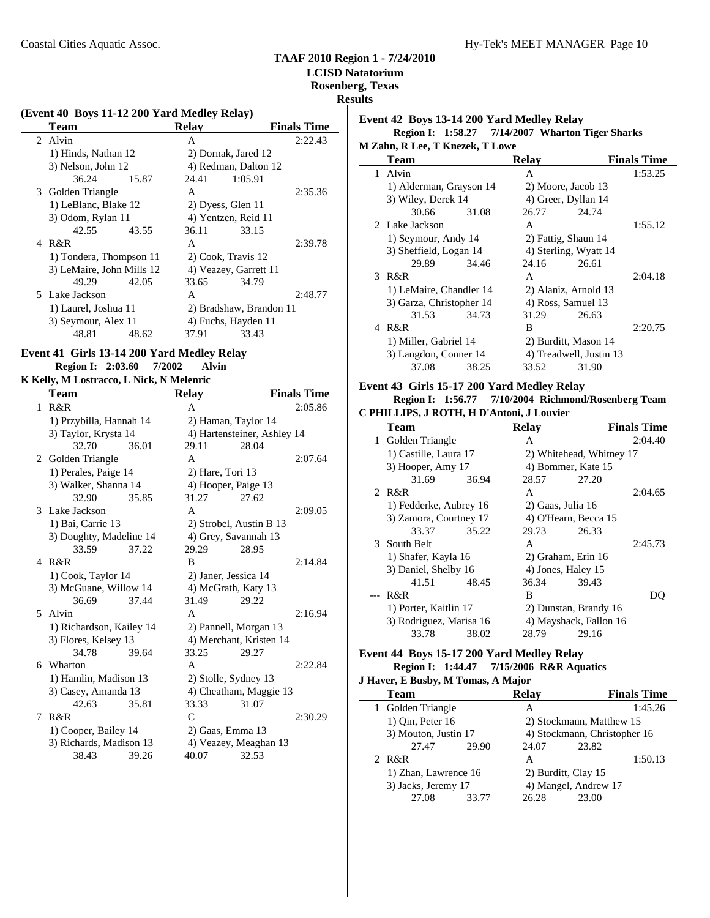### **TAAF 2010 Region 1 - 7/24/2010**

#### **LCISD Natatorium Rosenberg, Texas**

### **Results**

**(Event 40 Boys 11-12 200 Yard Medley Relay)**

|   | EVENT TO DOYS II-12 200 THE INTERN KEMY |       |                         |         |                    |
|---|-----------------------------------------|-------|-------------------------|---------|--------------------|
|   | Team                                    |       | <b>Relay</b>            |         | <b>Finals Time</b> |
|   | 2 Alvin                                 |       | A                       |         | 2:22.43            |
|   | 1) Hinds, Nathan 12                     |       | 2) Dornak, Jared 12     |         |                    |
|   | 3) Nelson, John 12                      |       | 4) Redman, Dalton 12    |         |                    |
|   | 36.24                                   | 15.87 | 24.41                   | 1:05.91 |                    |
|   | 3 Golden Triangle                       |       | A                       |         | 2:35.36            |
|   | 1) LeBlanc, Blake 12                    |       | 2) Dyess, Glen 11       |         |                    |
|   | 3) Odom, Rylan 11                       |       | 4) Yentzen, Reid 11     |         |                    |
|   | 42.55                                   | 43.55 | 36.11                   | 33.15   |                    |
| 4 | R&R                                     |       | A                       |         | 2:39.78            |
|   | 1) Tondera, Thompson 11                 |       | 2) Cook, Travis 12      |         |                    |
|   | 3) LeMaire, John Mills 12               |       | 4) Veazey, Garrett 11   |         |                    |
|   | 49.29                                   | 42.05 | 33.65                   | 34.79   |                    |
|   | 5 Lake Jackson                          |       | A                       |         | 2:48.77            |
|   | 1) Laurel, Joshua 11                    |       | 2) Bradshaw, Brandon 11 |         |                    |
|   | 3) Seymour, Alex 11                     |       | 4) Fuchs, Hayden 11     |         |                    |
|   | 48.81                                   | 48.62 | 37.91                   | 33.43   |                    |
|   |                                         |       |                         |         |                    |

#### **Event 41 Girls 13-14 200 Yard Medley Relay Region I:** 2:03.60 7/2002 Alvin

### **K Kelly, M Lostracco, L Nick, N Melenric**

|    | <b>Team</b>              |       | <b>Relay</b>     |                             | <b>Finals Time</b> |
|----|--------------------------|-------|------------------|-----------------------------|--------------------|
| 1  | R&R                      |       | A                |                             | 2:05.86            |
|    | 1) Przybilla, Hannah 14  |       |                  | 2) Haman, Taylor 14         |                    |
|    | 3) Taylor, Krysta 14     |       |                  | 4) Hartensteiner, Ashley 14 |                    |
|    | 32.70                    | 36.01 | 29.11            | 28.04                       |                    |
|    | 2 Golden Triangle        |       | A                |                             | 2:07.64            |
|    | 1) Perales, Paige 14     |       | 2) Hare, Tori 13 |                             |                    |
|    | 3) Walker, Shanna 14     |       |                  | 4) Hooper, Paige 13         |                    |
|    | 32.90                    | 35.85 | 31.27            | 27.62                       |                    |
| 3  | Lake Jackson             |       | A                |                             | 2:09.05            |
|    | 1) Bai, Carrie 13        |       |                  | 2) Strobel, Austin B 13     |                    |
|    | 3) Doughty, Madeline 14  |       |                  | 4) Grey, Savannah 13        |                    |
|    | 33.59                    | 37.22 | 29.29            | 28.95                       |                    |
|    | 4 R&R                    |       | B                |                             | 2:14.84            |
|    | 1) Cook, Taylor 14       |       |                  | 2) Janer, Jessica 14        |                    |
|    | 3) McGuane, Willow 14    |       |                  | 4) McGrath, Katy 13         |                    |
|    | 36.69                    | 37.44 | 31.49            | 29.22                       |                    |
| 5. | Alvin                    |       | A                |                             | 2:16.94            |
|    | 1) Richardson, Kailey 14 |       |                  | 2) Pannell, Morgan 13       |                    |
|    | 3) Flores, Kelsey 13     |       |                  | 4) Merchant, Kristen 14     |                    |
|    | 34.78                    | 39.64 | 33.25            | 29.27                       |                    |
|    | 6 Wharton                |       | A                |                             | 2:22.84            |
|    | 1) Hamlin, Madison 13    |       |                  | 2) Stolle, Sydney 13        |                    |
|    | 3) Casey, Amanda 13      |       |                  | 4) Cheatham, Maggie 13      |                    |
|    | 42.63                    | 35.81 | 33.33            | 31.07                       |                    |
| 7  | R&R                      |       | $\mathcal{C}$    |                             | 2:30.29            |
|    | 1) Cooper, Bailey 14     |       |                  | 2) Gaas, Emma 13            |                    |
|    | 3) Richards, Madison 13  |       |                  | 4) Veazey, Meaghan 13       |                    |
|    | 38.43                    | 39.26 | 40.07            | 32.53                       |                    |

#### **Event 42 Boys 13-14 200 Yard Medley Relay Region I: 1:58.27 7/14/2007** Wharton Tiger Sharks

#### **M Zahn, R Lee, T Knezek, T Lowe**

|   | <b>Team</b>              |       | <b>Relay</b>          |                         | <b>Finals Time</b> |
|---|--------------------------|-------|-----------------------|-------------------------|--------------------|
|   | 1 Alvin                  |       | A                     |                         | 1:53.25            |
|   | 1) Alderman, Grayson 14  |       | 2) Moore, Jacob 13    |                         |                    |
|   | 3) Wiley, Derek 14       |       | 4) Greer, Dyllan 14   |                         |                    |
|   | 30.66                    | 31.08 | 26.77                 | 24.74                   |                    |
|   | 2 Lake Jackson           |       | A                     |                         | 1:55.12            |
|   | 1) Seymour, Andy 14      |       | 2) Fattig, Shaun 14   |                         |                    |
|   | 3) Sheffield, Logan 14   |       | 4) Sterling, Wyatt 14 |                         |                    |
|   | 29.89                    | 34.46 | 24.16                 | 26.61                   |                    |
|   | 3 R&R                    |       | A                     |                         | 2:04.18            |
|   | 1) LeMaire, Chandler 14  |       | 2) Alaniz, Arnold 13  |                         |                    |
|   | 3) Garza, Christopher 14 |       | 4) Ross, Samuel 13    |                         |                    |
|   | 31.53                    | 34.73 | 31.29                 | 26.63                   |                    |
| 4 | R&R                      |       | B                     |                         | 2:20.75            |
|   | 1) Miller, Gabriel 14    |       | 2) Burditt, Mason 14  |                         |                    |
|   | 3) Langdon, Conner 14    |       |                       | 4) Treadwell, Justin 13 |                    |
|   | 37.08                    | 38.25 | 33.52                 | 31.90                   |                    |

#### **Event 43 Girls 15-17 200 Yard Medley Relay Region I: 1:56.77 7/10/2004 Richmond/Rosenberg Team**

### **C PHILLIPS, J ROTH, H D'Antoni, J Louvier**

| Team                    |       | <b>Relay</b>       |                          | <b>Finals Time</b> |
|-------------------------|-------|--------------------|--------------------------|--------------------|
| 1 Golden Triangle       |       | A                  |                          | 2:04.40            |
| 1) Castille, Laura 17   |       |                    | 2) Whitehead, Whitney 17 |                    |
| 3) Hooper, Amy 17       |       |                    | 4) Bommer, Kate 15       |                    |
| 31.69                   | 36.94 | 28.57              | 27.20                    |                    |
| 2 R&R                   |       | A                  |                          | 2:04.65            |
| 1) Fedderke, Aubrey 16  |       | 2) Gaas, Julia 16  |                          |                    |
| 3) Zamora, Courtney 17  |       |                    | 4) O'Hearn, Becca 15     |                    |
| 33.37                   | 35.22 | 29.73              | 26.33                    |                    |
| 3 South Belt            |       | A                  |                          | 2:45.73            |
| 1) Shafer, Kayla 16     |       |                    | 2) Graham, Erin 16       |                    |
| 3) Daniel, Shelby 16    |       | 4) Jones, Haley 15 |                          |                    |
| 41.51                   | 48.45 | 36.34              | 39.43                    |                    |
| --- R&R                 |       | B                  |                          | DO.                |
| 1) Porter, Kaitlin 17   |       |                    | 2) Dunstan, Brandy 16    |                    |
| 3) Rodriguez, Marisa 16 |       |                    | 4) Mayshack, Fallon 16   |                    |
| 33.78                   | 38.02 | 28.79              | 29.16                    |                    |

#### **Event 44 Boys 15-17 200 Yard Medley Relay Region I: 1:44.47 7/15/2006 R&R Aquatics**

#### **J Haver, E Busby, M Tomas, A Major**

| <b>Team</b>          |                      | <b>Relay</b> |                              | <b>Finals Time</b> |  |
|----------------------|----------------------|--------------|------------------------------|--------------------|--|
| 1 Golden Triangle    |                      | А            |                              | 1:45.26            |  |
|                      | 1) Qin, Peter 16     |              | 2) Stockmann, Matthew 15     |                    |  |
|                      | 3) Mouton, Justin 17 |              | 4) Stockmann, Christopher 16 |                    |  |
| 27.47                | 29.90                | 24.07        | 23.82                        |                    |  |
| 2 R&R                |                      | А            |                              | 1:50.13            |  |
| 1) Zhan, Lawrence 16 |                      |              | 2) Burditt, Clay 15          |                    |  |
| 3) Jacks, Jeremy 17  |                      |              | 4) Mangel, Andrew 17         |                    |  |
| 27.08                | 33.77                | 26.28        | 23.00                        |                    |  |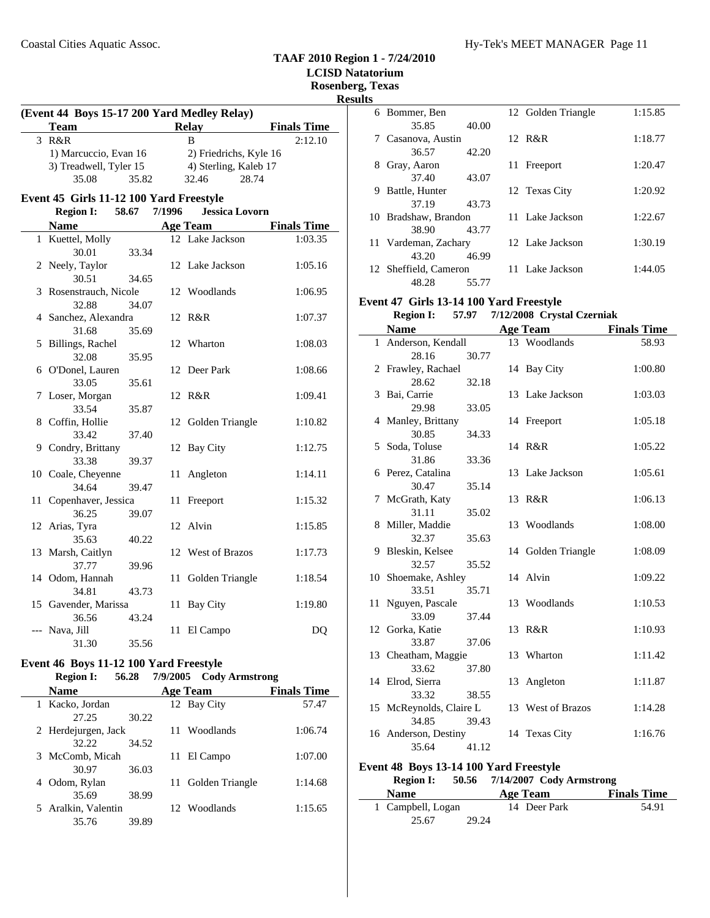#### **TAAF 2010 Region 1 - 7/24/2010 LCISD Natatorium**

12 Golden Triangle 1:15.85

**Rosenberg, Texas**

**Results** 6 Bommer, Ben

|    | (Event 44 Boys 15-17 200 Yard Medley Relay) |       |          |                        |                    |
|----|---------------------------------------------|-------|----------|------------------------|--------------------|
|    | <b>Team</b>                                 |       |          | <b>Relay</b>           | <b>Finals Time</b> |
|    | 3 R&R                                       |       |          | B                      | 2:12.10            |
|    | 1) Marcuccio, Evan 16                       |       |          | 2) Friedrichs, Kyle 16 |                    |
|    | 3) Treadwell, Tyler 15                      |       |          | 4) Sterling, Kaleb 17  |                    |
|    | 35.08                                       | 35.82 |          | 28.74<br>32.46         |                    |
|    | Event 45 Girls 11-12 100 Yard Freestyle     |       |          |                        |                    |
|    | <b>Region I:</b>                            | 58.67 | 7/1996   | <b>Jessica Lovorn</b>  |                    |
|    | <b>Name</b>                                 |       |          | <b>Age Team</b>        | <b>Finals Time</b> |
|    | 1 Kuettel, Molly                            |       |          | 12 Lake Jackson        | 1:03.35            |
|    | 30.01                                       | 33.34 |          |                        |                    |
|    | 2 Neely, Taylor                             |       |          | 12 Lake Jackson        | 1:05.16            |
|    | 30.51                                       | 34.65 |          |                        |                    |
|    | 3 Rosenstrauch, Nicole                      |       |          | 12 Woodlands           | 1:06.95            |
|    | 32.88                                       | 34.07 |          |                        |                    |
|    | 4 Sanchez, Alexandra                        |       |          | 12 R&R                 | 1:07.37            |
|    | 31.68                                       | 35.69 |          |                        |                    |
|    | 5 Billings, Rachel                          |       | 12       | Wharton                | 1:08.03            |
|    | 32.08                                       | 35.95 |          |                        |                    |
|    | 6 O'Donel, Lauren                           |       |          | 12 Deer Park           | 1:08.66            |
|    | 33.05                                       | 35.61 |          |                        |                    |
|    | 7 Loser, Morgan                             |       |          | 12 R&R                 | 1:09.41            |
|    | 33.54<br>8 Coffin, Hollie                   | 35.87 |          | 12 Golden Triangle     | 1:10.82            |
|    | 33.42                                       | 37.40 |          |                        |                    |
| 9  | Condry, Brittany                            |       |          | 12 Bay City            | 1:12.75            |
|    | 33.38                                       | 39.37 |          |                        |                    |
|    | 10 Coale, Cheyenne                          |       | 11       | Angleton               | 1:14.11            |
|    | 34.64                                       | 39.47 |          |                        |                    |
| 11 | Copenhaver, Jessica                         |       | 11       | Freeport               | 1:15.32            |
|    | 36.25                                       | 39.07 |          |                        |                    |
|    | 12 Arias, Tyra                              |       |          | 12 Alvin               | 1:15.85            |
|    | 35.63                                       | 40.22 |          |                        |                    |
|    | 13 Marsh, Caitlyn                           |       |          | 12 West of Brazos      | 1:17.73            |
|    | 37.77                                       | 39.96 |          |                        |                    |
|    | 14 Odom, Hannah                             |       |          | 11 Golden Triangle     | 1:18.54            |
|    | 34.81                                       | 43.73 |          |                        |                    |
|    | 15 Gavender, Marissa                        |       |          | 11 Bay City            | 1:19.80            |
|    | 36.56 43.24                                 |       |          |                        |                    |
|    | --- Nava, Jill                              |       |          | 11 El Campo            | DQ                 |
|    | 31.30                                       | 35.56 |          |                        |                    |
|    | Event 46 Boys 11-12 100 Yard Freestyle      |       |          |                        |                    |
|    | <b>Region I:</b>                            | 56.28 | 7/9/2005 | <b>Cody Armstrong</b>  |                    |
|    | <b>Name</b>                                 |       |          | <b>Age Team</b>        | <b>Finals Time</b> |
| 1  | Kacko, Jordan                               |       |          | 12 Bay City            | 57.47              |
|    | 27.25                                       | 30.22 |          |                        |                    |

2 Herdejurgen, Jack 11 Woodlands 1:06.74

3 McComb, Micah 11 El Campo 1:07.00

4 Odom, Rylan 11 Golden Triangle 1:14.68

| 30.47                      | 35.14 |                    |              |
|----------------------------|-------|--------------------|--------------|
| 7 McGrath, Katy            |       | 13 R&R             | 1            |
| 31.11                      | 35.02 |                    |              |
| 8 Miller, Maddie           |       | 13 Woodlands       | 1            |
| 32.37                      | 35.63 |                    |              |
| 9 Bleskin, Kelsee          |       | 14 Golden Triangle | 1            |
| 32.57                      | 35.52 |                    |              |
| 10 Shoemake, Ashley        |       | 14 Alvin           | $\mathbf{1}$ |
| 33.51                      | 35.71 |                    |              |
| 11 Nguyen, Pascale         |       | 13 Woodlands       | 1            |
| 33.09                      | 37.44 |                    |              |
| 12 Gorka, Katie            |       | 13 R&R             | 1            |
| 33.87                      | 37.06 |                    |              |
| 13 Cheatham, Maggie        |       | 13 Wharton         | 1            |
| 33.62                      | 37.80 |                    |              |
| 14 Elrod, Sierra           |       | 13 Angleton        | $\mathbf{1}$ |
| 33.32                      | 38.55 |                    |              |
| 15 McReynolds, Claire L    |       | 13 West of Brazos  | 1            |
| 34.85                      | 39.43 |                    |              |
| 16 Anderson, Destiny       |       | 14 Texas City      | 1            |
| 35.64                      | 41.12 |                    |              |
| $E = 100$ $E = 121100$ $E$ |       | $\blacksquare$     |              |

#### **Event 48 Boys 13-14 100 Yard Freestyle**

25.67 29.24

| <b>Region I:</b>  | 50.56 | 7/14/2007 Cody Armstrong |                    |
|-------------------|-------|--------------------------|--------------------|
| <b>Name</b>       |       | Age Team                 | <b>Finals Time</b> |
| 1 Campbell, Logan |       | 14 Deer Park             | 54.91              |

35.69 38.99 5 1:15.65 Aralkin, Valentin 12 Woodlands 35.76 39.89

32.22 34.52

30.97 36.03

|   | 7 Casanova, Austin    |       | 12 R&R          | 1:18.77 |
|---|-----------------------|-------|-----------------|---------|
|   | 36.57                 | 42.20 |                 |         |
| 8 | Gray, Aaron           |       | 11 Freeport     | 1:20.47 |
|   | 37.40                 | 43.07 |                 |         |
| 9 | Battle, Hunter        |       | 12 Texas City   | 1:20.92 |
|   | 37.19                 | 43.73 |                 |         |
|   | 10 Bradshaw, Brandon  |       | 11 Lake Jackson | 1:22.67 |
|   | 38.90                 | 43.77 |                 |         |
|   | 11 Vardeman, Zachary  |       | 12 Lake Jackson | 1:30.19 |
|   | 43.20                 | 46.99 |                 |         |
|   | 12 Sheffield, Cameron |       | 11 Lake Jackson | 1:44.05 |

### 48.28 55.77

35.85 40.00

### **Event 47 Girls 13-14 100 Yard Freestyle**

|    | 7/12/2008 Crystal Czerniak<br><b>Region I:</b><br>57.97 |       |    |                    |                    |  |
|----|---------------------------------------------------------|-------|----|--------------------|--------------------|--|
|    | <b>Name</b>                                             |       |    | <b>Age Team</b>    | <b>Finals Time</b> |  |
|    | 1 Anderson, Kendall                                     |       |    | 13 Woodlands       | 58.93              |  |
|    | 28.16                                                   | 30.77 |    |                    |                    |  |
|    | 2 Frawley, Rachael                                      |       |    | 14 Bay City        | 1:00.80            |  |
|    | 28.62                                                   | 32.18 |    |                    |                    |  |
|    | 3 Bai, Carrie                                           |       |    | 13 Lake Jackson    | 1:03.03            |  |
|    | 29.98                                                   | 33.05 |    |                    |                    |  |
|    | 4 Manley, Brittany                                      |       |    | 14 Freeport        | 1:05.18            |  |
|    | 30.85                                                   | 34.33 |    |                    |                    |  |
|    | 5 Soda, Toluse                                          |       |    | 14 R&R             | 1:05.22            |  |
|    | 31.86                                                   | 33.36 |    |                    |                    |  |
|    | 6 Perez, Catalina                                       |       |    | 13 Lake Jackson    | 1:05.61            |  |
|    | 30.47                                                   | 35.14 |    |                    |                    |  |
| 7  | McGrath, Katy                                           |       | 13 | R&R                | 1:06.13            |  |
|    | 31.11                                                   | 35.02 |    |                    |                    |  |
|    | 8 Miller, Maddie                                        |       |    | 13 Woodlands       | 1:08.00            |  |
|    | 32.37                                                   | 35.63 |    |                    |                    |  |
|    | 9 Bleskin, Kelsee                                       |       |    | 14 Golden Triangle | 1:08.09            |  |
|    | 32.57                                                   | 35.52 |    |                    |                    |  |
|    | 10 Shoemake, Ashley                                     |       |    | 14 Alvin           | 1:09.22            |  |
|    | 33.51                                                   | 35.71 |    | 13 Woodlands       |                    |  |
| 11 | Nguyen, Pascale                                         |       |    |                    | 1:10.53            |  |
|    | 33.09                                                   | 37.44 |    | 13 R&R             | 1:10.93            |  |
|    | 12 Gorka, Katie<br>33.87                                | 37.06 |    |                    |                    |  |
|    | 13 Cheatham, Maggie                                     |       |    | 13 Wharton         | 1:11.42            |  |
|    | 33.62                                                   | 37.80 |    |                    |                    |  |
|    | 14 Elrod, Sierra                                        |       | 13 | Angleton           | 1:11.87            |  |
|    | 33.32                                                   | 38.55 |    |                    |                    |  |
|    | 15 McReynolds, Claire L                                 |       |    | 13 West of Brazos  | 1:14.28            |  |
|    | 34.85                                                   | 39.43 |    |                    |                    |  |
|    | 16 Anderson, Destiny                                    |       |    | 14 Texas City      | 1:16.76            |  |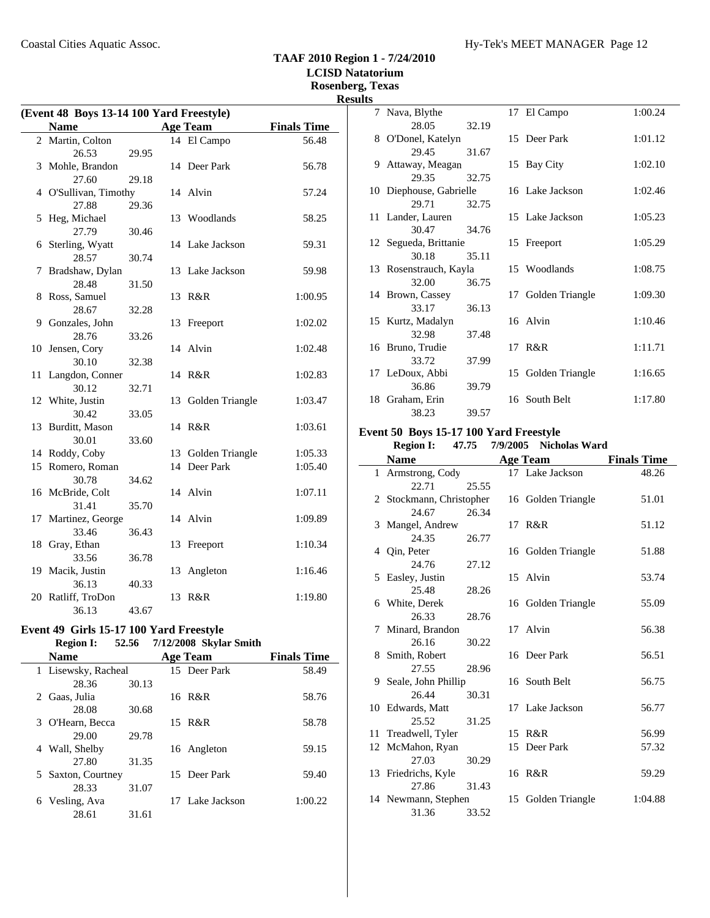33.56

### **TAAF 2010 Region 1 - 7/24/2010 LCISD Natatorium**

17 El Campo 1:00.24

15 Deer Park 1:01.12

15 Bay City 1:02.10

## **Rosenberg, Texas Results**

|                                          |       |                    |                    | Results |                            |             |
|------------------------------------------|-------|--------------------|--------------------|---------|----------------------------|-------------|
| (Event 48 Boys 13-14 100 Yard Freestyle) |       |                    |                    |         | 7 Nava, Blythe             |             |
| <b>Name</b>                              |       | <b>Age Team</b>    | <b>Finals Time</b> |         | 28.05                      | 32.19       |
| 2 Martin, Colton                         |       | 14 El Campo        | 56.48              |         | 8 O'Donel, Katelyn         |             |
| 26.53                                    | 29.95 |                    |                    |         | 29.45                      | 31.67       |
| 3 Mohle, Brandon                         |       | 14 Deer Park       | 56.78              |         | 9 Attaway, Meagan          |             |
| 27.60                                    | 29.18 |                    |                    |         | 29.35                      | 32.75       |
| 4 O'Sullivan, Timothy                    |       | 14 Alvin           | 57.24              |         | 10 Diephouse, Gabrielle    |             |
| 27.88                                    | 29.36 |                    |                    |         | 29.71                      | 32.75       |
| 5 Heg, Michael                           |       | 13 Woodlands       | 58.25              |         | 11 Lander, Lauren          |             |
| 27.79                                    | 30.46 |                    |                    |         | 30.47                      | 34.76       |
| 6 Sterling, Wyatt                        |       | 14 Lake Jackson    | 59.31              |         | 12 Segueda, Brittanie      |             |
| 28.57                                    | 30.74 |                    |                    |         | 30.18                      | 35.11       |
| 7 Bradshaw, Dylan                        |       | 13 Lake Jackson    | 59.98              |         | 13 Rosenstrauch, Kayla     |             |
| 28.48                                    | 31.50 |                    |                    |         | 32.00                      | 36.75       |
| 8 Ross, Samuel                           |       | 13 R&R             | 1:00.95            |         | 14 Brown, Cassey           |             |
| 28.67                                    | 32.28 |                    |                    |         | 33.17                      | 36.13       |
| 9 Gonzales, John                         |       | 13 Freeport        | 1:02.02            |         | 15 Kurtz, Madalyn          |             |
| 28.76                                    | 33.26 |                    |                    |         | 32.98                      | 37.48       |
| 10 Jensen, Cory                          |       | 14 Alvin           | 1:02.48            |         | 16 Bruno, Trudie           |             |
| 30.10                                    | 32.38 |                    |                    |         | 33.72                      | 37.99       |
| 11 Langdon, Conner                       |       | 14 R&R             | 1:02.83            |         | 17 LeDoux, Abbi            |             |
| 30.12                                    | 32.71 |                    |                    |         | 36.86                      | 39.79       |
| 12 White, Justin                         |       | 13 Golden Triangle | 1:03.47            |         | 18 Graham, Erin            |             |
| 30.42                                    | 33.05 |                    |                    |         | 38.23                      | 39.57       |
| 13 Burditt, Mason                        |       | 14 R&R             | 1:03.61            |         | Event 50 Boys 15-17 100 Ya |             |
| 30.01                                    | 33.60 |                    |                    |         | <b>Region I:</b>           | 47.75<br>7/ |
| 14 Roddy, Coby                           |       | 13 Golden Triangle | 1:05.33            |         | <b>Name</b>                |             |
| 15 Romero, Roman                         |       | 14 Deer Park       | 1:05.40            |         | 1 Armstrong, Cody          |             |
| 30.78                                    | 34.62 |                    |                    |         | 22.71                      | 25.55       |
| 16 McBride, Colt                         |       | 14 Alvin           | 1:07.11            |         | 2 Stockmann, Christopher   |             |
| 31.41                                    | 35.70 |                    |                    |         | 24.67                      | 26.34       |
| 17 Martinez, George                      |       | 14 Alvin           | 1:09.89            |         | 3 Mangel, Andrew           |             |
| 33.46                                    | 36.43 |                    |                    |         | 24.35                      | 26.77       |
| 18 Gray, Ethan                           |       | 13 Freeport        | 1:10.34            |         | 4 Qin, Peter               |             |
| 33.56                                    | 36.78 |                    |                    |         |                            |             |

| 10 Diephouse, Gabrielle |       | 16 Lake Jackson    | 1:02.46 |
|-------------------------|-------|--------------------|---------|
| 29.71                   | 32.75 |                    |         |
| 11 Lander, Lauren       |       | 15 Lake Jackson    | 1:05.23 |
| 30.47                   | 34.76 |                    |         |
| 12 Segueda, Brittanie   |       | 15 Freeport        | 1:05.29 |
| 30.18                   | 35.11 |                    |         |
| 13 Rosenstrauch, Kayla  |       | 15 Woodlands       | 1:08.75 |
| 32.00                   | 36.75 |                    |         |
| 14 Brown, Cassey        |       | 17 Golden Triangle | 1:09.30 |
| 33.17                   | 36.13 |                    |         |
| 15 Kurtz, Madalyn       |       | 16 Alvin           | 1:10.46 |
| 32.98                   | 37.48 |                    |         |
| 16 Bruno, Trudie        |       | 17 R&R             | 1:11.71 |
| 33.72                   | 37.99 |                    |         |
| 17 LeDoux, Abbi         |       | 15 Golden Triangle | 1:16.65 |
| 36.86                   | 39.79 |                    |         |
| 18 Graham, Erin         |       | 16 South Belt      | 1:17.80 |
| 38.23                   | 39.57 |                    |         |

#### **Exercise 5**

| <b>Name</b>              |       | <b>Age Team</b>    | <b>Finals Time</b> |
|--------------------------|-------|--------------------|--------------------|
| 1 Armstrong, Cody        |       | 17 Lake Jackson    | 48.26              |
| 22.71                    | 25.55 |                    |                    |
| 2 Stockmann, Christopher |       | 16 Golden Triangle | 51.01              |
| 24.67                    | 26.34 |                    |                    |
| 3 Mangel, Andrew         |       | 17 R&R             | 51.12              |
| 24.35                    | 26.77 |                    |                    |
| 4 Qin, Peter             |       | 16 Golden Triangle | 51.88              |
| 24.76                    | 27.12 |                    |                    |
| 5 Easley, Justin         |       | 15 Alvin           | 53.74              |
| 25.48                    | 28.26 |                    |                    |
| 6 White, Derek           |       | 16 Golden Triangle | 55.09              |
| 26.33                    | 28.76 |                    |                    |
| 7 Minard, Brandon        |       | 17 Alvin           | 56.38              |
| 26.16                    | 30.22 |                    |                    |
| 8 Smith, Robert          |       | 16 Deer Park       | 56.51              |
| 27.55                    | 28.96 |                    |                    |
| 9 Seale, John Phillip    |       | 16 South Belt      | 56.75              |
| 26.44                    | 30.31 |                    |                    |
| 10 Edwards, Matt         |       | 17 Lake Jackson    | 56.77              |
| 25.52                    | 31.25 |                    |                    |
| 11 Treadwell, Tyler      |       | 15 R&R             | 56.99              |
| 12 McMahon, Ryan         |       | 15 Deer Park       | 57.32              |
| 27.03                    | 30.29 |                    |                    |
| 13 Friedrichs, Kyle      |       | 16 R&R             | 59.29              |
| 27.86                    | 31.43 |                    |                    |
| 14 Newmann, Stephen      |       | 15 Golden Triangle | 1:04.88            |
| 31.36                    | 33.52 |                    |                    |

#### **Event 49 Girls 15-17 100 Yard Freestyle Region I: 52.56 Skylar Smith 7/12/2008**

36.13 40.33

36.13 43.67

|   | <b>Name</b>         |       | <b>Age Team</b> | <b>Finals Time</b> |
|---|---------------------|-------|-----------------|--------------------|
|   | 1 Lisewsky, Racheal |       | 15 Deer Park    | 58.49              |
|   | 28.36               | 30.13 |                 |                    |
| 2 | Gaas, Julia         |       | 16 R&R          | 58.76              |
|   | 28.08               | 30.68 |                 |                    |
| 3 | O'Hearn, Becca      |       | 15 R&R          | 58.78              |
|   | 29.00               | 29.78 |                 |                    |
|   | 4 Wall, Shelby      |       | 16 Angleton     | 59.15              |
|   | 27.80               | 31.35 |                 |                    |
|   | 5 Saxton, Courtney  |       | 15 Deer Park    | 59.40              |
|   | 28.33               | 31.07 |                 |                    |
| 6 | Vesling, Ava        |       | 17 Lake Jackson | 1:00.22            |
|   | 28.61               | 31.61 |                 |                    |

19 Macik, Justin 13 Angleton 1:16.46

20 Ratliff, TroDon 13 R&R 1:19.80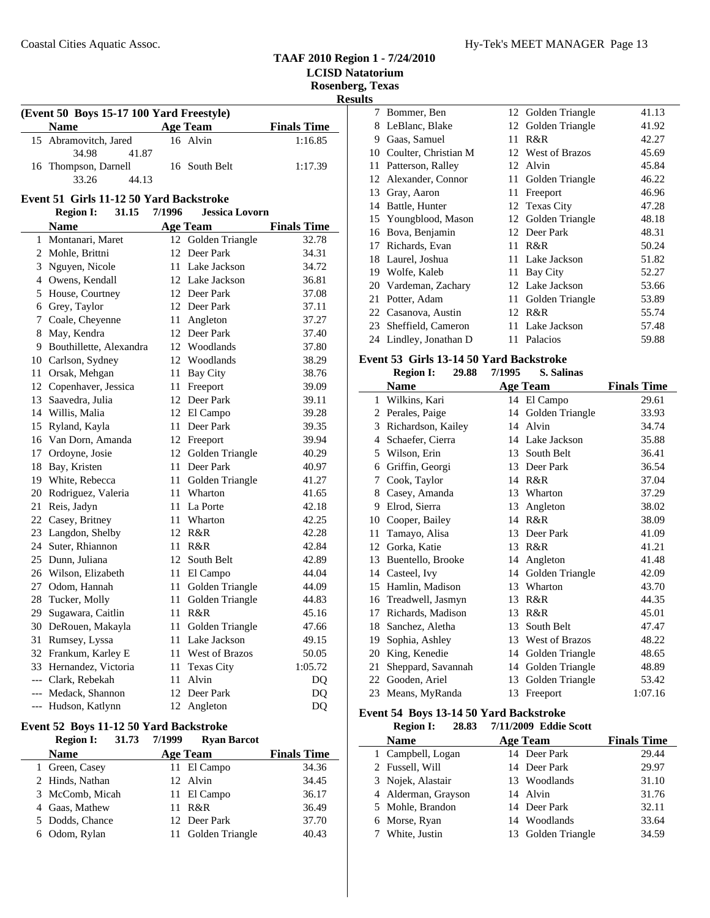#### Coastal Cities Aquatic Assoc. The Coastal Cities Aquatic Assoc. The Coastal Cities Aquatic Assoc.

#### **TAAF 2010 Region 1 - 7/24/2010 LCISD Natatorium Rosenberg, Texas**

**Results**

| (Event 50 Boys 15-17 100 Yard Freestyle) |                 |                    |  |  |  |  |
|------------------------------------------|-----------------|--------------------|--|--|--|--|
| <b>Name</b>                              | <b>Age Team</b> | <b>Finals Time</b> |  |  |  |  |
| 15 Abramovitch, Jared                    | 16 Alvin        | 1:16.85            |  |  |  |  |
| 34.98<br>41.87                           |                 |                    |  |  |  |  |
| 16 Thompson, Darnell                     | 16 South Belt   | 1:17.39            |  |  |  |  |
| 33.26<br>44.13                           |                 |                    |  |  |  |  |

#### **Event 51 Girls 11-12 50 Yard Backstroke**

|              | <b>Region I:</b>        | 31.15 | 7/1996 | <b>Jessica Lovorn</b> |                    |
|--------------|-------------------------|-------|--------|-----------------------|--------------------|
|              | <b>Name</b>             |       |        | <b>Age Team</b>       | <b>Finals Time</b> |
| $\mathbf{1}$ | Montanari, Maret        |       | 12     | Golden Triangle       | 32.78              |
|              | 2 Mohle, Brittni        |       | 12     | Deer Park             | 34.31              |
|              | 3 Nguyen, Nicole        |       |        | 11 Lake Jackson       | 34.72              |
|              | 4 Owens, Kendall        |       |        | 12 Lake Jackson       | 36.81              |
|              | 5 House, Courtney       |       |        | 12 Deer Park          | 37.08              |
|              | 6 Grey, Taylor          |       |        | 12 Deer Park          | 37.11              |
| 7            | Coale, Cheyenne         |       |        | 11 Angleton           | 37.27              |
| 8            | May, Kendra             |       |        | 12 Deer Park          | 37.40              |
| 9            | Bouthillette, Alexandra |       |        | 12 Woodlands          | 37.80              |
| 10           | Carlson, Sydney         |       |        | 12 Woodlands          | 38.29              |
| 11           | Orsak, Mehgan           |       |        | 11 Bay City           | 38.76              |
|              | 12 Copenhaver, Jessica  |       | 11 -   | Freeport              | 39.09              |
| 13           | Saavedra, Julia         |       |        | 12 Deer Park          | 39.11              |
|              | 14 Willis, Malia        |       |        | 12 El Campo           | 39.28              |
| 15           | Ryland, Kayla           |       | 11     | Deer Park             | 39.35              |
|              | 16 Van Dorn, Amanda     |       |        | 12 Freeport           | 39.94              |
| 17           | Ordoyne, Josie          |       | 12     | Golden Triangle       | 40.29              |
| 18           | Bay, Kristen            |       | 11     | Deer Park             | 40.97              |
| 19           | White, Rebecca          |       | 11     | Golden Triangle       | 41.27              |
| 20           | Rodriguez, Valeria      |       | 11     | Wharton               | 41.65              |
| 21           | Reis, Jadyn             |       |        | 11 La Porte           | 42.18              |
|              | 22 Casey, Britney       |       | 11     | Wharton               | 42.25              |
| 23           | Langdon, Shelby         |       | 12     | R&R                   | 42.28              |
|              | 24 Suter, Rhiannon      |       | 11     | R&R                   | 42.84              |
|              | 25 Dunn, Juliana        |       | 12     | South Belt            | 42.89              |
|              | 26 Wilson, Elizabeth    |       | 11 -   | El Campo              | 44.04              |
|              | 27 Odom, Hannah         |       | 11     | Golden Triangle       | 44.09              |
|              | 28 Tucker, Molly        |       | 11     | Golden Triangle       | 44.83              |
| 29           | Sugawara, Caitlin       |       | 11     | R&R                   | 45.16              |
|              | 30 DeRouen, Makayla     |       | 11     | Golden Triangle       | 47.66              |
| 31           | Rumsey, Lyssa           |       |        | 11 Lake Jackson       | 49.15              |
|              | 32 Frankum, Karley E    |       |        | 11 West of Brazos     | 50.05              |
|              | 33 Hernandez, Victoria  |       | 11     | <b>Texas City</b>     | 1:05.72            |
|              | --- Clark, Rebekah      |       | 11     | Alvin                 | DQ                 |
|              | --- Medack, Shannon     |       |        | 12 Deer Park          | DQ                 |
|              | --- Hudson, Katlynn     |       | 12     | Angleton              | DQ                 |

### **Event 52 Boys 11-12 50 Yard Backstroke**<br>**Region I:** 31.73 7/1999 Byan B

| 31.73<br><b>Region I:</b> | 7/1999<br><b>Ryan Barcot</b> |                    |
|---------------------------|------------------------------|--------------------|
| <b>Name</b>               | <b>Age Team</b>              | <b>Finals Time</b> |
| 1 Green, Casey            | 11 El Campo                  | 34.36              |
| 2 Hinds, Nathan           | 12 Alvin                     | 34.45              |
| 3 McComb, Micah           | 11 El Campo                  | 36.17              |
| 4 Gaas, Mathew            | 11 R&R                       | 36.49              |
| 5 Dodds, Chance           | 12 Deer Park                 | 37.70              |
| 6 Odom, Rylan             | 11 Golden Triangle           | 40.43              |

|    | 7 Bommer, Ben          |    | 12 Golden Triangle | 41.13 |
|----|------------------------|----|--------------------|-------|
| 8  | LeBlanc, Blake         |    | 12 Golden Triangle | 41.92 |
| 9  | Gaas, Samuel           | 11 | R&R                | 42.27 |
| 10 | Coulter, Christian M   |    | 12 West of Brazos  | 45.69 |
| 11 | Patterson, Ralley      |    | 12 Alvin           | 45.84 |
|    | 12 Alexander, Connor   |    | 11 Golden Triangle | 46.22 |
| 13 | Gray, Aaron            | 11 | Freeport           | 46.96 |
|    | 14 Battle, Hunter      |    | 12 Texas City      | 47.28 |
|    | 15 Youngblood, Mason   |    | 12 Golden Triangle | 48.18 |
|    | 16 Bova, Benjamin      |    | 12 Deer Park       | 48.31 |
|    | 17 Richards, Evan      | 11 | R&R                | 50.24 |
|    | 18 Laurel, Joshua      |    | 11 Lake Jackson    | 51.82 |
|    | 19 Wolfe, Kaleb        | 11 | Bay City           | 52.27 |
|    | 20 Vardeman, Zachary   |    | 12 Lake Jackson    | 53.66 |
| 21 | Potter, Adam           |    | 11 Golden Triangle | 53.89 |
|    | 22 Casanova, Austin    |    | 12 R&R             | 55.74 |
| 23 | Sheffield, Cameron     |    | 11 Lake Jackson    | 57.48 |
|    | 24 Lindley, Jonathan D | 11 | Palacios           | 59.88 |
|    |                        |    |                    |       |

#### **Event 53 Girls 13-14 50 Yard Backstroke**

|    | <b>Region I:</b><br>29.88 | 7/1995 | S. Salinas      |                    |
|----|---------------------------|--------|-----------------|--------------------|
|    | Name                      |        | <b>Age Team</b> | <b>Finals Time</b> |
| 1  | Wilkins, Kari             |        | 14 El Campo     | 29.61              |
| 2  | Perales, Paige            | 14     | Golden Triangle | 33.93              |
| 3  | Richardson, Kailey        | 14     | Alvin           | 34.74              |
| 4  | Schaefer, Cierra          | 14     | Lake Jackson    | 35.88              |
| 5  | Wilson, Erin              | 13     | South Belt      | 36.41              |
| 6  | Griffin, Georgi           | 13     | Deer Park       | 36.54              |
| 7  | Cook, Taylor              | 14     | R&R             | 37.04              |
| 8  | Casey, Amanda             | 13     | Wharton         | 37.29              |
| 9  | Elrod, Sierra             | 13     | Angleton        | 38.02              |
| 10 | Cooper, Bailey            | 14     | R&R             | 38.09              |
| 11 | Tamayo, Alisa             | 13     | Deer Park       | 41.09              |
| 12 | Gorka, Katie              | 13     | R&R             | 41.21              |
| 13 | Buentello, Brooke         | 14     | Angleton        | 41.48              |
| 14 | Casteel, Ivy              | 14     | Golden Triangle | 42.09              |
| 15 | Hamlin, Madison           | 13     | Wharton         | 43.70              |
| 16 | Treadwell, Jasmyn         | 13     | R&R             | 44.35              |
| 17 | Richards, Madison         | 13     | R&R             | 45.01              |
| 18 | Sanchez, Aletha           | 13     | South Belt      | 47.47              |
| 19 | Sophia, Ashley            | 13     | West of Brazos  | 48.22              |
| 20 | King, Kenedie             | 14     | Golden Triangle | 48.65              |
| 21 | Sheppard, Savannah        | 14     | Golden Triangle | 48.89              |
| 22 | Gooden, Ariel             | 13     | Golden Triangle | 53.42              |
|    | 23 Means, MyRanda         | 13     | Freeport        | 1:07.16            |

#### **Event 54 Boys 13-14 50 Yard Backstroke**

| 28.83<br><b>Region I:</b> | 7/11/2009 Eddie Scott |                    |
|---------------------------|-----------------------|--------------------|
| <b>Name</b>               | <b>Age Team</b>       | <b>Finals Time</b> |
| 1 Campbell, Logan         | 14 Deer Park          | 29.44              |
| 2 Fussell, Will           | 14 Deer Park          | 29.97              |
| 3 Nojek, Alastair         | 13 Woodlands          | 31.10              |
| 4 Alderman, Grayson       | 14 Alvin              | 31.76              |
| 5 Mohle, Brandon          | 14 Deer Park          | 32.11              |
| 6 Morse, Ryan             | 14 Woodlands          | 33.64              |
| 7 White, Justin           | 13 Golden Triangle    | 34.59              |
|                           |                       |                    |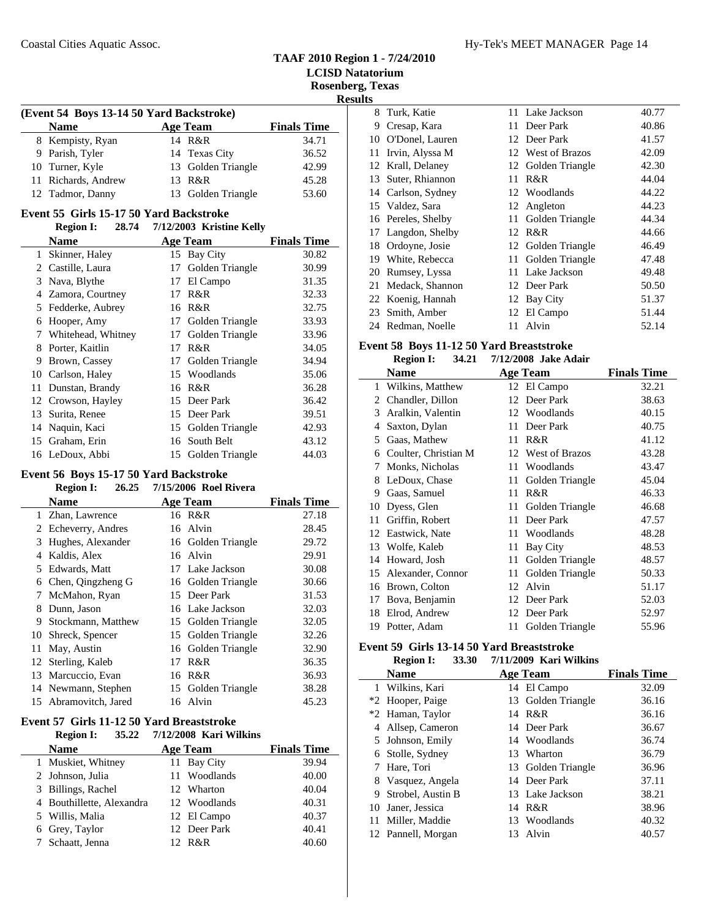| (Event 54 Boys 13-14 50 Yard Backstroke) |                                         |    |                          |                    |  |
|------------------------------------------|-----------------------------------------|----|--------------------------|--------------------|--|
|                                          | <b>Name</b>                             |    | <b>Age Team</b>          | <b>Finals Time</b> |  |
|                                          | 8 Kempisty, Ryan                        |    | 14 R&R                   | 34.71              |  |
|                                          | 9 Parish, Tyler                         |    | 14 Texas City            | 36.52              |  |
|                                          | 10 Turner, Kyle                         |    | 13 Golden Triangle       | 42.99              |  |
|                                          | 11 Richards, Andrew                     |    | 13 R&R                   | 45.28              |  |
|                                          | 12 Tadmor, Danny                        |    | 13 Golden Triangle       | 53.60              |  |
|                                          | Event 55 Girls 15-17 50 Yard Backstroke |    |                          |                    |  |
|                                          | 28.74<br><b>Region I:</b>               |    | 7/12/2003 Kristine Kelly |                    |  |
|                                          | <b>Name</b>                             |    | <b>Age Team</b>          | <b>Finals Time</b> |  |
|                                          | 1 Skinner, Haley                        |    | 15 Bay City              | 30.82              |  |
|                                          | 2 Castille, Laura                       | 17 | Golden Triangle          | 30.99              |  |
|                                          | 3 Nava, Blythe                          |    | 17 El Campo              | 31.35              |  |
|                                          | 4 Zamora, Courtney                      |    | 17 R&R                   | 32.33              |  |
|                                          | 5 Fedderke, Aubrey                      |    | 16 R&R                   | 32.75              |  |
|                                          | 6 Hooper, Amy                           |    | 17 Golden Triangle       | 33.93              |  |
|                                          | 7 Whitehead, Whitney                    |    | 17 Golden Triangle       | 33.96              |  |
|                                          | 8 Porter, Kaitlin                       |    | 17 R&R                   | 34.05              |  |
|                                          | 9 Brown, Cassey                         |    | 17 Golden Triangle       | 34.94              |  |
|                                          | 10 Carlson, Haley                       |    | 15 Woodlands             | 35.06              |  |
|                                          | 11 Dunstan, Brandy                      |    | 16 R&R                   | 36.28              |  |
|                                          | 12 Crowson, Hayley                      |    | 15 Deer Park             | 36.42              |  |
|                                          | 13 Surita, Renee                        |    | 15 Deer Park             | 39.51              |  |
|                                          | 14 Naquin, Kaci                         |    | 15 Golden Triangle       | 42.93              |  |
|                                          | 15 Graham, Erin                         |    | 16 South Belt            | 43.12              |  |
|                                          | 16 LeDoux, Abbi                         |    | 15 Golden Triangle       | 44.03              |  |
|                                          | Event 56 Boys 15-17 50 Yard Backstroke  |    |                          |                    |  |
|                                          | <b>Region I:</b><br>26.25               |    | 7/15/2006 Roel Rivera    |                    |  |
|                                          | <b>Name</b>                             |    | <b>Age Team</b>          | <b>Finals Time</b> |  |
|                                          | 1 Zhan, Lawrence                        |    | 16 R&R                   | 27.18              |  |
|                                          | 2 Echeverry, Andres                     |    | 16 Alvin                 | 28.45              |  |
|                                          | 3 Hughes, Alexander                     |    | 16 Golden Triangle       | 29.72              |  |
|                                          | 4 Kaldis, Alex                          |    | 16 Alvin                 | 29.91              |  |
|                                          | 5 Edwards, Matt                         |    | 17 Lake Jackson          | 30.08              |  |
|                                          | 6 Chen, Qingzheng G                     |    | 16 Golden Triangle       | 30.66              |  |
|                                          | 7 McMahon, Ryan                         |    | 15 Deer Park             | 31.53              |  |
|                                          | 8 Dunn, Jason                           |    | 16 Lake Jackson          | 32.03              |  |
| 9                                        | Stockmann, Matthew                      |    | 15 Golden Triangle       | 32.05              |  |

| .                    |    | 12.01              | * ******** * ***** |
|----------------------|----|--------------------|--------------------|
| 1 Skinner, Haley     |    | 15 Bay City        | 30.82              |
| 2 Castille, Laura    |    | 17 Golden Triangle | 30.99              |
| 3 Nava, Blythe       |    | 17 El Campo        | 31.35              |
| 4 Zamora, Courtney   | 17 | R&R                | 32.33              |
| 5 Fedderke, Aubrey   |    | 16 R&R             | 32.75              |
| 6 Hooper, Amy        |    | 17 Golden Triangle | 33.93              |
| 7 Whitehead, Whitney |    | 17 Golden Triangle | 33.96              |
| 8 Porter, Kaitlin    | 17 | R&R                | 34.05              |
| 9 Brown, Cassey      |    | 17 Golden Triangle | 34.94              |
| 0 Carlson, Haley     |    | 15 Woodlands       | 35.06              |
| 1 Dunstan, Brandy    |    | 16 R&R             | 36.28              |
| 2 Crowson, Hayley    |    | 15 Deer Park       | 36.42              |
| 3 Surita, Renee      |    | 15 Deer Park       | 39.51              |
| 4 Naquin, Kaci       |    | 15 Golden Triangle | 42.93              |
| 5 Graham, Erin       |    | 16 South Belt      | 43.12              |

|    | <b>Name</b>           |    | <b>Age Team</b>    | <b>Finals Time</b> |
|----|-----------------------|----|--------------------|--------------------|
|    | Zhan, Lawrence        |    | 16 R&R             | 27.18              |
|    | Echeverry, Andres     |    | 16 Alvin           | 28.45              |
| 3  | Hughes, Alexander     |    | 16 Golden Triangle | 29.72              |
| 4  | Kaldis, Alex          |    | 16 Alvin           | 29.91              |
| 5. | Edwards, Matt         |    | 17 Lake Jackson    | 30.08              |
| 6  | Chen, Qingzheng G     |    | 16 Golden Triangle | 30.66              |
| 7  | McMahon, Ryan         |    | 15 Deer Park       | 31.53              |
| 8  | Dunn, Jason           |    | 16 Lake Jackson    | 32.03              |
| 9  | Stockmann, Matthew    |    | 15 Golden Triangle | 32.05              |
| 10 | Shreck, Spencer       |    | 15 Golden Triangle | 32.26              |
| 11 | May, Austin           |    | 16 Golden Triangle | 32.90              |
|    | 12 Sterling, Kaleb    | 17 | R&R                | 36.35              |
|    | 13 Marcuccio, Evan    |    | 16 R&R             | 36.93              |
|    | 14 Newmann, Stephen   |    | 15 Golden Triangle | 38.28              |
|    | 15 Abramovitch, Jared |    | 16 Alvin           | 45.23              |

#### **Event 57 Girls 11-12 50 Yard Breaststroke**

| <b>Region I:</b>          | 35.22 | 7/12/2008 Kari Wilkins |                    |
|---------------------------|-------|------------------------|--------------------|
| <b>Name</b>               |       | <b>Age Team</b>        | <b>Finals Time</b> |
| 1 Muskiet, Whitney        |       | 11 Bay City            | 39.94              |
| 2 Johnson, Julia          |       | 11 Woodlands           | 40.00              |
| 3 Billings, Rachel        |       | 12 Wharton             | 40.04              |
| 4 Bouthillette, Alexandra |       | 12 Woodlands           | 40.31              |
| 5 Willis, Malia           |       | 12 El Campo            | 40.37              |
| 6 Grey, Taylor            |       | 12 Deer Park           | 40.41              |
| 7 Schaatt, Jenna          |       | 12 R&R                 | 40.60              |

| LS |                    |    |                    |       |
|----|--------------------|----|--------------------|-------|
|    | 8 Turk, Katie      |    | 11 Lake Jackson    | 40.77 |
| 9  | Cresap, Kara       | 11 | Deer Park          | 40.86 |
| 10 | O'Donel, Lauren    |    | 12 Deer Park       | 41.57 |
| 11 | Irvin, Alyssa M    |    | 12 West of Brazos  | 42.09 |
|    | 12 Krall, Delaney  | 12 | Golden Triangle    | 42.30 |
|    | 13 Suter, Rhiannon | 11 | R&R                | 44.04 |
|    | 14 Carlson, Sydney |    | 12 Woodlands       | 44.22 |
|    | 15 Valdez, Sara    | 12 | Angleton           | 44.23 |
|    | 16 Pereles, Shelby | 11 | Golden Triangle    | 44.34 |
|    | 17 Langdon, Shelby | 12 | R&R                | 44.66 |
|    | 18 Ordoyne, Josie  |    | 12 Golden Triangle | 46.49 |
|    | 19 White, Rebecca  | 11 | Golden Triangle    | 47.48 |
| 20 | Rumsey, Lyssa      |    | 11 Lake Jackson    | 49.48 |
| 21 | Medack, Shannon    |    | 12 Deer Park       | 50.50 |
|    | 22 Koenig, Hannah  | 12 | <b>Bay City</b>    | 51.37 |
|    | 23 Smith, Amber    |    | 12 El Campo        | 51.44 |
|    | 24 Redman, Noelle  | 11 | Alvin              | 52.14 |

### **Event 58 Boys 11-12 50 Yard Breaststroke**

|    | <b>Region I:</b><br>34.21 | 7/12/2008 Jake Adair        |                    |
|----|---------------------------|-----------------------------|--------------------|
|    | Name                      | <b>Age Team</b>             | <b>Finals Time</b> |
| 1  | Wilkins, Matthew          | 12 El Campo                 | 32.21              |
| 2  | Chandler, Dillon          | Deer Park<br>12             | 38.63              |
| 3  | Aralkin, Valentin         | Woodlands<br>12             | 40.15              |
| 4  | Saxton, Dylan             | Deer Park<br>11             | 40.75              |
| 5  | Gaas, Mathew              | R&R<br>11                   | 41.12              |
| 6  | Coulter, Christian M      | <b>West of Brazos</b><br>12 | 43.28              |
| 7  | Monks, Nicholas           | Woodlands<br>11             | 43.47              |
| 8  | LeDoux, Chase             | Golden Triangle<br>11       | 45.04              |
| 9  | Gaas, Samuel              | R&R<br>11                   | 46.33              |
| 10 | Dyess, Glen               | Golden Triangle<br>11       | 46.68              |
| 11 | Griffin, Robert           | Deer Park<br>11             | 47.57              |
| 12 | Eastwick, Nate            | Woodlands<br>11             | 48.28              |
| 13 | Wolfe, Kaleb              | <b>Bay City</b><br>11       | 48.53              |
| 14 | Howard, Josh              | Golden Triangle<br>11       | 48.57              |
| 15 | Alexander, Connor         | Golden Triangle<br>11       | 50.33              |
| 16 | Brown, Colton             | Alvin<br>12                 | 51.17              |
| 17 | Bova, Benjamin            | Deer Park<br>12             | 52.03              |
| 18 | Elrod, Andrew             | 12 Deer Park                | 52.97              |
| 19 | Potter, Adam              | Golden Triangle<br>11       | 55.96              |

#### **Event 59 Girls 13-14 50 Yard Breaststroke**

#### **Region I:** 33.30 7/11/2009 Kari Wilkins

|   | <b>Name</b>        | Age Team           | <b>Finals Time</b> |
|---|--------------------|--------------------|--------------------|
|   | 1 Wilkins, Kari    | 14 El Campo        | 32.09              |
|   | *2 Hooper, Paige   | 13 Golden Triangle | 36.16              |
|   | *2 Haman, Taylor   | 14 R&R             | 36.16              |
|   | 4 Allsep, Cameron  | 14 Deer Park       | 36.67              |
|   | 5 Johnson, Emily   | 14 Woodlands       | 36.74              |
|   | 6 Stolle, Sydney   | 13 Wharton         | 36.79              |
|   | Hare, Tori         | 13 Golden Triangle | 36.96              |
| 8 | Vasquez, Angela    | 14 Deer Park       | 37.11              |
| 9 | Strobel, Austin B  | 13 Lake Jackson    | 38.21              |
|   | 10 Janer, Jessica  | 14 R&R             | 38.96              |
|   | 11 Miller, Maddie  | 13 Woodlands       | 40.32              |
|   | 12 Pannell, Morgan | Alvin<br>13.       | 40.57              |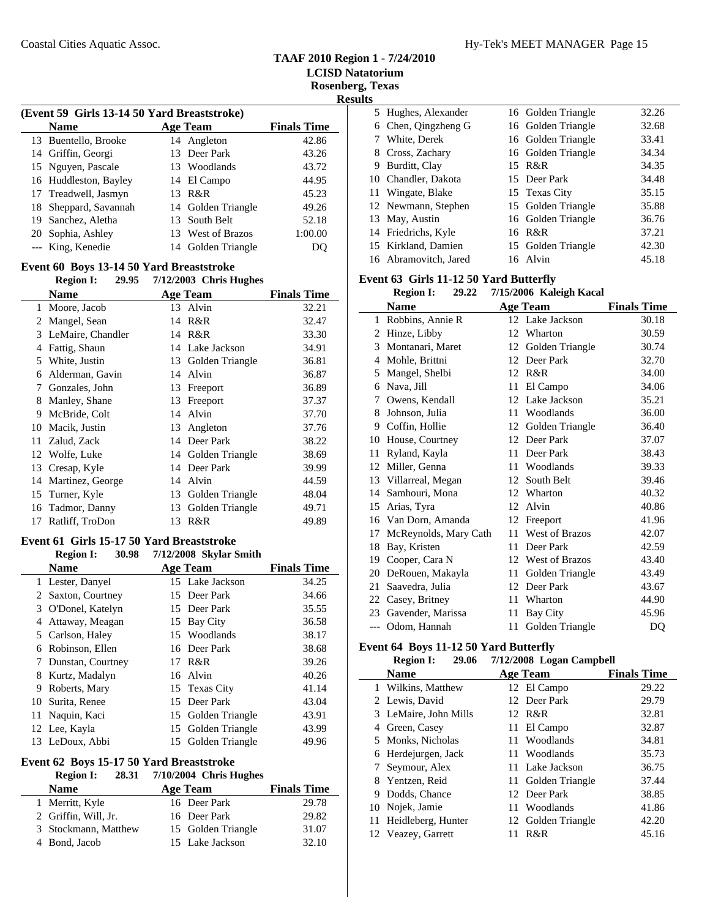**Results**

 $\overline{a}$ 

L,

#### **(Event 59 Girls 13-14 50 Yard Breaststroke) Name Age Team Finals Time**<br>Buentello, Brooke 14 Angleton 42.86 13 Buentello, Brooke 14 43.26 Griffin, Georgi 13 Deer Park 15 43.72 Nguyen, Pascale 13 Woodlands 16 44.95 Huddleston, Bayley 14 El Campo 17 Treadwell, Jasmyn 13 R&R 45.23 18 49.26 Sheppard, Savannah 14 Golden Triangle 19 52.18 Sanchez, Aletha 13 South Belt 20 Sophia, Ashley 13 West of Brazos 1:00.00 --- King, Kenedie 14 Golden Triangle DQ

#### **Event 60 Boys 13-14 50 Yard Breaststroke**

#### **Region I: 29.95 Chris Hughes 7/12/2003 Name Age Team Finals Time**

|    | гланне              |    | лес теаш           | гицаю типс |
|----|---------------------|----|--------------------|------------|
| 1  | Moore, Jacob        |    | 13 Alvin           | 32.21      |
| 2  | Mangel, Sean        | 14 | R&R                | 32.47      |
| 3  | LeMaire, Chandler   | 14 | R&R                | 33.30      |
| 4  | Fattig, Shaun       |    | 14 Lake Jackson    | 34.91      |
| 5  | White, Justin       |    | 13 Golden Triangle | 36.81      |
| 6  | Alderman, Gavin     |    | 14 Alvin           | 36.87      |
| 7  | Gonzales, John      | 13 | Freeport           | 36.89      |
| 8  | Manley, Shane       | 13 | Freeport           | 37.37      |
| 9  | McBride, Colt       | 14 | Alvin              | 37.70      |
| 10 | Macik, Justin       | 13 | Angleton           | 37.76      |
|    | 11 Zalud, Zack      |    | 14 Deer Park       | 38.22      |
|    | 12 Wolfe, Luke      |    | 14 Golden Triangle | 38.69      |
| 13 | Cresap, Kyle        |    | 14 Deer Park       | 39.99      |
|    | 14 Martinez, George |    | 14 Alvin           | 44.59      |
| 15 | Turner, Kyle        | 13 | Golden Triangle    | 48.04      |
| 16 | Tadmor, Danny       | 13 | Golden Triangle    | 49.71      |
| 17 | Ratliff, TroDon     | 13 | R&R                | 49.89      |

#### **Event 61 Girls 15-17 50 Yard Breaststroke**<br>**Bosion L. 20.08 7/12/2008** Shriba 6 **Region I: 30.98 Skylar Smith 7/12/2008**

|   | Region 1.<br>JV.70 |    | 7714/4000 SKYRI SHIILII |                    |
|---|--------------------|----|-------------------------|--------------------|
|   | <b>Name</b>        |    | Age Team                | <b>Finals Time</b> |
|   | 1 Lester, Danyel   |    | 15 Lake Jackson         | 34.25              |
|   | 2 Saxton, Courtney |    | 15 Deer Park            | 34.66              |
| 3 | O'Donel, Katelyn   |    | 15 Deer Park            | 35.55              |
| 4 | Attaway, Meagan    |    | 15 Bay City             | 36.58              |
|   | 5 Carlson, Haley   |    | 15 Woodlands            | 38.17              |
| 6 | Robinson, Ellen    |    | 16 Deer Park            | 38.68              |
|   | Dunstan, Courtney  | 17 | R&R                     | 39.26              |
| 8 | Kurtz, Madalyn     |    | 16 Alvin                | 40.26              |
| 9 | Roberts, Mary      |    | 15 Texas City           | 41.14              |
|   | 10 Surita, Renee   |    | 15 Deer Park            | 43.04              |
|   | 11 Naquin, Kaci    |    | 15 Golden Triangle      | 43.91              |
|   | 12 Lee, Kayla      |    | 15 Golden Triangle      | 43.99              |
|   | 13 LeDoux, Abbi    |    | 15 Golden Triangle      | 49.96              |

#### **Event 62 Boys 15-17 50 Yard Breaststroke**

#### **Region I: 28.31 7/10/2004 Chris Hughes**

| <b>Name</b>          | Age Team           | <b>Finals Time</b> |
|----------------------|--------------------|--------------------|
| 1 Merritt, Kyle      | 16 Deer Park       | 29.78              |
| 2 Griffin, Will, Jr. | 16 Deer Park       | 29.82              |
| 3 Stockmann, Matthew | 15 Golden Triangle | 31.07              |
| 4 Bond, Jacob        | 15 Lake Jackson    | 32.10              |

| 5 Hughes, Alexander   | 16 Golden Triangle | 32.26 |
|-----------------------|--------------------|-------|
| 6 Chen, Qingzheng G   | 16 Golden Triangle | 32.68 |
| 7 White, Derek        | 16 Golden Triangle | 33.41 |
| 8 Cross, Zachary      | 16 Golden Triangle | 34.34 |
| 9 Burditt, Clay       | 15 R&R             | 34.35 |
| 10 Chandler, Dakota   | 15 Deer Park       | 34.48 |
| 11 Wingate, Blake     | 15 Texas City      | 35.15 |
| 12 Newmann, Stephen   | 15 Golden Triangle | 35.88 |
| 13 May, Austin        | 16 Golden Triangle | 36.76 |
| 14 Friedrichs, Kyle   | 16 R&R             | 37.21 |
| 15 Kirkland, Damien   | 15 Golden Triangle | 42.30 |
| 16 Abramovitch, Jared | 16 Alvin           | 45.18 |

#### **Event 63 Girls 11-12 50 Yard Butterfly**

#### **Region I:** 29.22 7/15/2006 Kaleigh Kacal

|       | <b>Name</b>           |    | <b>Age Team</b>       | <b>Finals Time</b> |
|-------|-----------------------|----|-----------------------|--------------------|
|       | 1 Robbins, Annie R    |    | 12 Lake Jackson       | 30.18              |
| 2     | Hinze, Libby          | 12 | Wharton               | 30.59              |
| 3     | Montanari, Maret      | 12 | Golden Triangle       | 30.74              |
| 4     | Mohle, Brittni        | 12 | Deer Park             | 32.70              |
| 5     | Mangel, Shelbi        | 12 | R&R                   | 34.00              |
| 6     | Nava, Jill            | 11 | El Campo              | 34.06              |
| 7     | Owens, Kendall        | 12 | Lake Jackson          | 35.21              |
| 8     | Johnson, Julia        | 11 | Woodlands             | 36.00              |
| 9     | Coffin, Hollie        | 12 | Golden Triangle       | 36.40              |
| 10    | House, Courtney       | 12 | Deer Park             | 37.07              |
| 11    | Ryland, Kayla         | 11 | Deer Park             | 38.43              |
| 12    | Miller, Genna         | 11 | Woodlands             | 39.33              |
| 13    | Villarreal, Megan     | 12 | South Belt            | 39.46              |
| 14    | Samhouri, Mona        |    | 12 Wharton            | 40.32              |
| 15    | Arias, Tyra           | 12 | Alvin                 | 40.86              |
|       | 16 Van Dorn, Amanda   | 12 | Freeport              | 41.96              |
| 17    | McReynolds, Mary Cath | 11 | <b>West of Brazos</b> | 42.07              |
| 18    | Bay, Kristen          | 11 | Deer Park             | 42.59              |
| 19    | Cooper, Cara N        |    | 12 West of Brazos     | 43.40              |
| 20    | DeRouen, Makayla      | 11 | Golden Triangle       | 43.49              |
| 21    | Saavedra, Julia       | 12 | Deer Park             | 43.67              |
| 22    | Casey, Britney        | 11 | Wharton               | 44.90              |
| 23    | Gavender, Marissa     | 11 | Bay City              | 45.96              |
| $---$ | Odom, Hannah          | 11 | Golden Triangle       | DQ                 |

#### **Event 64 Boys 11-12 50 Yard Butterfly**

#### **Region I:** 29.06 7/12/2008 Logan Campbell

| <b>Name</b>           | Age Team           | <b>Finals Time</b> |  |
|-----------------------|--------------------|--------------------|--|
| 1 Wilkins, Matthew    | 12 El Campo        | 29.22              |  |
| 2 Lewis, David        | 12 Deer Park       | 29.79              |  |
| 3 LeMaire, John Mills | 12 R&R             | 32.81              |  |
| 4 Green, Casey        | 11 El Campo        | 32.87              |  |
| 5 Monks, Nicholas     | 11 Woodlands       | 34.81              |  |
| 6 Herdejurgen, Jack   | 11 Woodlands       | 35.73              |  |
| 7 Seymour, Alex       | 11 Lake Jackson    | 36.75              |  |
| 8 Yentzen, Reid       | 11 Golden Triangle | 37.44              |  |
| 9 Dodds, Chance       | 12 Deer Park       | 38.85              |  |
| 10 Nojek, Jamie       | 11 Woodlands       | 41.86              |  |
| 11 Heidleberg, Hunter | 12 Golden Triangle | 42.20              |  |
| 12 Veazey, Garrett    | R&R<br>11          | 45.16              |  |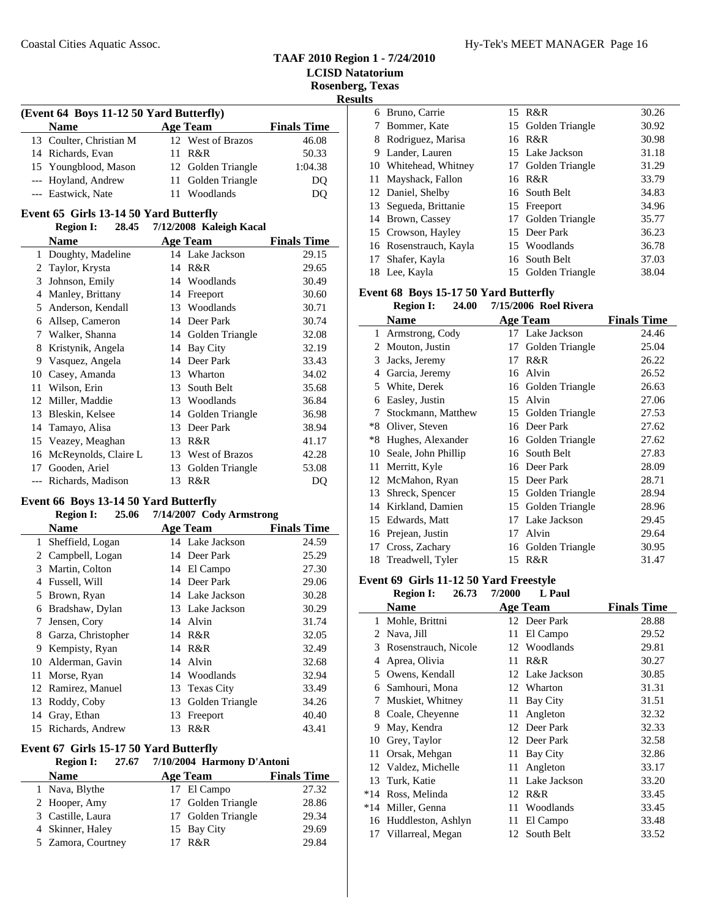#### Coastal Cities Aquatic Assoc. Hy-Tek's MEET MANAGER Page 16

#### **TAAF 2010 Region 1 - 7/24/2010 LCISD Natatorium Rosenberg, Texas**

**Results**

 $\overline{\phantom{a}}$ 

| (Event 64 Boys 11-12 50 Yard Butterfly) |  |                    |                    |  |  |
|-----------------------------------------|--|--------------------|--------------------|--|--|
| <b>Name</b>                             |  | <b>Age Team</b>    | <b>Finals Time</b> |  |  |
| 13 Coulter, Christian M                 |  | 12 West of Brazos  | 46.08              |  |  |
| 14 Richards, Evan                       |  | 11 R&R             | 50.33              |  |  |
| 15 Youngblood, Mason                    |  | 12 Golden Triangle | 1:04.38            |  |  |
| --- Hoyland, Andrew                     |  | 11 Golden Triangle | DO                 |  |  |
| --- Eastwick, Nate                      |  | 11 Woodlands       | DO                 |  |  |

#### **Event 65 Girls 13-14 50 Yard Butterfly**

#### **Region I: 28.45 7/12/2008** Kaleigh Kacal

|    | <b>Name</b>          |    | <b>Age Team</b>    | <b>Finals Time</b> |
|----|----------------------|----|--------------------|--------------------|
|    | 1 Doughty, Madeline  |    | 14 Lake Jackson    | 29.15              |
| 2  | Taylor, Krysta       | 14 | R&R                | 29.65              |
| 3  | Johnson, Emily       | 14 | Woodlands          | 30.49              |
| 4  | Manley, Brittany     | 14 | Freeport           | 30.60              |
| 5  | Anderson, Kendall    | 13 | Woodlands          | 30.71              |
| 6  | Allsep, Cameron      | 14 | Deer Park          | 30.74              |
| 7  | Walker, Shanna       |    | 14 Golden Triangle | 32.08              |
| 8  | Kristynik, Angela    | 14 | Bay City           | 32.19              |
| 9  | Vasquez, Angela      | 14 | Deer Park          | 33.43              |
| 10 | Casey, Amanda        | 13 | Wharton            | 34.02              |
| 11 | Wilson, Erin         | 13 | South Belt         | 35.68              |
| 12 | Miller, Maddie       | 13 | Woodlands          | 36.84              |
| 13 | Bleskin, Kelsee      | 14 | Golden Triangle    | 36.98              |
| 14 | Tamayo, Alisa        | 13 | Deer Park          | 38.94              |
| 15 | Veazey, Meaghan      | 13 | R&R                | 41.17              |
| 16 | McReynolds, Claire L | 13 | West of Brazos     | 42.28              |
| 17 | Gooden, Ariel        | 13 | Golden Triangle    | 53.08              |
|    | Richards, Madison    | 13 | R&R                | DQ                 |

#### **Event 66 Boys 13-14 50 Yard Butterfly**

#### **Region I:** 25.06 7/14/2007 Cody Armstrong

|    | <b>Name</b>        |    | <b>Age Team</b> | <b>Finals Time</b> |
|----|--------------------|----|-----------------|--------------------|
| 1  | Sheffield, Logan   |    | 14 Lake Jackson | 24.59              |
|    | 2 Campbell, Logan  |    | 14 Deer Park    | 25.29              |
| 3  | Martin, Colton     |    | 14 El Campo     | 27.30              |
| 4  | Fussell, Will      |    | 14 Deer Park    | 29.06              |
| 5  | Brown, Ryan        |    | 14 Lake Jackson | 30.28              |
| 6  | Bradshaw, Dylan    |    | 13 Lake Jackson | 30.29              |
| 7  | Jensen, Cory       |    | 14 Alvin        | 31.74              |
| 8  | Garza, Christopher | 14 | R&R             | 32.05              |
| 9  | Kempisty, Ryan     |    | 14 R&R          | 32.49              |
| 10 | Alderman, Gavin    |    | 14 Alvin        | 32.68              |
| 11 | Morse, Ryan        | 14 | Woodlands       | 32.94              |
| 12 | Ramirez, Manuel    |    | 13 Texas City   | 33.49              |
| 13 | Roddy, Coby        | 13 | Golden Triangle | 34.26              |
| 14 | Gray, Ethan        | 13 | Freeport        | 40.40              |
| 15 | Richards, Andrew   | 13 | R&R             | 43.41              |

#### **Event 67 Girls 15-17 50 Yard Butterfly**

#### **Region I: 27.67 7/10/2004 Harmony D'Antoni**

| <b>Name</b>        | Age Team           | <b>Finals Time</b> |
|--------------------|--------------------|--------------------|
| 1 Nava, Blythe     | 17 El Campo        | 27.32              |
| 2 Hooper, Amy      | 17 Golden Triangle | 28.86              |
| 3 Castille, Laura  | 17 Golden Triangle | 29.34              |
| 4 Skinner, Haley   | 15 Bay City        | 29.69              |
| 5 Zamora, Courtney | $17$ R&R           | 29.84              |

|   | 6 Bruno, Carrie        | 15 R&R             | 30.26 |
|---|------------------------|--------------------|-------|
| 7 | Bommer, Kate           | 15 Golden Triangle | 30.92 |
|   | 8 Rodriguez, Marisa    | 16 R&R             | 30.98 |
|   | 9 Lander, Lauren       | 15 Lake Jackson    | 31.18 |
|   | 10 Whitehead, Whitney  | 17 Golden Triangle | 31.29 |
|   | 11 Mayshack, Fallon    | 16 R&R             | 33.79 |
|   | 12 Daniel, Shelby      | 16 South Belt      | 34.83 |
|   | 13 Segueda, Brittanie  | 15 Freeport        | 34.96 |
|   | 14 Brown, Cassey       | 17 Golden Triangle | 35.77 |
|   | 15 Crowson, Hayley     | 15 Deer Park       | 36.23 |
|   | 16 Rosenstrauch, Kayla | 15 Woodlands       | 36.78 |
|   | 17 Shafer, Kayla       | 16 South Belt      | 37.03 |
|   | 18 Lee, Kayla          | 15 Golden Triangle | 38.04 |

#### **Event 68 Boys 15-17 50 Yard Butterfly**

|    | 24.00<br><b>Region I:</b> |    | 7/15/2006 Roel Rivera |                    |
|----|---------------------------|----|-----------------------|--------------------|
|    | <b>Name</b>               |    | Age Team              | <b>Finals Time</b> |
| 1  | Armstrong, Cody           |    | 17 Lake Jackson       | 24.46              |
| 2  | Mouton, Justin            | 17 | Golden Triangle       | 25.04              |
| 3  | Jacks, Jeremy             | 17 | R&R                   | 26.22              |
| 4  | Garcia, Jeremy            |    | 16 Alvin              | 26.52              |
| 5. | White, Derek              |    | 16 Golden Triangle    | 26.63              |
| 6  | Easley, Justin            | 15 | Alvin                 | 27.06              |
| 7  | Stockmann, Matthew        | 15 | Golden Triangle       | 27.53              |
| *8 | Oliver, Steven            | 16 | Deer Park             | 27.62              |
| *8 | Hughes, Alexander         |    | 16 Golden Triangle    | 27.62              |
| 10 | Seale, John Phillip       | 16 | South Belt            | 27.83              |
| 11 | Merritt, Kyle             |    | 16 Deer Park          | 28.09              |
| 12 | McMahon, Ryan             |    | 15 Deer Park          | 28.71              |
| 13 | Shreck, Spencer           | 15 | Golden Triangle       | 28.94              |
| 14 | Kirkland, Damien          | 15 | Golden Triangle       | 28.96              |
| 15 | Edwards, Matt             | 17 | Lake Jackson          | 29.45              |
| 16 | Prejean, Justin           | 17 | Alvin                 | 29.64              |
| 17 | Cross, Zachary            |    | 16 Golden Triangle    | 30.95              |
|    | 18 Treadwell, Tyler       |    | 15 R&R                | 31.47              |

#### **Event 69 Girls 11-12 50 Yard Freestyle**

|              | <b>Region I:</b>      | 26.73 | 7/2000 | L Paul          |                    |
|--------------|-----------------------|-------|--------|-----------------|--------------------|
|              | Name                  |       |        | <b>Age Team</b> | <b>Finals Time</b> |
| $\mathbf{1}$ | Mohle, Brittni        |       |        | 12 Deer Park    | 28.88              |
|              | 2 Nava, Jill          |       | 11     | El Campo        | 29.52              |
| 3            | Rosenstrauch, Nicole  |       |        | 12 Woodlands    | 29.81              |
| 4            | Aprea, Olivia         |       | 11     | R&R             | 30.27              |
| 5            | Owens, Kendall        |       |        | 12 Lake Jackson | 30.85              |
| 6            | Samhouri, Mona        |       |        | 12 Wharton      | 31.31              |
| 7            | Muskiet, Whitney      |       | 11     | Bay City        | 31.51              |
| 8            | Coale, Cheyenne       |       | 11     | Angleton        | 32.32              |
| 9            | May, Kendra           |       | 12     | Deer Park       | 32.33              |
| 10           | Grey, Taylor          |       | 12     | Deer Park       | 32.58              |
| 11           | Orsak, Mehgan         |       | 11     | Bay City        | 32.86              |
|              | 12 Valdez, Michelle   |       | 11     | Angleton        | 33.17              |
| 13           | Turk, Katie           |       | 11     | Lake Jackson    | 33.20              |
| $*14$        | Ross, Melinda         |       | 12     | R&R             | 33.45              |
|              | *14 Miller, Genna     |       | 11     | Woodlands       | 33.45              |
|              | 16 Huddleston, Ashlyn |       | 11     | El Campo        | 33.48              |
|              | 17 Villarreal, Megan  |       |        | 12 South Belt   | 33.52              |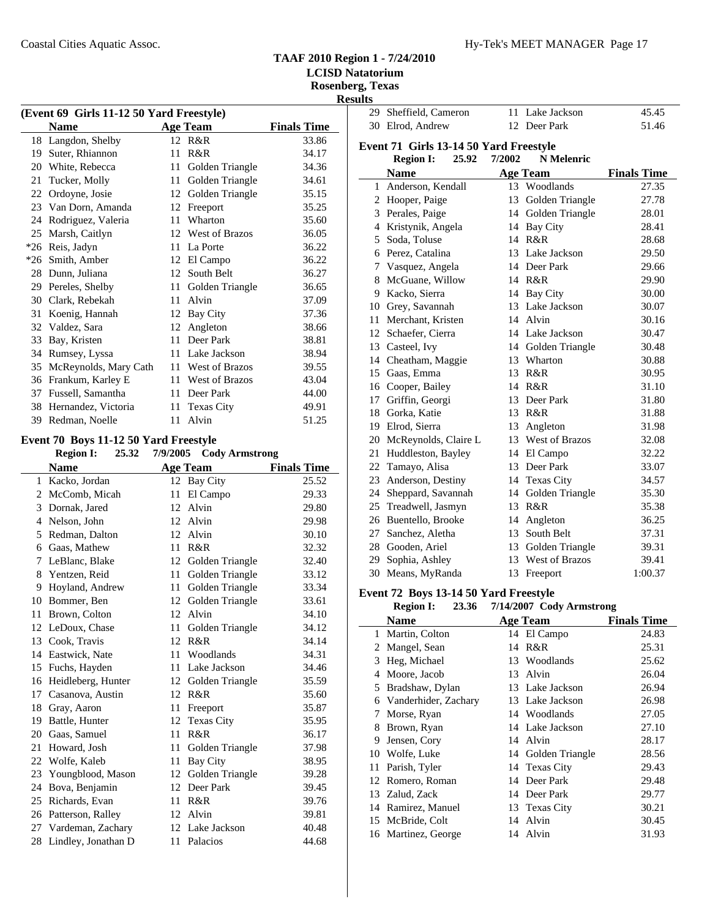**(Event 69 Girls 11-12 50 Yard Freestyle)**

#### Coastal Cities Aquatic Assoc. Hy-Tek's MEET MANAGER Page 17

#### **TAAF 2010 Region 1 - 7/24/2010 LCISD Natatorium**

**Rosenberg, Texas**

**Results**

| . |                       |                 |       |
|---|-----------------------|-----------------|-------|
|   | 29 Sheffield, Cameron | 11 Lake Jackson | 45.45 |
|   | 30 Elrod. Andrew      | 12 Deer Park    | 51.46 |

#### **Event 71 Girls 13-14 50 Yard Freestyle Region I: 25.92 N Melenric 7/2002**

|       | 18 Langdon, Shelby     | 12 | R&R               | 33.86 |
|-------|------------------------|----|-------------------|-------|
| 19    | Suter, Rhiannon        | 11 | R&R               | 34.17 |
| 20    | White, Rebecca         | 11 | Golden Triangle   | 34.36 |
| 21    | Tucker, Molly          | 11 | Golden Triangle   | 34.61 |
| 22    | Ordoyne, Josie         | 12 | Golden Triangle   | 35.15 |
|       | 23 Van Dorn, Amanda    | 12 | Freeport          | 35.25 |
| 24    | Rodriguez, Valeria     | 11 | Wharton           | 35.60 |
|       | 25 Marsh, Caitlyn      | 12 | West of Brazos    | 36.05 |
| $*26$ | Reis, Jadyn            | 11 | La Porte          | 36.22 |
| $*26$ | Smith, Amber           | 12 | El Campo          | 36.22 |
| 28    | Dunn, Juliana          | 12 | South Belt        | 36.27 |
| 29    | Pereles, Shelby        | 11 | Golden Triangle   | 36.65 |
| 30    | Clark, Rebekah         | 11 | Alvin             | 37.09 |
| 31    | Koenig, Hannah         | 12 | Bay City          | 37.36 |
| 32    | Valdez, Sara           | 12 | Angleton          | 38.66 |
| 33    | Bay, Kristen           | 11 | Deer Park         | 38.81 |
| 34    | Rumsey, Lyssa          | 11 | Lake Jackson      | 38.94 |
| 35    | McReynolds, Mary Cath  | 11 | West of Brazos    | 39.55 |
| 36    | Frankum, Karley E      | 11 | West of Brazos    | 43.04 |
| 37    | Fussell, Samantha      | 11 | Deer Park         | 44.00 |
|       | 38 Hernandez, Victoria | 11 | <b>Texas City</b> | 49.91 |
| 39    | Redman, Noelle         | 11 | Alvin             | 51.25 |

**Name Age Team Finals Time** 

#### **Event 70 Boys 11-12 50 Yard Freestyle**

#### **Region I: 25.32 7/9/2005** Cody Armstrong **Name Age Team Finals Time** 1 Kacko, Jordan 12 Bay City 25.52 2 McComb, Micah 11 El Campo 29.33 3 29.80 Dornak, Jared 12 Alvin 4 29.98 Nelson, John 12 Alvin 5 Redman, Dalton 12 Alvin 30.10 6 32.32 Gaas, Mathew 11 R&R 7 LeBlanc, Blake 12 Golden Triangle 32.40 8 33.12 Yentzen, Reid 11 Golden Triangle 9 Hoyland, Andrew 11 Golden Triangle 33.34 10 Bommer, Ben 12 Golden Triangle 33.61 11 34.10 Brown, Colton 12 Alvin 12 LeDoux, Chase 11 Golden Triangle 34.12 13 34.14 Cook, Travis 12 R&R 14 Eastwick, Nate 11 Woodlands 34.31 15 34.46 Fuchs, Hayden 11 Lake Jackson 16 Heidleberg, Hunter 12 Golden Triangle 35.59 17 Casanova, Austin 12 R&R 35.60 18 Gray, Aaron 11 Freeport 35.87 19 35.95 Battle, Hunter 12 Texas City 20 36.17 Gaas, Samuel 11 R&R 21 Howard, Josh 11 Golden Triangle 37.98 22 Wolfe, Kaleb 11 Bay City 38.95 23 Youngblood, Mason 12 Golden Triangle 39.28 24 39.45 Bova, Benjamin 12 Deer Park 25 39.76 Richards, Evan 11 R&R 26 Patterson, Ralley 12 Alvin 39.81 27 Vardeman, Zachary 12 Lake Jackson 40.48 28 Lindley, Jonathan D 11 Palacios 44.68

|              | <b>Name</b>             |    | <b>Age Team</b>       | <b>Finals Time</b> |
|--------------|-------------------------|----|-----------------------|--------------------|
| $\mathbf{1}$ | Anderson, Kendall       |    | 13 Woodlands          | 27.35              |
|              | 2 Hooper, Paige         |    | 13 Golden Triangle    | 27.78              |
| 3            | Perales, Paige          | 14 | Golden Triangle       | 28.01              |
| 4            | Kristynik, Angela       |    | 14 Bay City           | 28.41              |
| 5            | Soda, Toluse            | 14 | R&R                   | 28.68              |
|              | 6 Perez, Catalina       |    | 13 Lake Jackson       | 29.50              |
|              | 7 Vasquez, Angela       |    | 14 Deer Park          | 29.66              |
| 8            | McGuane, Willow         | 14 | R&R                   | 29.90              |
| 9            | Kacko, Sierra           |    | 14 Bay City           | 30.00              |
| 10           | Grey, Savannah          | 13 | Lake Jackson          | 30.07              |
| 11           | Merchant, Kristen       |    | 14 Alvin              | 30.16              |
| 12           | Schaefer, Cierra        |    | 14 Lake Jackson       | 30.47              |
|              | 13 Casteel, Ivy         |    | 14 Golden Triangle    | 30.48              |
|              | 14 Cheatham, Maggie     |    | 13 Wharton            | 30.88              |
| 15           | Gaas, Emma              | 13 | R&R                   | 30.95              |
|              | 16 Cooper, Bailey       |    | 14 R&R                | 31.10              |
| 17           | Griffin, Georgi         | 13 | Deer Park             | 31.80              |
|              | 18 Gorka, Katie         |    | 13 R&R                | 31.88              |
|              | 19 Elrod, Sierra        | 13 | Angleton              | 31.98              |
|              | 20 McReynolds, Claire L |    | 13 West of Brazos     | 32.08              |
| 21           | Huddleston, Bayley      | 14 | El Campo              | 32.22              |
| 22           | Tamayo, Alisa           | 13 | Deer Park             | 33.07              |
| 23           | Anderson, Destiny       |    | 14 Texas City         | 34.57              |
| 24           | Sheppard, Savannah      | 14 | Golden Triangle       | 35.30              |
|              | 25 Treadwell, Jasmyn    | 13 | R&R                   | 35.38              |
| 26           | Buentello, Brooke       | 14 | Angleton              | 36.25              |
| 27           | Sanchez, Aletha         | 13 | South Belt            | 37.31              |
|              | 28 Gooden, Ariel        | 13 | Golden Triangle       | 39.31              |
| 29           | Sophia, Ashley          | 13 | <b>West of Brazos</b> | 39.41              |
| 30           | Means, MyRanda          | 13 | Freeport              | 1:00.37            |

### **Event 72 Boys 13-14 50 Yard Freestyle**<br>**Region L. 23.36 7/14/2007** Com

|    | 23.36<br><b>Region I:</b> |    | 7/14/2007 Cody Armstrong |                    |
|----|---------------------------|----|--------------------------|--------------------|
|    | <b>Name</b>               |    | Age Team                 | <b>Finals Time</b> |
| 1  | Martin, Colton            |    | 14 El Campo              | 24.83              |
| 2  | Mangel, Sean              | 14 | R&R                      | 25.31              |
| 3  | Heg, Michael              |    | 13 Woodlands             | 25.62              |
| 4  | Moore, Jacob              | 13 | Alvin                    | 26.04              |
| 5  | Bradshaw, Dylan           |    | 13 Lake Jackson          | 26.94              |
| 6  | Vanderhider, Zachary      |    | 13 Lake Jackson          | 26.98              |
| 7  | Morse, Ryan               |    | 14 Woodlands             | 27.05              |
| 8  | Brown, Ryan               |    | 14 Lake Jackson          | 27.10              |
| 9  | Jensen, Cory              |    | 14 Alvin                 | 28.17              |
| 10 | Wolfe, Luke               |    | 14 Golden Triangle       | 28.56              |
| 11 | Parish, Tyler             |    | 14 Texas City            | 29.43              |
| 12 | Romero, Roman             | 14 | Deer Park                | 29.48              |
|    | 13 Zalud, Zack            |    | 14 Deer Park             | 29.77              |
| 14 | Ramirez, Manuel           |    | 13 Texas City            | 30.21              |
|    | 15 McBride, Colt          | 14 | Alvin                    | 30.45              |
|    | 16 Martinez, George       |    | 14 Alvin                 | 31.93              |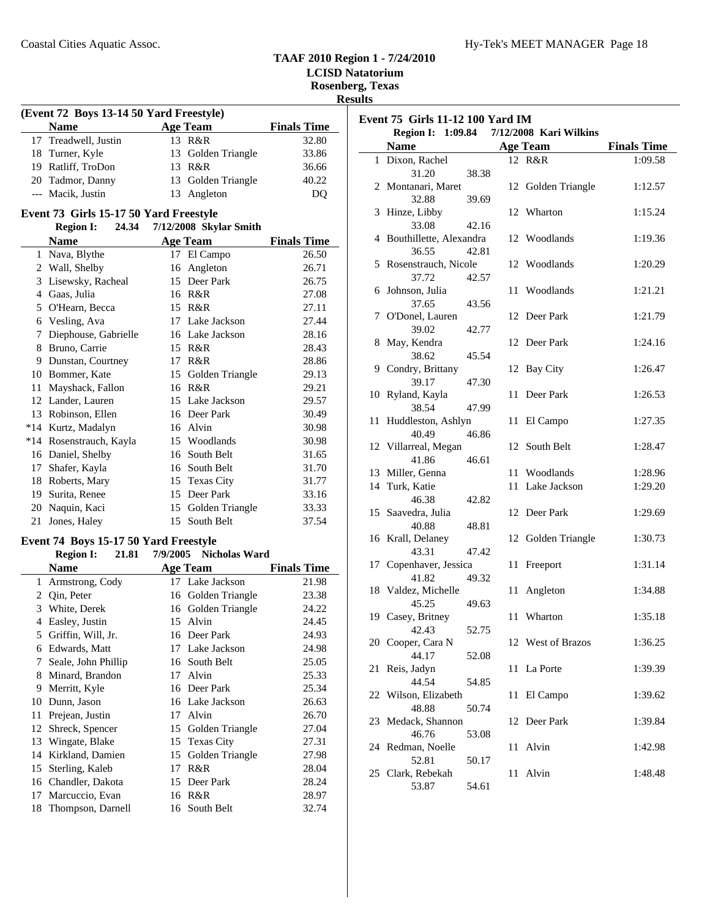#### Coastal Cities Aquatic Assoc. The Coastal Cities Aquatic Assoc. The Coastal Cities Aquatic Assoc.

#### **TAAF 2010 Region 1 - 7/24/2010 LCISD Natatorium**

**Rosenberg, Texas**

**Results**

#### **(Event 72 Boys 13-14 50 Yard Freestyle) Name Age Team Finals Time**<br>Treadwell, Justin **13 R&R 32.80** 17 Treadwell, Justin 18 Turner, Kyle 13 Golden Triangle 33.86 19 36.66 Ratliff, TroDon 13 R&R 20 Tadmor, Danny 13 Golden Triangle 40.22 --- Macik, Justin 13 Angleton DQ

#### **Event 73 Girls 15-17 50 Yard Freestyle Region I: 24.34 Skylar Smith 7/12/2008**

|       | REGIOII 1:<br>44.34     | 7712/2000 SKYRIT SHIILI |                    |
|-------|-------------------------|-------------------------|--------------------|
|       | Name                    | <b>Age Team</b>         | <b>Finals Time</b> |
| 1     | Nava, Blythe            | 17 El Campo             | 26.50              |
| 2     | Wall, Shelby            | Angleton<br>16          | 26.71              |
| 3     | Lisewsky, Racheal       | Deer Park<br>15         | 26.75              |
| 4     | Gaas, Julia             | R&R<br>16               | 27.08              |
| 5     | O'Hearn, Becca          | R&R<br>15               | 27.11              |
| 6     | Vesling, Ava            | Lake Jackson<br>17      | 27.44              |
| 7     | Diephouse, Gabrielle    | Lake Jackson<br>16      | 28.16              |
| 8     | Bruno, Carrie           | R&R<br>15               | 28.43              |
| 9     | Dunstan, Courtney       | R&R<br>17               | 28.86              |
| 10    | Bommer, Kate            | 15<br>Golden Triangle   | 29.13              |
| 11    | Mayshack, Fallon        | R&R<br>16               | 29.21              |
| 12    | Lander, Lauren          | Lake Jackson<br>15      | 29.57              |
| 13    | Robinson, Ellen         | Deer Park<br>16         | 30.49              |
| $*14$ | Kurtz, Madalyn          | Alvin<br>16             | 30.98              |
|       | *14 Rosenstrauch, Kayla | Woodlands<br>15         | 30.98              |
| 16    | Daniel, Shelby          | South Belt<br>16        | 31.65              |
| 17    | Shafer, Kayla           | South Belt<br>16        | 31.70              |
| 18    | Roberts, Mary           | <b>Texas City</b><br>15 | 31.77              |
| 19    | Surita, Renee           | Deer Park<br>15         | 33.16              |
| 20    | Naquin, Kaci            | Golden Triangle<br>15   | 33.33              |
| 21    | Jones, Haley            | South Belt<br>15        | 37.54              |

#### **Event 74 Boys 15-17 50 Yard Freestyle**

|    | <b>Region I:</b><br>21.81 |          | 7/9/2005 Nicholas Ward |                    |
|----|---------------------------|----------|------------------------|--------------------|
|    | <b>Name</b>               | Age Team |                        | <b>Finals Time</b> |
| 1  | Armstrong, Cody           |          | 17 Lake Jackson        | 21.98              |
| 2  | Qin, Peter                |          | 16 Golden Triangle     | 23.38              |
| 3  | White, Derek              | 16       | Golden Triangle        | 24.22              |
| 4  | Easley, Justin            | 15       | Alvin                  | 24.45              |
| 5  | Griffin, Will, Jr.        |          | 16 Deer Park           | 24.93              |
| 6  | Edwards, Matt             |          | 17 Lake Jackson        | 24.98              |
| 7  | Seale, John Phillip       | 16       | South Belt             | 25.05              |
| 8  | Minard, Brandon           | 17       | Alvin                  | 25.33              |
| 9  | Merritt, Kyle             |          | 16 Deer Park           | 25.34              |
| 10 | Dunn, Jason               |          | 16 Lake Jackson        | 26.63              |
| 11 | Prejean, Justin           | 17       | Alvin                  | 26.70              |
| 12 | Shreck, Spencer           | 15       | Golden Triangle        | 27.04              |
| 13 | Wingate, Blake            | 15       | <b>Texas City</b>      | 27.31              |
| 14 | Kirkland, Damien          | 15       | Golden Triangle        | 27.98              |
| 15 | Sterling, Kaleb           | 17       | R&R                    | 28.04              |
| 16 | Chandler, Dakota          | 15       | Deer Park              | 28.24              |
| 17 | Marcuccio, Evan           | 16       | R&R                    | 28.97              |
|    | 18 Thompson, Darnell      |          | 16 South Belt          | 32.74              |

| <b>Finals Time</b><br>1:09.58<br>1:12.57<br>1:15.24<br>1:19.36<br>1:20.29<br>1:21.21<br>1:21.79<br>1:24.16 |
|------------------------------------------------------------------------------------------------------------|
|                                                                                                            |
|                                                                                                            |
|                                                                                                            |
|                                                                                                            |
|                                                                                                            |
|                                                                                                            |
|                                                                                                            |
|                                                                                                            |
|                                                                                                            |
|                                                                                                            |
|                                                                                                            |
|                                                                                                            |
|                                                                                                            |
|                                                                                                            |
|                                                                                                            |
|                                                                                                            |
|                                                                                                            |
| 1:26.47                                                                                                    |
|                                                                                                            |
| 1:26.53                                                                                                    |
|                                                                                                            |
| 1:27.35                                                                                                    |
|                                                                                                            |
| 1:28.47                                                                                                    |
|                                                                                                            |
| 1:28.96                                                                                                    |
| 1:29.20                                                                                                    |
|                                                                                                            |
| 1:29.69                                                                                                    |
| 1:30.73                                                                                                    |
|                                                                                                            |
| 1:31.14                                                                                                    |
|                                                                                                            |
| 1:34.88                                                                                                    |
|                                                                                                            |
| 1:35.18                                                                                                    |
|                                                                                                            |
| 1:36.25                                                                                                    |
|                                                                                                            |
| 1:39.39                                                                                                    |
|                                                                                                            |
|                                                                                                            |
| 1:39.62                                                                                                    |
|                                                                                                            |
| 1:39.84                                                                                                    |
|                                                                                                            |
| 1:42.98                                                                                                    |
| 1:48.48                                                                                                    |
|                                                                                                            |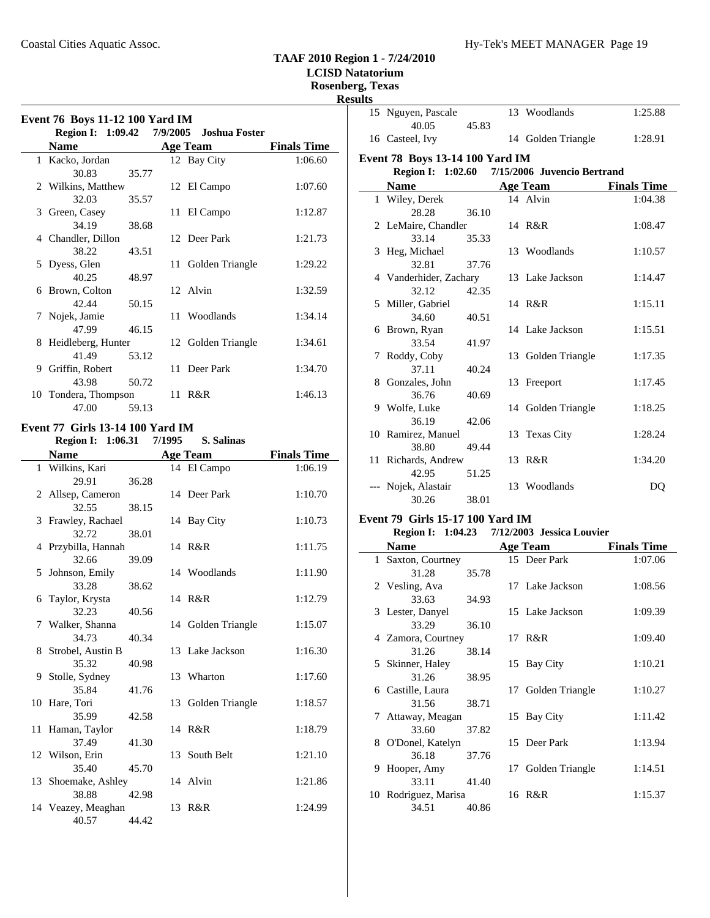#### Coastal Cities Aquatic Assoc. Hy-Tek's MEET MANAGER Page 19

#### **TAAF 2010 Region 1 - 7/24/2010**

**LCISD Natatorium Rosenberg, Texas**

**Result** 

|   |                      |       | Region I: 1:09.42 7/9/2005 Joshua Foster |                    |
|---|----------------------|-------|------------------------------------------|--------------------|
|   | <b>Name</b>          |       | <b>Age Team</b>                          | <b>Finals Time</b> |
|   | 1 Kacko, Jordan      |       | 12 Bay City                              | 1:06.60            |
|   | 30.83                | 35.77 |                                          |                    |
|   | 2 Wilkins, Matthew   |       | 12 El Campo                              | 1:07.60            |
|   | 32.03                | 35.57 |                                          |                    |
|   | 3 Green, Casey       |       | 11 El Campo                              | 1:12.87            |
|   | 34.19                | 38.68 |                                          |                    |
|   | 4 Chandler, Dillon   |       | 12 Deer Park                             | 1:21.73            |
|   | 38.22                | 43.51 |                                          |                    |
|   | 5 Dyess, Glen        |       | 11 Golden Triangle                       | 1:29.22            |
|   | 40.25                | 48.97 |                                          |                    |
| 6 | Brown, Colton        |       | 12 Alvin                                 | 1:32.59            |
|   | 42.44                | 50.15 |                                          |                    |
| 7 | Nojek, Jamie         |       | 11 Woodlands                             | 1:34.14            |
|   | 47.99                | 46.15 |                                          |                    |
|   | 8 Heidleberg, Hunter |       | 12 Golden Triangle                       | 1:34.61            |
|   | 41.49                | 53.12 |                                          |                    |
|   | 9 Griffin, Robert    |       | 11 Deer Park                             | 1:34.70            |
|   | 43.98                | 50.72 |                                          |                    |
|   | 10 Tondera, Thompson |       | 11 R&R                                   | 1:46.13            |
|   | 47.00                | 59.13 |                                          |                    |

#### **Event 77 Girls 13-14 100 Yard IM**

| <b>Region I: 1:06.31</b> |       | 7/1995 | S. Salinas         |                    |
|--------------------------|-------|--------|--------------------|--------------------|
| <b>Name</b>              |       |        | <b>Age Team</b>    | <b>Finals Time</b> |
| 1 Wilkins, Kari          |       |        | 14 El Campo        | 1:06.19            |
| 29.91                    | 36.28 |        |                    |                    |
| 2 Allsep, Cameron        |       |        | 14 Deer Park       | 1:10.70            |
| 32.55                    | 38.15 |        |                    |                    |
| 3 Frawley, Rachael       |       |        | 14 Bay City        | 1:10.73            |
| 32.72                    | 38.01 |        |                    |                    |
| 4 Przybilla, Hannah      |       |        | 14 R&R             | 1:11.75            |
| 32.66                    | 39.09 |        |                    |                    |
| 5 Johnson, Emily         |       |        | 14 Woodlands       | 1:11.90            |
| 33.28                    | 38.62 |        |                    |                    |
| 6 Taylor, Krysta         |       |        | 14 R&R             | 1:12.79            |
| 32.23                    | 40.56 |        |                    |                    |
| 7 Walker, Shanna         |       |        | 14 Golden Triangle | 1:15.07            |
| 34.73                    | 40.34 |        |                    |                    |
| 8 Strobel, Austin B      |       |        | 13 Lake Jackson    | 1:16.30            |
| 35.32                    | 40.98 |        |                    |                    |
| 9 Stolle, Sydney         |       |        | 13 Wharton         | 1:17.60            |
| 35.84                    | 41.76 |        |                    |                    |
| 10 Hare, Tori            |       |        | 13 Golden Triangle | 1:18.57            |
| 35.99                    | 42.58 |        |                    |                    |
| 11 Haman, Taylor         |       |        | 14 R&R             | 1:18.79            |
| 37.49                    | 41.30 |        |                    |                    |
| 12 Wilson, Erin          |       |        | 13 South Belt      | 1:21.10            |
| 35.40                    | 45.70 |        |                    |                    |
| 13 Shoemake, Ashley      |       |        | 14 Alvin           | 1:21.86            |
| 38.88                    | 42.98 |        |                    |                    |
| 14 Veazey, Meaghan       |       |        | 13 R&R             | 1:24.99            |
| 40.57                    | 44.42 |        |                    |                    |

| ults |                                                         |       |  |                    |                    |  |  |  |
|------|---------------------------------------------------------|-------|--|--------------------|--------------------|--|--|--|
|      | 15 Nguyen, Pascale                                      |       |  | 13 Woodlands       | 1:25.88            |  |  |  |
|      | 40.05                                                   | 45.83 |  |                    |                    |  |  |  |
|      | 16 Casteel, Ivy                                         |       |  | 14 Golden Triangle | 1:28.91            |  |  |  |
|      | <b>Event 78 Boys 13-14 100 Yard IM</b>                  |       |  |                    |                    |  |  |  |
|      | <b>Region I:</b> 1:02.60<br>7/15/2006 Juvencio Bertrand |       |  |                    |                    |  |  |  |
|      | <b>Name</b>                                             |       |  | <b>Age Team</b>    | <b>Finals Time</b> |  |  |  |
|      | 1 Wiley, Derek                                          |       |  | 14 Alvin           | 1:04.38            |  |  |  |
|      | 28.28                                                   | 36.10 |  |                    |                    |  |  |  |
|      | 2 LeMaire, Chandler                                     |       |  | 14 R&R             | 1:08.47            |  |  |  |
|      | 33.14                                                   | 35.33 |  |                    |                    |  |  |  |
|      | 3 Heg, Michael                                          |       |  | 13 Woodlands       | 1:10.57            |  |  |  |
|      | 32.81                                                   | 37.76 |  |                    |                    |  |  |  |
|      | 4 Vanderhider, Zachary                                  |       |  | 13 Lake Jackson    | 1:14.47            |  |  |  |
|      | 32.12                                                   | 42.35 |  |                    |                    |  |  |  |
|      | 5 Miller, Gabriel                                       |       |  | 14 R&R             | 1:15.11            |  |  |  |
|      | 34.60                                                   | 40.51 |  |                    |                    |  |  |  |
|      | 6 Brown, Ryan<br>33.54                                  | 41.97 |  | 14 Lake Jackson    | 1:15.51            |  |  |  |
| 7    | Roddy, Coby                                             |       |  | 13 Golden Triangle | 1:17.35            |  |  |  |
|      | 37.11                                                   | 40.24 |  |                    |                    |  |  |  |
|      | 8 Gonzales, John                                        |       |  | 13 Freeport        | 1:17.45            |  |  |  |
|      | 36.76                                                   | 40.69 |  |                    |                    |  |  |  |
|      | 9 Wolfe, Luke                                           |       |  | 14 Golden Triangle | 1:18.25            |  |  |  |
|      | 36.19                                                   | 42.06 |  |                    |                    |  |  |  |
|      | 10 Ramirez, Manuel                                      |       |  | 13 Texas City      | 1:28.24            |  |  |  |
|      | 38.80                                                   | 49.44 |  |                    |                    |  |  |  |
|      | 11 Richards, Andrew                                     |       |  | 13 R&R             | 1:34.20            |  |  |  |
|      | 42.95                                                   | 51.25 |  |                    |                    |  |  |  |
|      | Nojek, Alastair                                         |       |  | 13 Woodlands       | DQ                 |  |  |  |
|      | 30.26                                                   | 38.01 |  |                    |                    |  |  |  |

#### **Event 79 Girls 15-17 100 Yard IM**  $Region$

| I: 1:04.23 | 7/12/2003 Jessica Louvier |
|------------|---------------------------|
|            |                           |

| Name |                      | <b>Age Team</b> | <b>Finals Time</b> |         |
|------|----------------------|-----------------|--------------------|---------|
|      | 1 Saxton, Courtney   |                 | 15 Deer Park       | 1:07.06 |
|      | 31.28                | 35.78           |                    |         |
|      | 2 Vesling, Ava       |                 | 17 Lake Jackson    | 1:08.56 |
|      | 33.63                | 34.93           |                    |         |
|      | 3 Lester, Danyel     |                 | 15 Lake Jackson    | 1:09.39 |
|      | 33.29                | 36.10           |                    |         |
|      | 4 Zamora, Courtney   |                 | 17 R&R             | 1:09.40 |
|      | 31.26                | 38.14           |                    |         |
|      | 5 Skinner, Haley     |                 | 15 Bay City        | 1:10.21 |
|      | 31.26                | 38.95           |                    |         |
|      | 6 Castille, Laura    |                 | 17 Golden Triangle | 1:10.27 |
|      | 31.56                | 38.71           |                    |         |
|      | 7 Attaway, Meagan    |                 | 15 Bay City        | 1:11.42 |
|      | 33.60                | 37.82           |                    |         |
|      | 8 O'Donel, Katelyn   |                 | 15 Deer Park       | 1:13.94 |
|      | 36.18                | 37.76           |                    |         |
| 9.   | Hooper, Amy          |                 | 17 Golden Triangle | 1:14.51 |
|      | 33.11                | 41.40           |                    |         |
|      | 10 Rodriguez, Marisa |                 | 16 R&R             | 1:15.37 |
|      | 34.51                | 40.86           |                    |         |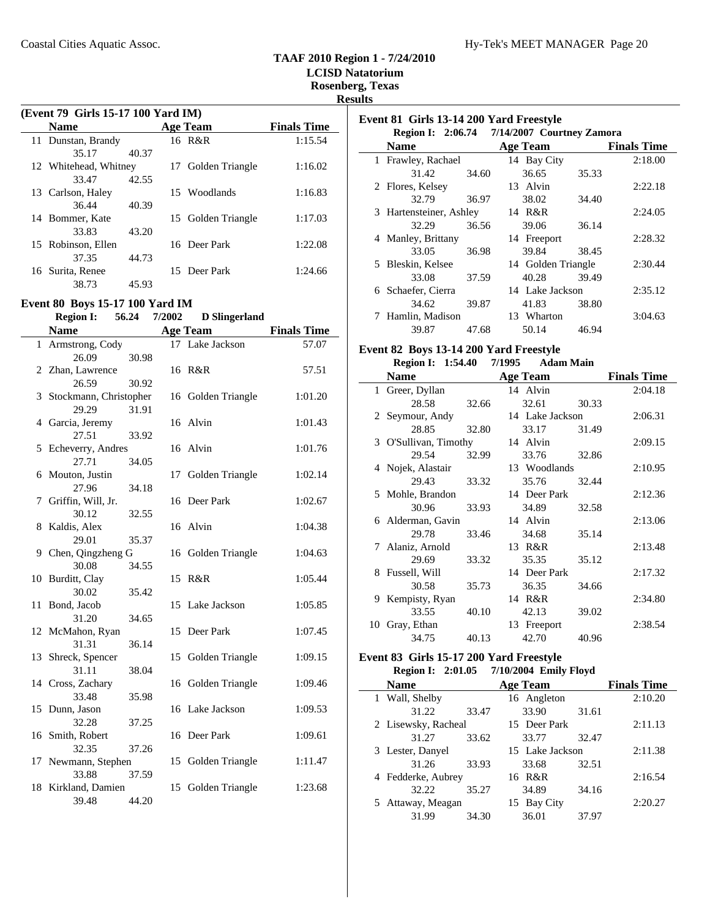**Results**

 $\overline{a}$ 

 $\mathcal{L}$ 

 $\overline{\phantom{0}}$ 

#### **(Event 79 Girls 15-17 100 Yard IM) Name Age Team Finals Time**<br> **Dunstan, Brandy 16 R&R Finals 1:15.54** 11 Dunstan, Brandy 35.17 40.37 12 Whitehead, Whitney 17 Golden Triangle 1:16.02 33.47 42.55 13 Carlson, Haley 15 Woodlands 1:16.83 36.44 40.39<br>14 Bommer, Kate 15 Golden Triangle  $1:17.03$ 33.83 43.20 15 Robinson, Ellen 16 Deer Park 1:22.08 37.35 44.73 16 1:24.66 Surita, Renee 15 Deer Park 38.73 45.93

#### **Event 80 Boys 15-17 100 Yard IM**

**Region I:** 56.24 7/2002 **D Slingerland** 

|              | <b>Name</b>                |       |    | <b>Age Team</b>    | <b>Finals Time</b> |
|--------------|----------------------------|-------|----|--------------------|--------------------|
| $\mathbf{1}$ | Armstrong, Cody            |       |    | 17 Lake Jackson    | 57.07              |
|              | 26.09                      | 30.98 |    |                    |                    |
|              | 2 Zhan, Lawrence           |       |    | 16 R&R             | 57.51              |
|              | 26.59                      | 30.92 |    |                    |                    |
| 3            | Stockmann, Christopher     |       |    | 16 Golden Triangle | 1:01.20            |
|              | 29.29                      | 31.91 |    |                    |                    |
|              | 4 Garcia, Jeremy           |       |    | 16 Alvin           | 1:01.43            |
|              | 27.51                      | 33.92 |    |                    |                    |
| 5            | Echeverry, Andres          |       |    | 16 Alvin           | 1:01.76            |
|              | 27.71                      | 34.05 |    |                    |                    |
| 6            | Mouton, Justin             |       | 17 | Golden Triangle    | 1:02.14            |
|              | 27.96                      | 34.18 |    |                    |                    |
| 7            | Griffin, Will, Jr.         |       | 16 | Deer Park          | 1:02.67            |
|              | 30.12                      | 32.55 |    |                    |                    |
| 8            | Kaldis, Alex               |       |    | 16 Alvin           | 1:04.38            |
|              | 29.01                      | 35.37 |    |                    |                    |
| 9            | Chen, Qingzheng G          |       |    | 16 Golden Triangle | 1:04.63            |
|              | 30.08                      | 34.55 |    |                    |                    |
| 10           | Burditt, Clay              |       | 15 | R&R                | 1:05.44            |
|              | 30.02                      | 35.42 |    |                    |                    |
|              | 11 Bond, Jacob             |       | 15 | Lake Jackson       | 1:05.85            |
|              | 31.20                      | 34.65 |    |                    |                    |
|              | 12 McMahon, Ryan           |       | 15 | Deer Park          | 1:07.45            |
|              | 31.31                      | 36.14 |    |                    |                    |
| 13           | Shreck, Spencer            |       | 15 | Golden Triangle    | 1:09.15            |
|              | 31.11                      | 38.04 |    |                    |                    |
|              | 14 Cross, Zachary<br>33.48 |       |    | 16 Golden Triangle | 1:09.46            |
|              | 15 Dunn, Jason             | 35.98 |    | 16 Lake Jackson    | 1:09.53            |
|              | 32.28                      | 37.25 |    |                    |                    |
|              | 16 Smith, Robert           |       | 16 | Deer Park          | 1:09.61            |
|              | 32.35                      | 37.26 |    |                    |                    |
| 17           | Newmann, Stephen           |       | 15 | Golden Triangle    | 1:11.47            |
|              | 33.88                      | 37.59 |    |                    |                    |
|              | 18 Kirkland, Damien        |       | 15 | Golden Triangle    | 1:23.68            |
|              | 39.48                      | 44.20 |    |                    |                    |
|              |                            |       |    |                    |                    |

| Region I: 2:06.74 7/14/2007 Courtney Zamora |       |          |          |                    |       |                    |
|---------------------------------------------|-------|----------|----------|--------------------|-------|--------------------|
| <b>Name</b>                                 |       | Age Team |          |                    |       | <b>Finals Time</b> |
| 1 Frawley, Rachael                          |       |          |          | 14 Bay City        |       | 2:18.00            |
| 31.42                                       | 34.60 |          | 36.65    |                    | 35.33 |                    |
| 2 Flores, Kelsey                            |       |          | 13 Alvin |                    |       | 2:22.18            |
| 32.79                                       | 36.97 |          | 38.02    |                    | 34.40 |                    |
| 3 Hartensteiner, Ashley                     |       |          | 14 R&R   |                    |       | 2:24.05            |
| 32.29                                       | 36.56 |          | 39.06    |                    | 36.14 |                    |
| 4 Manley, Brittany                          |       |          |          | 14 Freeport        |       | 2:28.32            |
| 33.05                                       | 36.98 |          | 39.84    |                    | 38.45 |                    |
| 5 Bleskin, Kelsee                           |       |          |          | 14 Golden Triangle |       | 2:30.44            |
| 33.08                                       | 37.59 |          | 40.28    |                    | 39.49 |                    |
| 6 Schaefer, Cierra                          |       |          |          | 14 Lake Jackson    |       | 2:35.12            |
| 34.62                                       | 39.87 |          | 41.83    |                    | 38.80 |                    |
| Hamlin, Madison                             |       |          |          | 13 Wharton         |       | 3:04.63            |
| 39.87                                       | 47.68 |          | 50.14    |                    | 46.94 |                    |

#### **Event 82 Boys 13-14 200 Yard Freestyle<br>Region I: 1:54.40 7/1995 Adam Main Region I: 1:54.40 7/1995**

**Event 81 Girls 13-14 200 Yard Freestyle**

|    |                       | $\frac{1}{2}$ |                 |       |                    |
|----|-----------------------|---------------|-----------------|-------|--------------------|
|    | <b>Name</b>           |               | Age Team        |       | <b>Finals Time</b> |
|    | 1 Greer, Dyllan       |               | 14 Alvin        |       | 2:04.18            |
|    | 28.58                 | 32.66         | 32.61           | 30.33 |                    |
|    | 2 Seymour, Andy       |               | 14 Lake Jackson |       | 2:06.31            |
|    | 28.85                 | 32.80         | 33.17           | 31.49 |                    |
|    | 3 O'Sullivan, Timothy |               | 14 Alvin        |       | 2:09.15            |
|    | 29.54                 | 32.99         | 33.76           | 32.86 |                    |
|    | 4 Nojek, Alastair     |               | 13 Woodlands    |       | 2:10.95            |
|    | 29.43                 | 33.32         | 35.76           | 32.44 |                    |
|    | 5 Mohle, Brandon      |               | 14 Deer Park    |       | 2:12.36            |
|    | 30.96                 | 33.93         | 34.89           | 32.58 |                    |
|    | 6 Alderman, Gavin     |               | 14 Alvin        |       | 2:13.06            |
|    | 29.78                 | 33.46         | 34.68           | 35.14 |                    |
|    | 7 Alaniz, Arnold      |               | 13 R&R          |       | 2:13.48            |
|    | 29.69                 | 33.32         | 35.35           | 35.12 |                    |
|    | 8 Fussell, Will       |               | 14 Deer Park    |       | 2:17.32            |
|    | 30.58                 | 35.73         | 36.35           | 34.66 |                    |
|    | 9 Kempisty, Ryan      |               | 14 R&R          |       | 2:34.80            |
|    | 33.55                 | 40.10         | 42.13           | 39.02 |                    |
| 10 | Gray, Ethan           |               | 13 Freeport     |       | 2:38.54            |
|    | 34.75                 | 40.13         | 42.70           | 40.96 |                    |

#### **Event 83 Girls 15-17 200 Yard Freestyle Region I: 2:01.05 Emily Floyd 7/10/2004**

| <b>Name</b>         |       | <b>Age Team</b> |       | <b>Finals Time</b> |
|---------------------|-------|-----------------|-------|--------------------|
| 1 Wall, Shelby      |       | 16 Angleton     |       | 2:10.20            |
| 31.22               | 33.47 | 33.90           | 31.61 |                    |
| 2 Lisewsky, Racheal |       | 15 Deer Park    |       | 2:11.13            |
| 31.27               | 33.62 | 33.77           | 32.47 |                    |
| 3 Lester, Danyel    |       | 15 Lake Jackson |       | 2:11.38            |
| 31.26               | 33.93 | 33.68           | 32.51 |                    |
| 4 Fedderke, Aubrey  |       | 16 R&R          |       | 2:16.54            |
| 32.22               | 35.27 | 34.89           | 34.16 |                    |
| 5 Attaway, Meagan   |       | 15 Bay City     |       | 2:20.27            |
| 31.99               | 34.30 | 36.01           | 37.97 |                    |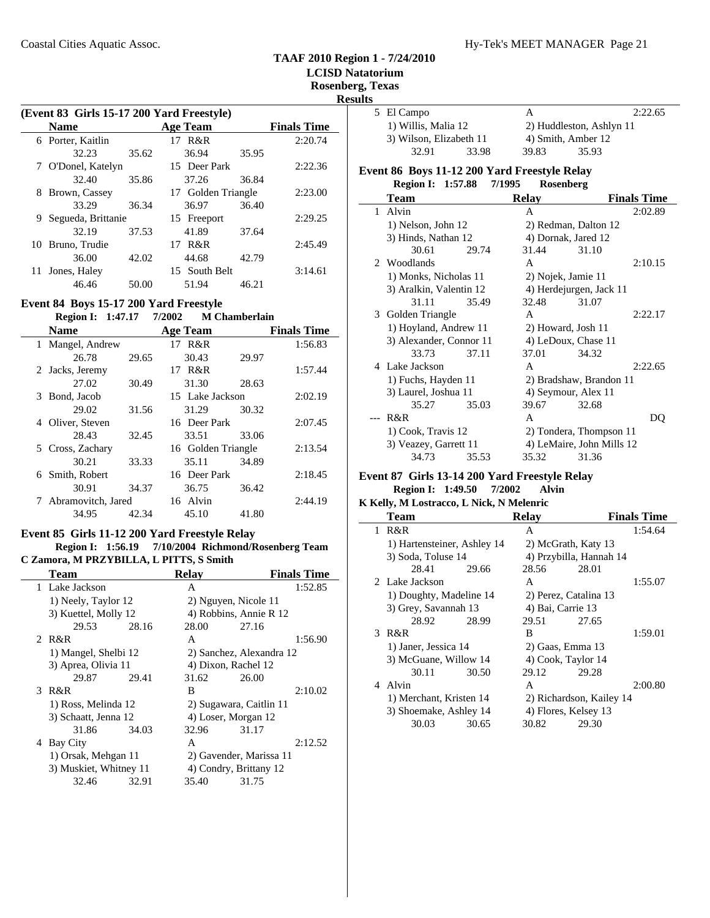#### **TAAF 2010 Region 1 - 7/24/2010 LCISD Natatorium**

**Rosenberg, Texas**

**Results**

| ື |                         |       |                          |                    |  |
|---|-------------------------|-------|--------------------------|--------------------|--|
|   | 5 El Campo              |       | А                        | 2:22.65            |  |
|   | 1) Willis, Malia 12     |       | 2) Huddleston, Ashlyn 11 |                    |  |
|   | 3) Wilson, Elizabeth 11 |       |                          | 4) Smith, Amber 12 |  |
|   | 32.91                   | 33.98 | 39.83                    | 35.93              |  |

#### **Event 86 Boys 11-12 200 Yard Freestyle Relay Region I: 1:57.88 Rosenberg 7/1995**

|   | <b>INUZIUIL 1.</b> 1.07.00 |       | 111777<br><b>RUSCHIDULE</b> |                           |                    |
|---|----------------------------|-------|-----------------------------|---------------------------|--------------------|
|   | Team                       |       | Relav                       |                           | <b>Finals Time</b> |
| 1 | Alvin                      |       | A                           |                           | 2:02.89            |
|   | 1) Nelson, John 12         |       |                             | 2) Redman, Dalton 12      |                    |
|   | 3) Hinds, Nathan 12        |       |                             | 4) Dornak, Jared 12       |                    |
|   | 30.61                      | 29.74 | 31.44                       | 31.10                     |                    |
|   | 2 Woodlands                |       | A                           |                           | 2:10.15            |
|   | 1) Monks, Nicholas 11      |       | 2) Nojek, Jamie 11          |                           |                    |
|   | 3) Aralkin, Valentin 12    |       |                             | 4) Herdejurgen, Jack 11   |                    |
|   | 31.11                      | 35.49 | 32.48                       | 31.07                     |                    |
| 3 | Golden Triangle            |       | A                           |                           | 2:22.17            |
|   | 1) Hoyland, Andrew 11      |       | 2) Howard, Josh 11          |                           |                    |
|   | 3) Alexander, Connor 11    |       | 4) LeDoux, Chase 11         |                           |                    |
|   | 33.73                      | 37.11 | 37.01                       | 34.32                     |                    |
| 4 | Lake Jackson               |       | A                           |                           | 2:22.65            |
|   | 1) Fuchs, Hayden 11        |       | 2) Bradshaw, Brandon 11     |                           |                    |
|   | 3) Laurel, Joshua 11       |       | 4) Seymour, Alex 11         |                           |                    |
|   | 35.27                      | 35.03 | 39.67                       | 32.68                     |                    |
|   | R&R                        |       | A                           |                           | DO                 |
|   | 1) Cook, Travis 12         |       | 2) Tondera, Thompson 11     |                           |                    |
|   | 3) Veazey, Garrett 11      |       |                             | 4) LeMaire, John Mills 12 |                    |
|   | 34.73                      | 35.53 | 35.32                       | 31.36                     |                    |

#### **Event 87 Girls 13-14 200 Yard Freestyle Relay Region I:** 1:49.50 7/2002 Alvin

#### **K Kelly, M Lostracco, L Nick, N Melenric**

|              | Team                        |        | <b>Relay</b>       |                          | <b>Finals Time</b> |
|--------------|-----------------------------|--------|--------------------|--------------------------|--------------------|
| $\mathbf{1}$ | R&R                         |        | A                  |                          | 1:54.64            |
|              | 1) Hartensteiner, Ashley 14 |        |                    | 2) McGrath, Katy 13      |                    |
|              | 3) Soda, Toluse 14          |        |                    | 4) Przybilla, Hannah 14  |                    |
|              | 28.41                       | -29.66 | 28.56              | 28.01                    |                    |
|              | 2 Lake Jackson              |        | A                  |                          | 1:55.07            |
|              | 1) Doughty, Madeline 14     |        |                    | 2) Perez, Catalina 13    |                    |
|              | 3) Grey, Savannah 13        |        | 4) Bai, Carrie 13  |                          |                    |
|              | 28.92                       | 28.99  | 29.51              | 27.65                    |                    |
|              | 3 R&R                       |        | B                  |                          | 1:59.01            |
|              | 1) Janer, Jessica 14        |        | 2) Gaas, Emma 13   |                          |                    |
|              | 3) McGuane, Willow 14       |        | 4) Cook, Taylor 14 |                          |                    |
|              | 30.11                       | 30.50  | 29.12              | 29.28                    |                    |
|              | 4 Alvin                     |        | A                  |                          | 2:00.80            |
|              | 1) Merchant, Kristen 14     |        |                    | 2) Richardson, Kailey 14 |                    |
|              | 3) Shoemake, Ashley 14      |        |                    | 4) Flores, Kelsey 13     |                    |
|              | 30.03                       | 30.65  | 30.82              | 29.30                    |                    |
|              |                             |        |                    |                          |                    |

|    | (Event 83 Girls 15-17 200 Yard Freestyle) |       |                    |       |                    |  |  |  |  |
|----|-------------------------------------------|-------|--------------------|-------|--------------------|--|--|--|--|
|    | <b>Name</b>                               |       | <b>Age Team</b>    |       | <b>Finals Time</b> |  |  |  |  |
|    | 6 Porter, Kaitlin                         |       | 17 R&R             |       | 2:20.74            |  |  |  |  |
|    | 32.23                                     | 35.62 | 36.94              | 35.95 |                    |  |  |  |  |
|    | 7 O'Donel, Katelyn                        |       | 15 Deer Park       |       | 2:22.36            |  |  |  |  |
|    | 32.40                                     | 35.86 | 37.26              | 36.84 |                    |  |  |  |  |
| 8  | Brown, Cassey                             |       | 17 Golden Triangle |       | 2:23.00            |  |  |  |  |
|    | 33.29                                     | 36.34 | 36.97              | 36.40 |                    |  |  |  |  |
| 9  | Segueda, Brittanie                        |       | 15 Freeport        |       | 2:29.25            |  |  |  |  |
|    | 32.19                                     | 37.53 | 41.89              | 37.64 |                    |  |  |  |  |
| 10 | Bruno, Trudie                             |       | 17 R&R             |       | 2:45.49            |  |  |  |  |
|    | 36.00                                     | 42.02 | 44.68              | 42.79 |                    |  |  |  |  |
| 11 | Jones, Haley                              |       | 15 South Belt      |       | 3:14.61            |  |  |  |  |
|    | 46.46                                     | 50.00 | 51.94              | 46.21 |                    |  |  |  |  |

#### **Event 84 Boys 15-17 200 Yard Freestyle**

**Region I: 1:47.17 7/2002 M Chamberlain** 

| <b>Name</b>          |       | <b>Age Team</b>    |       | <b>Finals Time</b> |
|----------------------|-------|--------------------|-------|--------------------|
| 1 Mangel, Andrew     |       | 17 R&R             |       | 1:56.83            |
| 26.78                | 29.65 | 30.43              | 29.97 |                    |
| 2 Jacks, Jeremy      |       | 17 R&R             |       | 1:57.44            |
| 27.02                | 30.49 | 31.30              | 28.63 |                    |
| Bond, Jacob<br>3     |       | 15 Lake Jackson    |       | 2:02.19            |
| 29.02                | 31.56 | 31.29              | 30.32 |                    |
| 4 Oliver, Steven     |       | 16 Deer Park       |       | 2:07.45            |
| 28.43                | 32.45 | 33.51              | 33.06 |                    |
| Cross, Zachary<br>5. |       | 16 Golden Triangle |       | 2:13.54            |
| 30.21                | 33.33 | 35.11              | 34.89 |                    |
| 6 Smith, Robert      |       | 16 Deer Park       |       | 2:18.45            |
| 30.91                | 34.37 | 36.75              | 36.42 |                    |
| Abramovitch, Jared   |       | 16 Alvin           |       | 2:44.19            |
| 34.95                | 42.34 | 45.10              | 41.80 |                    |

#### **Event 85 Girls 11-12 200 Yard Freestyle Relay Region I: 1:56.19 7/10/2004 Richmond/Rosenberg Team C Zamora, M PRZYBILLA, L PITTS, S Smith**

|   | Team                   |       | <b>Relay</b>            |                          | <b>Finals Time</b> |
|---|------------------------|-------|-------------------------|--------------------------|--------------------|
|   | 1 Lake Jackson         |       | A                       |                          | 1:52.85            |
|   | 1) Neely, Taylor 12    |       |                         | 2) Nguyen, Nicole 11     |                    |
|   | 3) Kuettel, Molly 12   |       |                         | 4) Robbins, Annie R 12   |                    |
|   | 29.53                  | 28.16 | 28.00                   | 27.16                    |                    |
|   | 2 R&R                  |       | A                       |                          | 1:56.90            |
|   | 1) Mangel, Shelbi 12   |       |                         | 2) Sanchez, Alexandra 12 |                    |
|   | 3) Aprea, Olivia 11    |       |                         | 4) Dixon, Rachel 12      |                    |
|   | 29.87                  | 29.41 | 31.62                   | 26.00                    |                    |
| 3 | R&R                    |       | B                       |                          | 2:10.02            |
|   | 1) Ross, Melinda 12    |       |                         | 2) Sugawara, Caitlin 11  |                    |
|   | 3) Schaatt, Jenna 12   |       | 4) Loser, Morgan 12     |                          |                    |
|   | 31.86                  | 34.03 | 32.96                   | 31.17                    |                    |
| 4 | Bay City               |       | A                       |                          | 2:12.52            |
|   | 1) Orsak, Mehgan 11    |       | 2) Gavender, Marissa 11 |                          |                    |
|   | 3) Muskiet, Whitney 11 |       |                         | 4) Condry, Brittany 12   |                    |
|   | 32.46                  | 32.91 | 35.40                   | 31.75                    |                    |